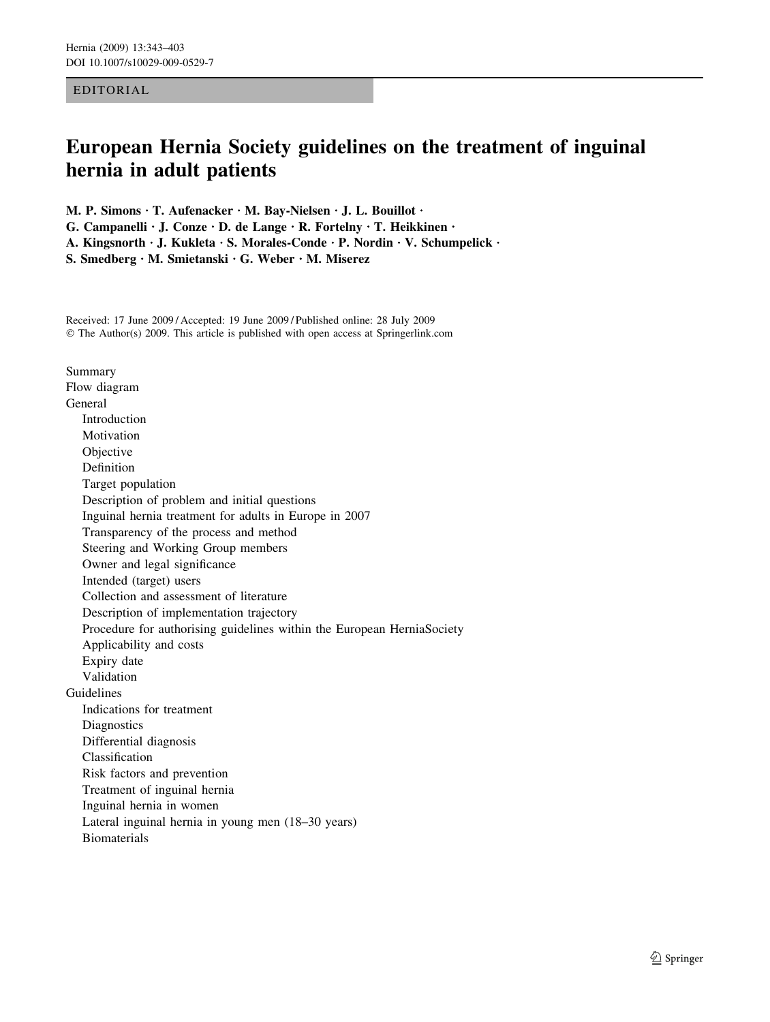#### EDITORIAL

# European Hernia Society guidelines on the treatment of inguinal hernia in adult patients

M. P. Simons  $\cdot$  T. Aufenacker  $\cdot$  M. Bay-Nielsen  $\cdot$  J. L. Bouillot  $\cdot$ 

G. Campanelli  $\cdot$  J. Conze  $\cdot$  D. de Lange  $\cdot$  R. Fortelny  $\cdot$  T. Heikkinen  $\cdot$ 

A. Kingsnorth · J. Kukleta · S. Morales-Conde · P. Nordin · V. Schumpelick ·

S. Smedberg · M. Smietanski · G. Weber · M. Miserez

Received: 17 June 2009 / Accepted: 19 June 2009 / Published online: 28 July 2009  $\odot$  The Author(s) 2009. This article is published with open access at Springerlink.com

Summary Flow diagram General Introduction Motivation Objective Definition Target population Description of problem and initial questions Inguinal hernia treatment for adults in Europe in 2007 Transparency of the process and method Steering and Working Group members Owner and legal significance Intended (target) users Collection and assessment of literature Description of implementation trajectory Procedure for authorising guidelines within the European HerniaSociety Applicability and costs Expiry date Validation Guidelines Indications for treatment **Diagnostics** Differential diagnosis Classification Risk factors and prevention Treatment of inguinal hernia Inguinal hernia in women Lateral inguinal hernia in young men (18–30 years) Biomaterials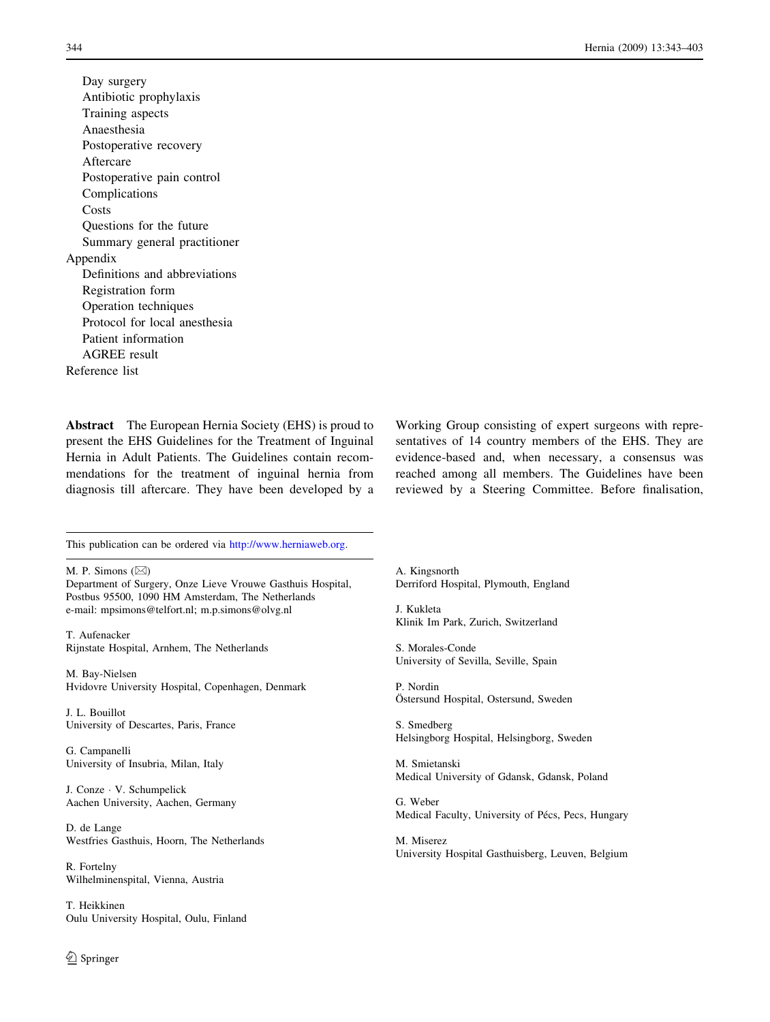Day surgery Antibiotic prophylaxis Training aspects Anaesthesia Postoperative recovery Aftercare Postoperative pain control Complications **Costs** Questions for the future Summary general practitioner Appendix Definitions and abbreviations Registration form Operation techniques Protocol for local anesthesia Patient information AGREE result Reference list

Abstract The European Hernia Society (EHS) is proud to present the EHS Guidelines for the Treatment of Inguinal Hernia in Adult Patients. The Guidelines contain recommendations for the treatment of inguinal hernia from diagnosis till aftercare. They have been developed by a

sentatives of 14 country members of the EHS. They are evidence-based and, when necessary, a consensus was reached among all members. The Guidelines have been reviewed by a Steering Committee. Before finalisation,

Working Group consisting of expert surgeons with repre-

This publication can be ordered via <http://www.herniaweb.org>.

M. P. Simons  $(\boxtimes)$ Department of Surgery, Onze Lieve Vrouwe Gasthuis Hospital, Postbus 95500, 1090 HM Amsterdam, The Netherlands e-mail: mpsimons@telfort.nl; m.p.simons@olvg.nl

T. Aufenacker Rijnstate Hospital, Arnhem, The Netherlands

M. Bay-Nielsen Hvidovre University Hospital, Copenhagen, Denmark

J. L. Bouillot University of Descartes, Paris, France

G. Campanelli University of Insubria, Milan, Italy

J. Conze · V. Schumpelick Aachen University, Aachen, Germany

D. de Lange Westfries Gasthuis, Hoorn, The Netherlands

R. Fortelny Wilhelminenspital, Vienna, Austria

T. Heikkinen Oulu University Hospital, Oulu, Finland

A. Kingsnorth Derriford Hospital, Plymouth, England

J. Kukleta Klinik Im Park, Zurich, Switzerland

S. Morales-Conde University of Sevilla, Seville, Spain

P. Nordin Östersund Hospital, Ostersund, Sweden

S. Smedberg Helsingborg Hospital, Helsingborg, Sweden

M. Smietanski Medical University of Gdansk, Gdansk, Poland

G. Weber Medical Faculty, University of Pécs, Pecs, Hungary

M. Miserez University Hospital Gasthuisberg, Leuven, Belgium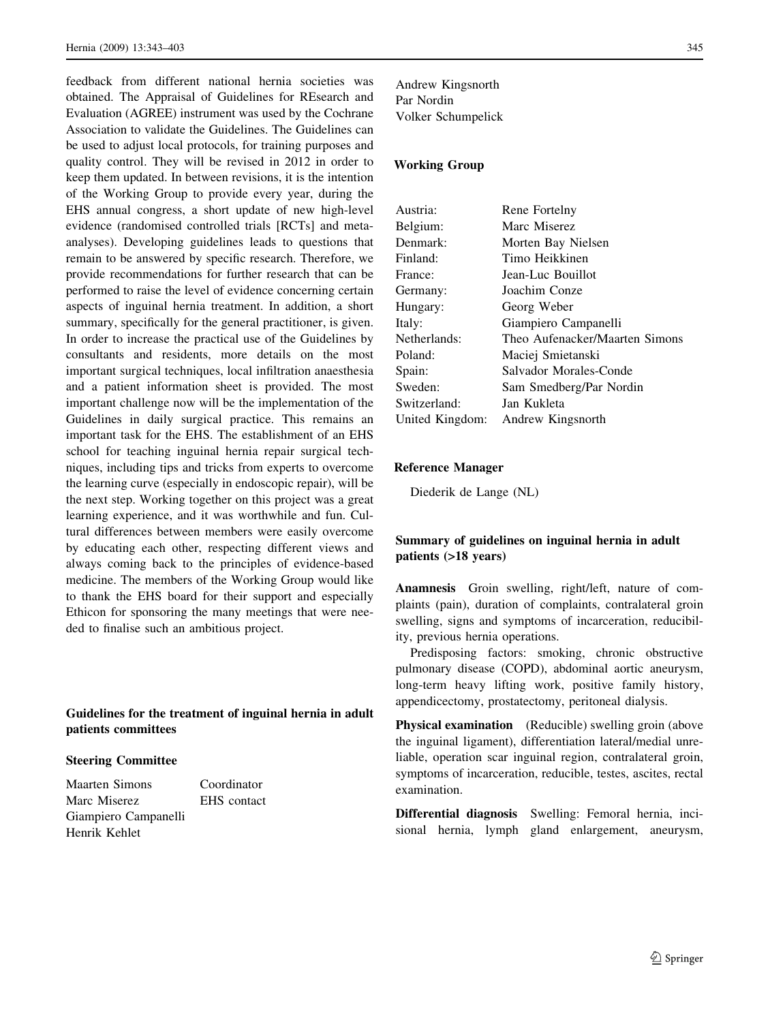feedback from different national hernia societies was obtained. The Appraisal of Guidelines for REsearch and Evaluation (AGREE) instrument was used by the Cochrane Association to validate the Guidelines. The Guidelines can be used to adjust local protocols, for training purposes and quality control. They will be revised in 2012 in order to keep them updated. In between revisions, it is the intention of the Working Group to provide every year, during the EHS annual congress, a short update of new high-level evidence (randomised controlled trials [RCTs] and metaanalyses). Developing guidelines leads to questions that remain to be answered by specific research. Therefore, we provide recommendations for further research that can be performed to raise the level of evidence concerning certain aspects of inguinal hernia treatment. In addition, a short summary, specifically for the general practitioner, is given. In order to increase the practical use of the Guidelines by consultants and residents, more details on the most important surgical techniques, local infiltration anaesthesia and a patient information sheet is provided. The most important challenge now will be the implementation of the Guidelines in daily surgical practice. This remains an important task for the EHS. The establishment of an EHS school for teaching inguinal hernia repair surgical techniques, including tips and tricks from experts to overcome the learning curve (especially in endoscopic repair), will be the next step. Working together on this project was a great learning experience, and it was worthwhile and fun. Cultural differences between members were easily overcome by educating each other, respecting different views and always coming back to the principles of evidence-based medicine. The members of the Working Group would like to thank the EHS board for their support and especially Ethicon for sponsoring the many meetings that were needed to finalise such an ambitious project.

### Guidelines for the treatment of inguinal hernia in adult patients committees

#### Steering Committee

Maarten Simons Coordinator Marc Miserez EHS contact Giampiero Campanelli Henrik Kehlet

Andrew Kingsnorth Par Nordin Volker Schumpelick

#### Working Group

| Austria:        | Rene Fortelny                  |
|-----------------|--------------------------------|
| Belgium:        | Marc Miserez                   |
| Denmark:        | Morten Bay Nielsen             |
| Finland:        | Timo Heikkinen                 |
| France:         | Jean-Luc Bouillot              |
| Germany:        | Joachim Conze                  |
| Hungary:        | Georg Weber                    |
| Italy:          | Giampiero Campanelli           |
| Netherlands:    | Theo Aufenacker/Maarten Simons |
| Poland:         | Maciej Smietanski              |
| Spain:          | Salvador Morales-Conde         |
| Sweden:         | Sam Smedberg/Par Nordin        |
| Switzerland:    | Jan Kukleta                    |
| United Kingdom: | Andrew Kingsnorth              |

#### Reference Manager

Diederik de Lange (NL)

## Summary of guidelines on inguinal hernia in adult patients (>18 years)

Anamnesis Groin swelling, right/left, nature of complaints (pain), duration of complaints, contralateral groin swelling, signs and symptoms of incarceration, reducibility, previous hernia operations.

Predisposing factors: smoking, chronic obstructive pulmonary disease (COPD), abdominal aortic aneurysm, long-term heavy lifting work, positive family history, appendicectomy, prostatectomy, peritoneal dialysis.

Physical examination (Reducible) swelling groin (above the inguinal ligament), differentiation lateral/medial unreliable, operation scar inguinal region, contralateral groin, symptoms of incarceration, reducible, testes, ascites, rectal examination.

Differential diagnosis Swelling: Femoral hernia, incisional hernia, lymph gland enlargement, aneurysm,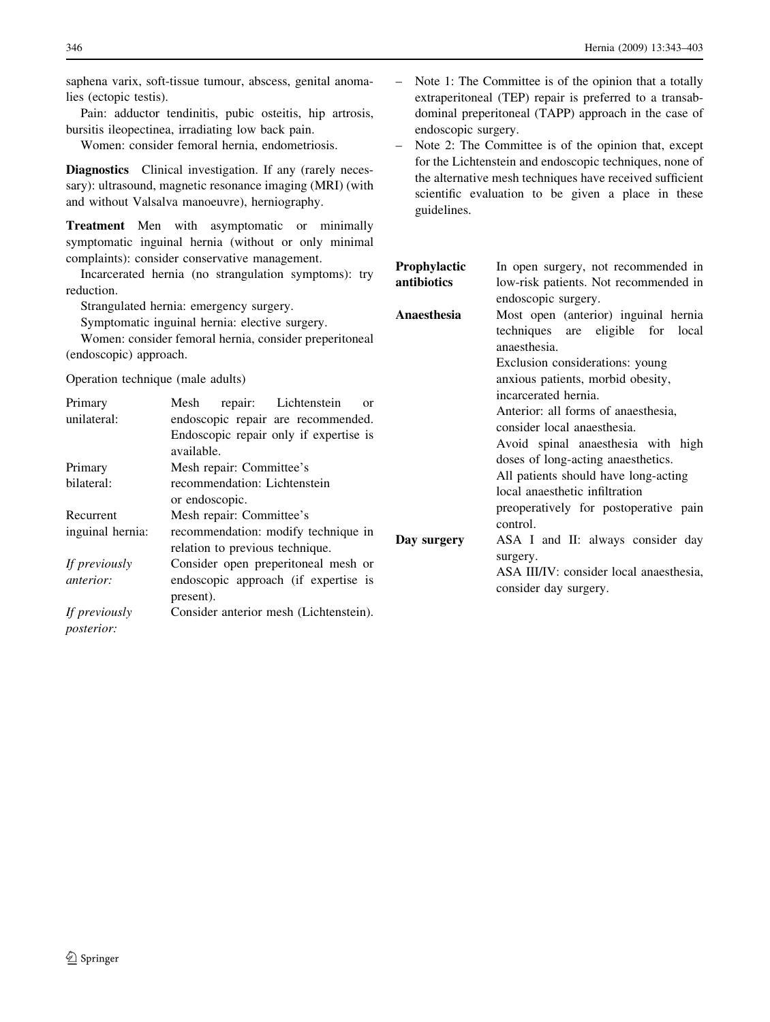saphena varix, soft-tissue tumour, abscess, genital anomalies (ectopic testis). Pain: adductor tendinitis, pubic osteitis, hip artrosis, bursitis ileopectinea, irradiating low back pain. Women: consider femoral hernia, endometriosis. Diagnostics Clinical investigation. If any (rarely necessary): ultrasound, magnetic resonance imaging (MRI) (with and without Valsalva manoeuvre), herniography. Treatment Men with asymptomatic or minimally symptomatic inguinal hernia (without or only minimal complaints): consider conservative management. Incarcerated hernia (no strangulation symptoms): try reduction. Strangulated hernia: emergency surgery. Symptomatic inguinal hernia: elective surgery. Women: consider femoral hernia, consider preperitoneal (endoscopic) approach. Operation technique (male adults) Primary unilateral: Mesh repair: Lichtenstein or endoscopic repair are recommended. Endoscopic repair only if expertise is available. Primary bilateral: Mesh repair: Committee's recommendation: Lichtenstein or endoscopic. Recurrent inguinal hernia: Mesh repair: Committee's recommendation: modify technique in relation to previous technique. If previously anterior: Consider open preperitoneal mesh or endoscopic approach (if expertise is present). If previously Consider anterior mesh (Lichtenstein). – Note 1: The Committee is of the opinion that a totally extraperitoneal (TEP) repair is preferred to a transabdominal preperitoneal (TAPP) approach in the case of endoscopic surgery. – Note 2: The Committee is of the opinion that, except for the Lichtenstein and endoscopic techniques, none of the alternative mesh techniques have received sufficient scientific evaluation to be given a place in these guidelines. Prophylactic antibiotics In open surgery, not recommended in low-risk patients. Not recommended in endoscopic surgery. Anaesthesia Most open (anterior) inguinal hernia techniques are eligible for local anaesthesia. Exclusion considerations: young anxious patients, morbid obesity, incarcerated hernia. Anterior: all forms of anaesthesia, consider local anaesthesia. Avoid spinal anaesthesia with high doses of long-acting anaesthetics. All patients should have long-acting local anaesthetic infiltration preoperatively for postoperative pain control. Day surgery ASA I and II: always consider day surgery. ASA III/IV: consider local anaesthesia, consider day surgery.

posterior: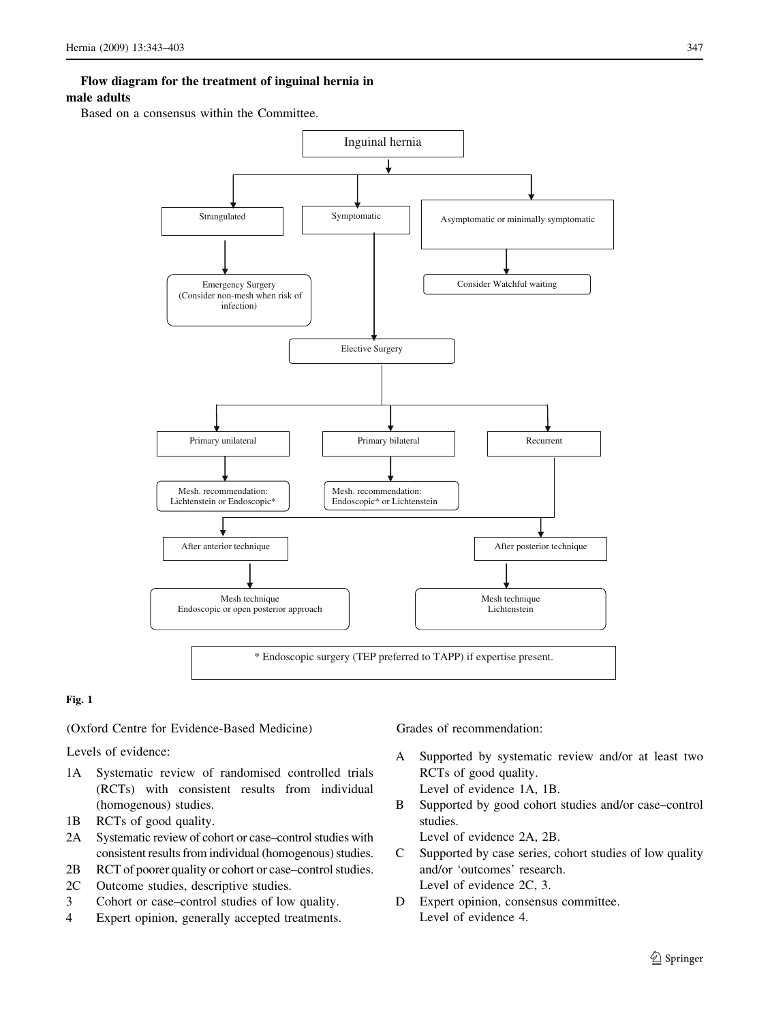## Flow diagram for the treatment of inguinal hernia in male adults

Based on a consensus within the Committee.



### Fig. 1

(Oxford Centre for Evidence-Based Medicine)

Levels of evidence:

- 1A Systematic review of randomised controlled trials (RCTs) with consistent results from individual (homogenous) studies.
- 1B RCTs of good quality.
- 2A Systematic review of cohort or case–control studies with consistent results from individual (homogenous) studies.
- 2B RCT of poorer quality or cohort or case–control studies.
- 2C Outcome studies, descriptive studies.
- 3 Cohort or case–control studies of low quality.
- 4 Expert opinion, generally accepted treatments.

Grades of recommendation:

- A Supported by systematic review and/or at least two RCTs of good quality.
- Level of evidence 1A, 1B.
- B Supported by good cohort studies and/or case–control studies.

Level of evidence 2A, 2B.

- C Supported by case series, cohort studies of low quality and/or 'outcomes' research. Level of evidence 2C, 3.
- D Expert opinion, consensus committee. Level of evidence 4.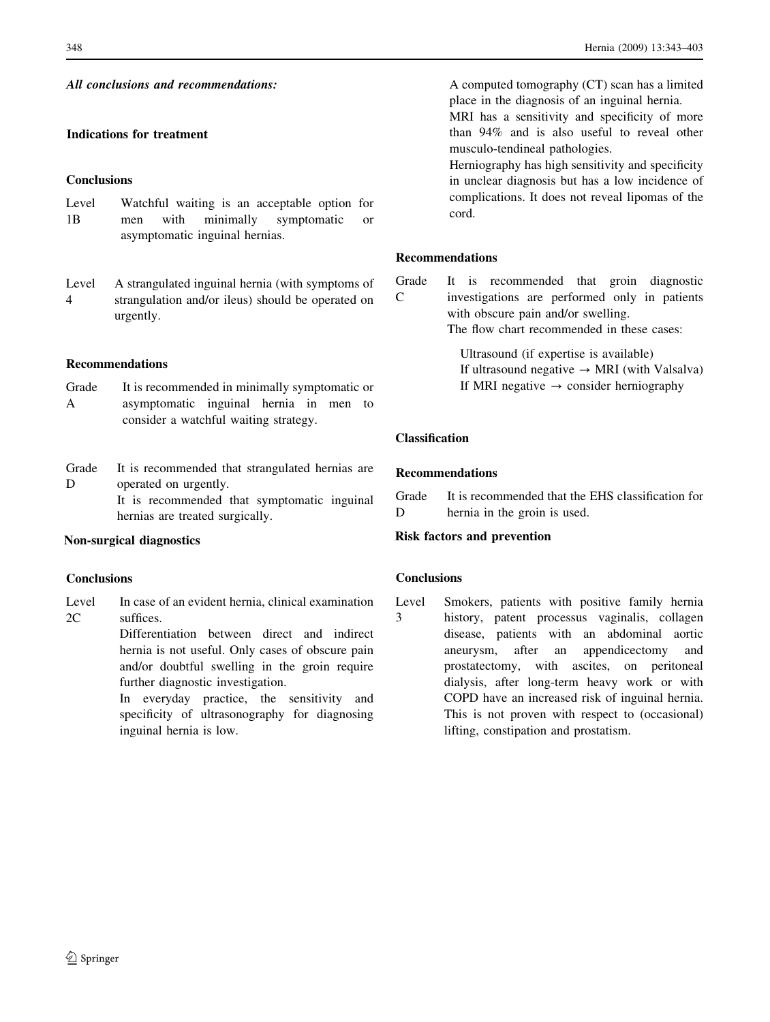All conclusions and recommendations:

## Indications for treatment

## **Conclusions**

| Level |                                |  |  |  | Watchful waiting is an acceptable option for |  |  |  |  |
|-------|--------------------------------|--|--|--|----------------------------------------------|--|--|--|--|
| 1B    |                                |  |  |  | men with minimally symptomatic or            |  |  |  |  |
|       | asymptomatic inguinal hernias. |  |  |  |                                              |  |  |  |  |

Level 4 A strangulated inguinal hernia (with symptoms of strangulation and/or ileus) should be operated on urgently.

## Recommendations

| Grade | It is recommended in minimally symptomatic or |  |  |  |  |  |  |
|-------|-----------------------------------------------|--|--|--|--|--|--|
| A     | asymptomatic inguinal hernia in men to        |  |  |  |  |  |  |
|       | consider a watchful waiting strategy.         |  |  |  |  |  |  |

Grade D It is recommended that strangulated hernias are operated on urgently.

> It is recommended that symptomatic inguinal hernias are treated surgically.

## Non-surgical diagnostics

## **Conclusions**

Level  $2C$ In case of an evident hernia, clinical examination suffices.

> Differentiation between direct and indirect hernia is not useful. Only cases of obscure pain and/or doubtful swelling in the groin require further diagnostic investigation.

In everyday practice, the sensitivity and specificity of ultrasonography for diagnosing inguinal hernia is low.

A computed tomography (CT) scan has a limited place in the diagnosis of an inguinal hernia.

MRI has a sensitivity and specificity of more than 94% and is also useful to reveal other musculo-tendineal pathologies.

Herniography has high sensitivity and specificity in unclear diagnosis but has a low incidence of complications. It does not reveal lipomas of the cord.

## Recommendations

C

Grade It is recommended that groin diagnostic investigations are performed only in patients with obscure pain and/or swelling. The flow chart recommended in these cases:

> Ultrasound (if expertise is available) If ultrasound negative  $\rightarrow$  MRI (with Valsalva) If MRI negative  $\rightarrow$  consider herniography

## Classification

## Recommendations

Grade D It is recommended that the EHS classification for hernia in the groin is used.

## Risk factors and prevention

## **Conclusions**

Level 3 Smokers, patients with positive family hernia history, patent processus vaginalis, collagen disease, patients with an abdominal aortic aneurysm, after an appendicectomy and prostatectomy, with ascites, on peritoneal dialysis, after long-term heavy work or with COPD have an increased risk of inguinal hernia. This is not proven with respect to (occasional) lifting, constipation and prostatism.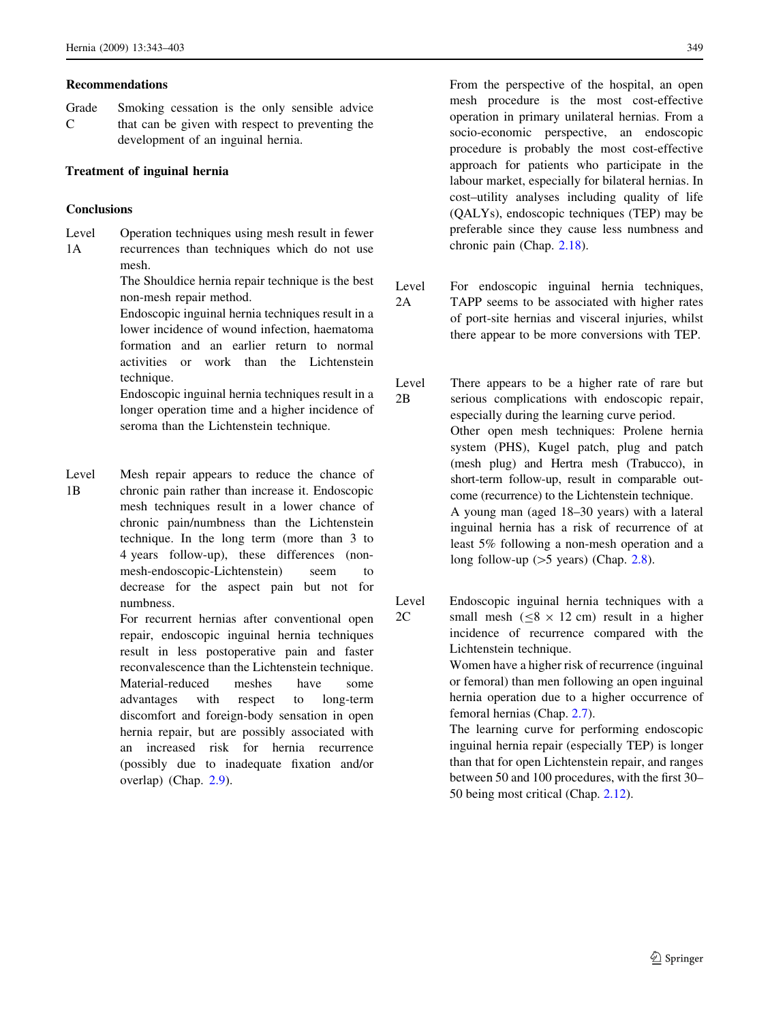#### Recommendations

Grade  $\mathcal{C}$ Smoking cessation is the only sensible advice that can be given with respect to preventing the development of an inguinal hernia.

### Treatment of inguinal hernia

#### **Conclusions**

Level 1A Operation techniques using mesh result in fewer recurrences than techniques which do not use mesh.

> The Shouldice hernia repair technique is the best non-mesh repair method.

> Endoscopic inguinal hernia techniques result in a lower incidence of wound infection, haematoma formation and an earlier return to normal activities or work than the Lichtenstein technique.

> Endoscopic inguinal hernia techniques result in a longer operation time and a higher incidence of seroma than the Lichtenstein technique.

Level 1B Mesh repair appears to reduce the chance of chronic pain rather than increase it. Endoscopic mesh techniques result in a lower chance of chronic pain/numbness than the Lichtenstein technique. In the long term (more than 3 to 4 years follow-up), these differences (nonmesh-endoscopic-Lichtenstein) seem to decrease for the aspect pain but not for numbness.

> For recurrent hernias after conventional open repair, endoscopic inguinal hernia techniques result in less postoperative pain and faster reconvalescence than the Lichtenstein technique. Material-reduced meshes have some advantages with respect to long-term discomfort and foreign-body sensation in open hernia repair, but are possibly associated with an increased risk for hernia recurrence (possibly due to inadequate fixation and/or overlap) (Chap. [2.9](#page-30-0)).

From the perspective of the hospital, an open mesh procedure is the most cost-effective operation in primary unilateral hernias. From a socio-economic perspective, an endoscopic procedure is probably the most cost-effective approach for patients who participate in the labour market, especially for bilateral hernias. In cost–utility analyses including quality of life (QALYs), endoscopic techniques (TEP) may be preferable since they cause less numbness and chronic pain (Chap. [2.18\)](#page-43-0).

- Level 2A For endoscopic inguinal hernia techniques, TAPP seems to be associated with higher rates of port-site hernias and visceral injuries, whilst there appear to be more conversions with TEP.
- Level 2B There appears to be a higher rate of rare but serious complications with endoscopic repair, especially during the learning curve period. Other open mesh techniques: Prolene hernia system (PHS), Kugel patch, plug and patch (mesh plug) and Hertra mesh (Trabucco), in short-term follow-up, result in comparable outcome (recurrence) to the Lichtenstein technique. A young man (aged 18–30 years) with a lateral inguinal hernia has a risk of recurrence of at least 5% following a non-mesh operation and a long follow-up  $(>5$  years) (Chap. [2.8](#page-30-0)).
- Level 2C Endoscopic inguinal hernia techniques with a small mesh ( $\leq 8 \times 12$  cm) result in a higher incidence of recurrence compared with the Lichtenstein technique.

Women have a higher risk of recurrence (inguinal or femoral) than men following an open inguinal hernia operation due to a higher occurrence of femoral hernias (Chap. [2.7\)](#page-29-0).

The learning curve for performing endoscopic inguinal hernia repair (especially TEP) is longer than that for open Lichtenstein repair, and ranges between 50 and 100 procedures, with the first 30– 50 being most critical (Chap. [2.12](#page-34-0)).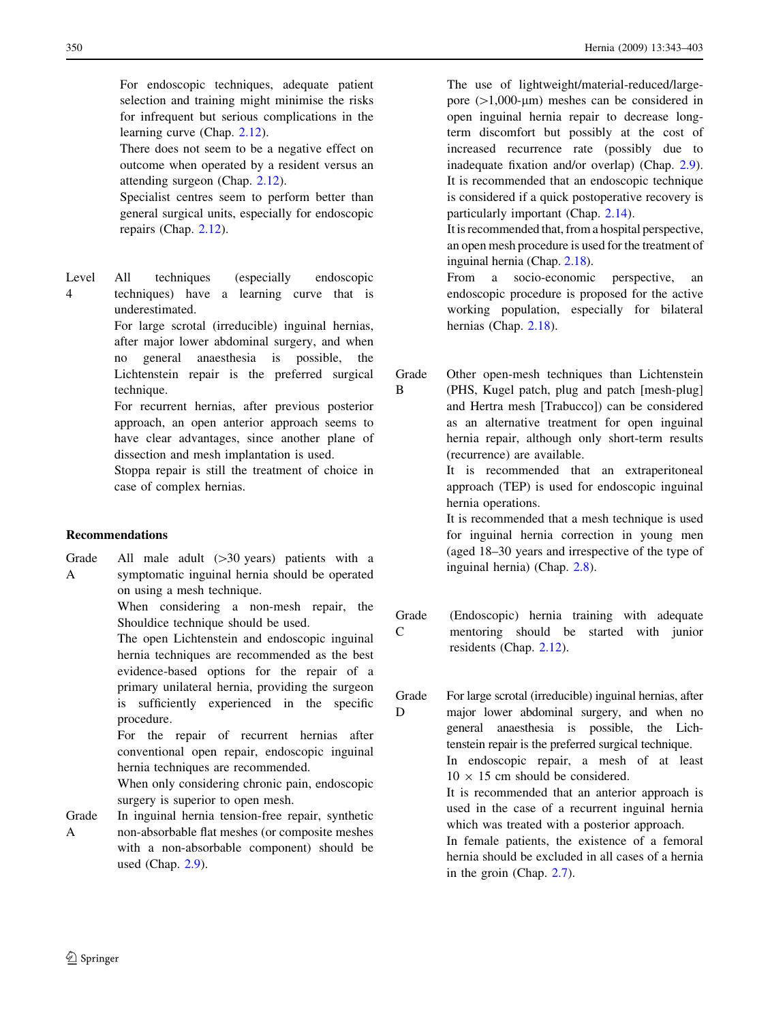2 Springer

Grade A In inguinal hernia tension-free repair, synthetic non-absorbable flat meshes (or composite meshes with a non-absorbable component) should be

surgery is superior to open mesh.

used (Chap. [2.9](#page-30-0)).

evidence-based options for the repair of a primary unilateral hernia, providing the surgeon is sufficiently experienced in the specific procedure. For the repair of recurrent hernias after

conventional open repair, endoscopic inguinal

hernia techniques are recommended.

When only considering chronic pain, endoscopic

Shouldice technique should be used. The open Lichtenstein and endoscopic inguinal hernia techniques are recommended as the best

All male adult  $(>30 \text{ years})$  patients with a symptomatic inguinal hernia should be operated on using a mesh technique. When considering a non-mesh repair, the

## Recommendations

Grade A

technique.

have clear advantages, since another plane of dissection and mesh implantation is used. Stoppa repair is still the treatment of choice in case of complex hernias.

underestimated. For large scrotal (irreducible) inguinal hernias, after major lower abdominal surgery, and when no general anaesthesia is possible, the

Lichtenstein repair is the preferred surgical

B

D

For recurrent hernias, after previous posterior approach, an open anterior approach seems to

repairs (Chap. [2.12](#page-34-0)). All techniques (especially endoscopic

techniques) have a learning curve that is

Specialist centres seem to perform better than general surgical units, especially for endoscopic

For endoscopic techniques, adequate patient selection and training might minimise the risks for infrequent but serious complications in the

There does not seem to be a negative effect on outcome when operated by a resident versus an

learning curve (Chap. [2.12](#page-34-0)).

attending surgeon (Chap. [2.12](#page-34-0)).

The use of lightweight/material-reduced/largepore  $(>1,000$ -µm) meshes can be considered in open inguinal hernia repair to decrease longterm discomfort but possibly at the cost of increased recurrence rate (possibly due to inadequate fixation and/or overlap) (Chap. [2.9](#page-30-0)). It is recommended that an endoscopic technique is considered if a quick postoperative recovery is particularly important (Chap. [2.14\)](#page-36-0).

It is recommended that, from a hospital perspective, an open mesh procedure is used for the treatment of inguinal hernia (Chap. [2.18\)](#page-43-0).

From a socio-economic perspective, an endoscopic procedure is proposed for the active working population, especially for bilateral hernias (Chap. [2.18\)](#page-43-0).

Grade Other open-mesh techniques than Lichtenstein (PHS, Kugel patch, plug and patch [mesh-plug] and Hertra mesh [Trabucco]) can be considered as an alternative treatment for open inguinal hernia repair, although only short-term results (recurrence) are available.

> It is recommended that an extraperitoneal approach (TEP) is used for endoscopic inguinal hernia operations.

> It is recommended that a mesh technique is used for inguinal hernia correction in young men (aged 18–30 years and irrespective of the type of inguinal hernia) (Chap. [2.8](#page-30-0)).

Grade  $\mathcal{C}$ (Endoscopic) hernia training with adequate mentoring should be started with junior residents (Chap. [2.12\)](#page-34-0).

Grade For large scrotal (irreducible) inguinal hernias, after major lower abdominal surgery, and when no general anaesthesia is possible, the Lichtenstein repair is the preferred surgical technique. In endoscopic repair, a mesh of at least  $10 \times 15$  cm should be considered. It is recommended that an anterior approach is used in the case of a recurrent inguinal hernia which was treated with a posterior approach.

In female patients, the existence of a femoral hernia should be excluded in all cases of a hernia in the groin (Chap. [2.7](#page-29-0)).

Level 4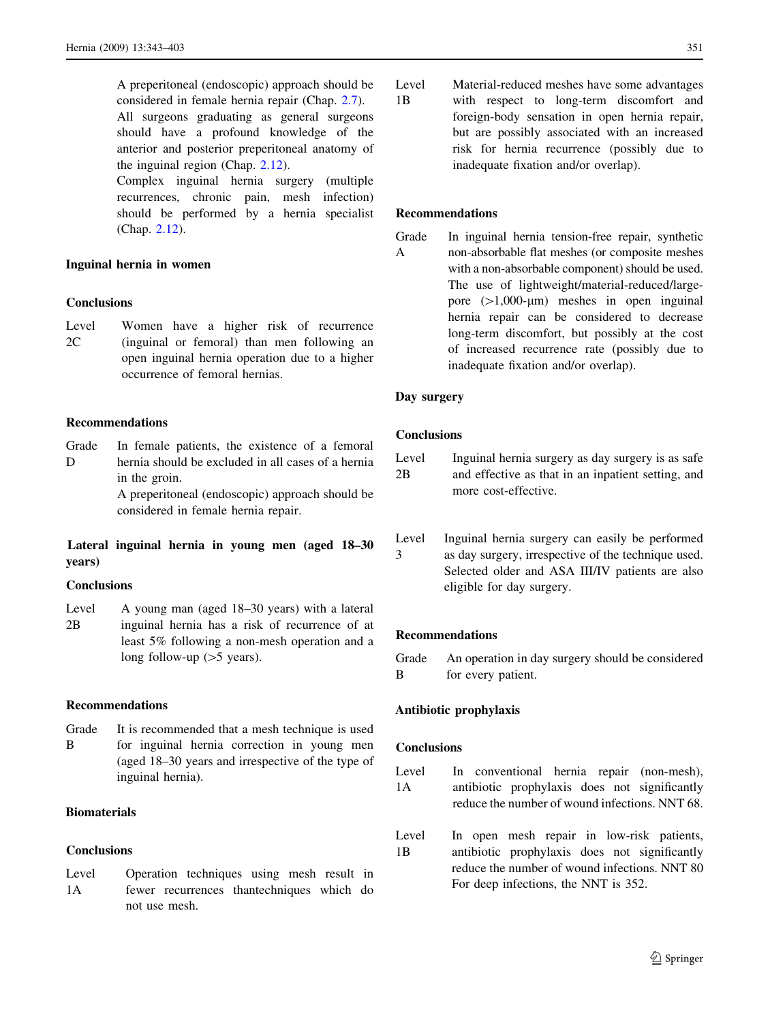A preperitoneal (endoscopic) approach should be considered in female hernia repair (Chap. [2.7\)](#page-29-0). All surgeons graduating as general surgeons should have a profound knowledge of the anterior and posterior preperitoneal anatomy of the inguinal region (Chap. [2.12\)](#page-34-0). Complex inguinal hernia surgery (multiple

recurrences, chronic pain, mesh infection) should be performed by a hernia specialist (Chap. [2.12](#page-34-0)).

#### Inguinal hernia in women

#### **Conclusions**

Level  $2C$ Women have a higher risk of recurrence (inguinal or femoral) than men following an open inguinal hernia operation due to a higher occurrence of femoral hernias.

#### Recommendations

Grade D In female patients, the existence of a femoral hernia should be excluded in all cases of a hernia in the groin.

> A preperitoneal (endoscopic) approach should be considered in female hernia repair.

## Lateral inguinal hernia in young men (aged 18–30 years)

### **Conclusions**

Level 2B A young man (aged 18–30 years) with a lateral inguinal hernia has a risk of recurrence of at least 5% following a non-mesh operation and a long follow-up  $(>5$  years).

## Recommendations

Grade B It is recommended that a mesh technique is used for inguinal hernia correction in young men (aged 18–30 years and irrespective of the type of inguinal hernia).

## **Biomaterials**

### Conclusions

Level 1A Operation techniques using mesh result in fewer recurrences thantechniques which do not use mesh.

Level 1B Material-reduced meshes have some advantages with respect to long-term discomfort and foreign-body sensation in open hernia repair, but are possibly associated with an increased risk for hernia recurrence (possibly due to inadequate fixation and/or overlap).

### Recommendations

Grade A In inguinal hernia tension-free repair, synthetic non-absorbable flat meshes (or composite meshes with a non-absorbable component) should be used. The use of lightweight/material-reduced/largepore  $(>1,000$ -µm) meshes in open inguinal hernia repair can be considered to decrease long-term discomfort, but possibly at the cost of increased recurrence rate (possibly due to inadequate fixation and/or overlap).

#### Day surgery

### Conclusions

| Level | Inguinal hernia surgery as day surgery is as safe  |
|-------|----------------------------------------------------|
| 2B    | and effective as that in an inpatient setting, and |
|       | more cost-effective.                               |

Level 3 Inguinal hernia surgery can easily be performed as day surgery, irrespective of the technique used. Selected older and ASA III/IV patients are also eligible for day surgery.

## Recommendations

Grade B An operation in day surgery should be considered for every patient.

### Antibiotic prophylaxis

### Conclusions

Level 1A In conventional hernia repair (non-mesh), antibiotic prophylaxis does not significantly reduce the number of wound infections. NNT 68.

Level 1B In open mesh repair in low-risk patients, antibiotic prophylaxis does not significantly reduce the number of wound infections. NNT 80 For deep infections, the NNT is 352.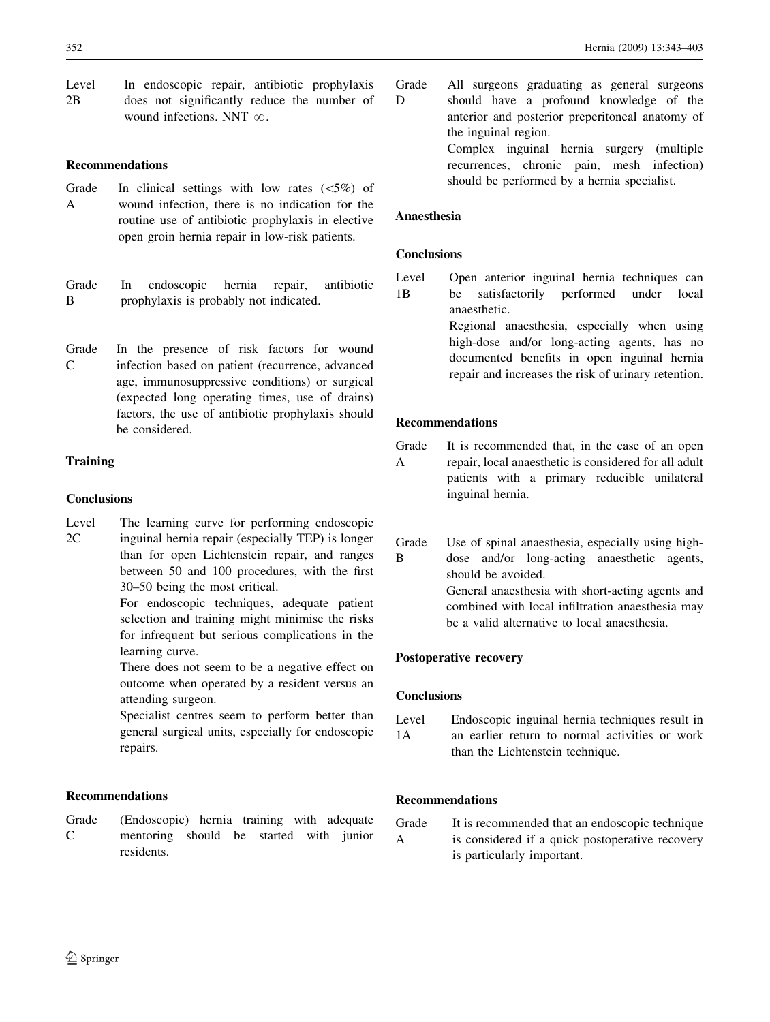Level 2B In endoscopic repair, antibiotic prophylaxis does not significantly reduce the number of wound infections. NNT  $\infty$ .

## Recommendations

Grade A In clinical settings with low rates  $(\leq 5\%)$  of wound infection, there is no indication for the routine use of antibiotic prophylaxis in elective open groin hernia repair in low-risk patients.

| Grade | In endoscopic hernia repair, antibiotic |  |  |  |  |  |
|-------|-----------------------------------------|--|--|--|--|--|
| B     | prophylaxis is probably not indicated.  |  |  |  |  |  |

Grade  $\mathcal{C}$ In the presence of risk factors for wound infection based on patient (recurrence, advanced age, immunosuppressive conditions) or surgical (expected long operating times, use of drains) factors, the use of antibiotic prophylaxis should be considered.

## **Training**

## **Conclusions**

Level 2C The learning curve for performing endoscopic inguinal hernia repair (especially TEP) is longer than for open Lichtenstein repair, and ranges between 50 and 100 procedures, with the first 30–50 being the most critical.

> For endoscopic techniques, adequate patient selection and training might minimise the risks for infrequent but serious complications in the learning curve.

> There does not seem to be a negative effect on outcome when operated by a resident versus an attending surgeon.

> Specialist centres seem to perform better than general surgical units, especially for endoscopic repairs.

## Recommendations

- Grade  $\mathcal{C}$ (Endoscopic) hernia training with adequate mentoring should be started with junior residents.
- 2 Springer

Grade D All surgeons graduating as general surgeons should have a profound knowledge of the anterior and posterior preperitoneal anatomy of the inguinal region. Complex inguinal hernia surgery (multiple recurrences, chronic pain, mesh infection) should be performed by a hernia specialist.

## Anaesthesia

## **Conclusions**

Level 1B Open anterior inguinal hernia techniques can

be satisfactorily performed under local anaesthetic. Regional anaesthesia, especially when using high-dose and/or long-acting agents, has no documented benefits in open inguinal hernia

repair and increases the risk of urinary retention.

## Recommendations

- Grade A It is recommended that, in the case of an open repair, local anaesthetic is considered for all adult patients with a primary reducible unilateral inguinal hernia.
- Grade B Use of spinal anaesthesia, especially using highdose and/or long-acting anaesthetic agents, should be avoided. General anaesthesia with short-acting agents and combined with local infiltration anaesthesia may be a valid alternative to local anaesthesia.

## Postoperative recovery

### **Conclusions**

Level 1A Endoscopic inguinal hernia techniques result in an earlier return to normal activities or work than the Lichtenstein technique.

### Recommendations

Grade A It is recommended that an endoscopic technique is considered if a quick postoperative recovery is particularly important.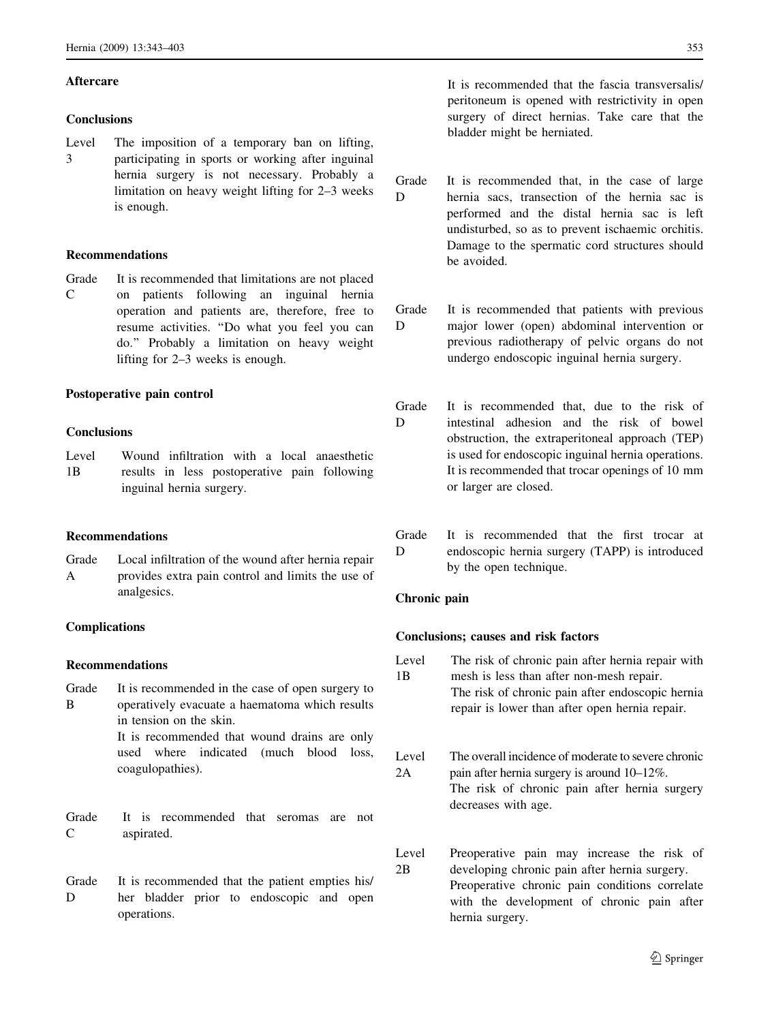#### Aftercare

### Conclusions

Level 3 The imposition of a temporary ban on lifting, participating in sports or working after inguinal hernia surgery is not necessary. Probably a limitation on heavy weight lifting for 2–3 weeks is enough.

#### Recommendations

Grade C It is recommended that limitations are not placed on patients following an inguinal hernia operation and patients are, therefore, free to resume activities. ''Do what you feel you can do.'' Probably a limitation on heavy weight lifting for 2–3 weeks is enough.

#### Postoperative pain control

#### **Conclusions**

Level 1B Wound infiltration with a local anaesthetic results in less postoperative pain following inguinal hernia surgery.

#### Recommendations

Grade A Local infiltration of the wound after hernia repair provides extra pain control and limits the use of analgesics.

## Complications

### Recommendations

Grade B It is recommended in the case of open surgery to operatively evacuate a haematoma which results in tension on the skin. It is recommended that wound drains are only used where indicated (much blood loss, coagulopathies).

|   |            | Grade It is recommended that seromas are not |  |  |
|---|------------|----------------------------------------------|--|--|
| C | aspirated. |                                              |  |  |

Grade D It is recommended that the patient empties his/ her bladder prior to endoscopic and open operations.

It is recommended that the fascia transversalis/ peritoneum is opened with restrictivity in open surgery of direct hernias. Take care that the bladder might be herniated.

- Grade D It is recommended that, in the case of large hernia sacs, transection of the hernia sac is performed and the distal hernia sac is left undisturbed, so as to prevent ischaemic orchitis. Damage to the spermatic cord structures should be avoided.
- Grade D It is recommended that patients with previous major lower (open) abdominal intervention or previous radiotherapy of pelvic organs do not undergo endoscopic inguinal hernia surgery.
- Grade D It is recommended that, due to the risk of intestinal adhesion and the risk of bowel obstruction, the extraperitoneal approach (TEP) is used for endoscopic inguinal hernia operations. It is recommended that trocar openings of 10 mm or larger are closed.
- Grade D It is recommended that the first trocar at endoscopic hernia surgery (TAPP) is introduced by the open technique.

### Chronic pain

#### Conclusions; causes and risk factors

Level 1B The risk of chronic pain after hernia repair with mesh is less than after non-mesh repair. The risk of chronic pain after endoscopic hernia repair is lower than after open hernia repair. Level The overall incidence of moderate to severe chronic

2A pain after hernia surgery is around 10–12%. The risk of chronic pain after hernia surgery decreases with age.

Level 2B Preoperative pain may increase the risk of developing chronic pain after hernia surgery. Preoperative chronic pain conditions correlate with the development of chronic pain after hernia surgery.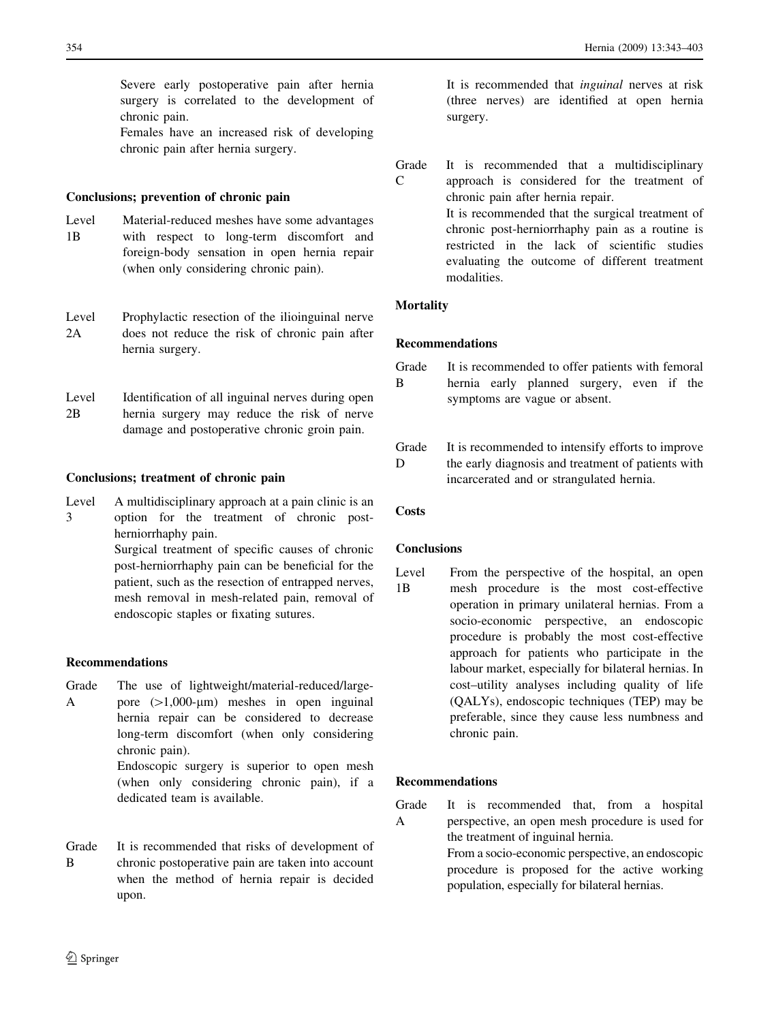Severe early postoperative pain after hernia surgery is correlated to the development of chronic pain.

Females have an increased risk of developing chronic pain after hernia surgery.

## Conclusions; prevention of chronic pain

Level 1B Material-reduced meshes have some advantages with respect to long-term discomfort and foreign-body sensation in open hernia repair (when only considering chronic pain).

Level 2A Prophylactic resection of the ilioinguinal nerve does not reduce the risk of chronic pain after hernia surgery.

Level 2B Identification of all inguinal nerves during open hernia surgery may reduce the risk of nerve damage and postoperative chronic groin pain.

## Conclusions; treatment of chronic pain

Level 3 A multidisciplinary approach at a pain clinic is an option for the treatment of chronic postherniorrhaphy pain.

Surgical treatment of specific causes of chronic post-herniorrhaphy pain can be beneficial for the patient, such as the resection of entrapped nerves, mesh removal in mesh-related pain, removal of endoscopic staples or fixating sutures.

### Recommendations

Grade A The use of lightweight/material-reduced/largepore  $(>1,000$ - $\mu$ m) meshes in open inguinal hernia repair can be considered to decrease long-term discomfort (when only considering chronic pain). Endoscopic surgery is superior to open mesh

(when only considering chronic pain), if a dedicated team is available.

Grade B It is recommended that risks of development of chronic postoperative pain are taken into account when the method of hernia repair is decided upon.

Grade  $\mathcal{C}$ 

It is recommended that a multidisciplinary approach is considered for the treatment of chronic pain after hernia repair.

It is recommended that the surgical treatment of chronic post-herniorrhaphy pain as a routine is restricted in the lack of scientific studies evaluating the outcome of different treatment modalities.

## **Mortality**

## Recommendations

|   |  |                               | Grade It is recommended to offer patients with femoral |  |  |
|---|--|-------------------------------|--------------------------------------------------------|--|--|
| B |  |                               | hernia early planned surgery, even if the              |  |  |
|   |  | symptoms are vague or absent. |                                                        |  |  |

Grade D It is recommended to intensify efforts to improve the early diagnosis and treatment of patients with incarcerated and or strangulated hernia.

### **Costs**

## **Conclusions**

Level 1B From the perspective of the hospital, an open mesh procedure is the most cost-effective operation in primary unilateral hernias. From a socio-economic perspective, an endoscopic procedure is probably the most cost-effective approach for patients who participate in the labour market, especially for bilateral hernias. In cost–utility analyses including quality of life (QALYs), endoscopic techniques (TEP) may be preferable, since they cause less numbness and chronic pain.

## Recommendations

Grade A

It is recommended that, from a hospital perspective, an open mesh procedure is used for the treatment of inguinal hernia. From a socio-economic perspective, an endoscopic

procedure is proposed for the active working population, especially for bilateral hernias.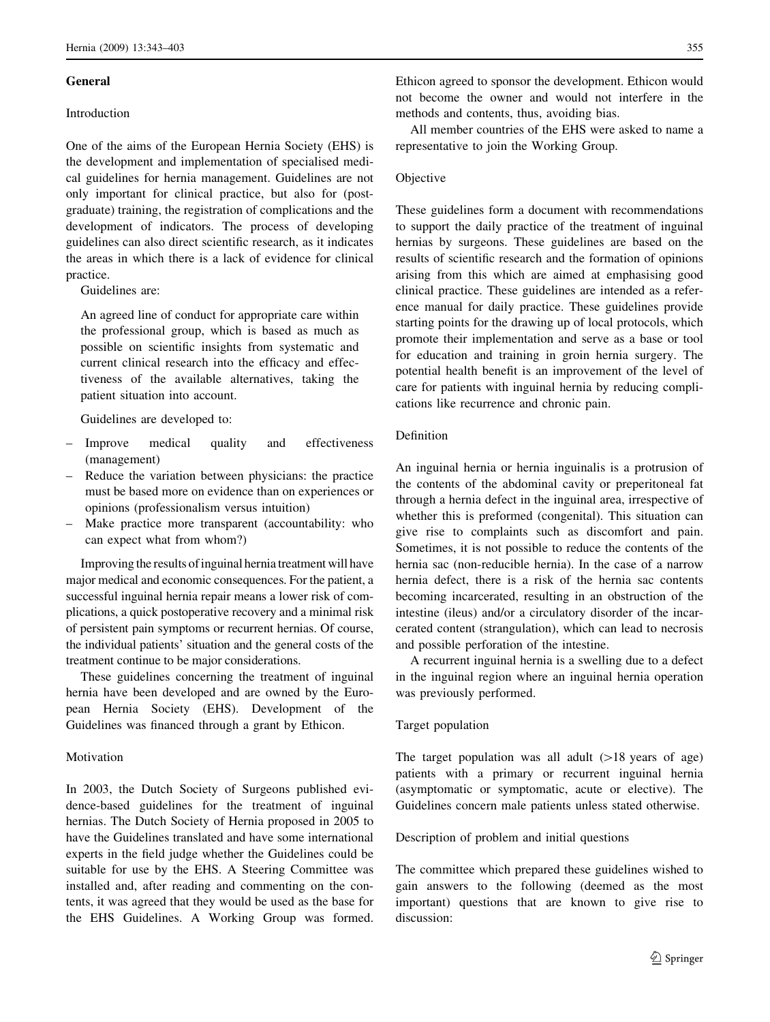#### General

## Introduction

One of the aims of the European Hernia Society (EHS) is the development and implementation of specialised medical guidelines for hernia management. Guidelines are not only important for clinical practice, but also for (postgraduate) training, the registration of complications and the development of indicators. The process of developing guidelines can also direct scientific research, as it indicates the areas in which there is a lack of evidence for clinical practice.

Guidelines are:

An agreed line of conduct for appropriate care within the professional group, which is based as much as possible on scientific insights from systematic and current clinical research into the efficacy and effectiveness of the available alternatives, taking the patient situation into account.

Guidelines are developed to:

- Improve medical quality and effectiveness (management)
- Reduce the variation between physicians: the practice must be based more on evidence than on experiences or opinions (professionalism versus intuition)
- Make practice more transparent (accountability: who can expect what from whom?)

Improving the results of inguinal hernia treatment will have major medical and economic consequences. For the patient, a successful inguinal hernia repair means a lower risk of complications, a quick postoperative recovery and a minimal risk of persistent pain symptoms or recurrent hernias. Of course, the individual patients' situation and the general costs of the treatment continue to be major considerations.

These guidelines concerning the treatment of inguinal hernia have been developed and are owned by the European Hernia Society (EHS). Development of the Guidelines was financed through a grant by Ethicon.

#### Motivation

In 2003, the Dutch Society of Surgeons published evidence-based guidelines for the treatment of inguinal hernias. The Dutch Society of Hernia proposed in 2005 to have the Guidelines translated and have some international experts in the field judge whether the Guidelines could be suitable for use by the EHS. A Steering Committee was installed and, after reading and commenting on the contents, it was agreed that they would be used as the base for the EHS Guidelines. A Working Group was formed.

Ethicon agreed to sponsor the development. Ethicon would not become the owner and would not interfere in the methods and contents, thus, avoiding bias.

All member countries of the EHS were asked to name a representative to join the Working Group.

### Objective

These guidelines form a document with recommendations to support the daily practice of the treatment of inguinal hernias by surgeons. These guidelines are based on the results of scientific research and the formation of opinions arising from this which are aimed at emphasising good clinical practice. These guidelines are intended as a reference manual for daily practice. These guidelines provide starting points for the drawing up of local protocols, which promote their implementation and serve as a base or tool for education and training in groin hernia surgery. The potential health benefit is an improvement of the level of care for patients with inguinal hernia by reducing complications like recurrence and chronic pain.

#### Definition

An inguinal hernia or hernia inguinalis is a protrusion of the contents of the abdominal cavity or preperitoneal fat through a hernia defect in the inguinal area, irrespective of whether this is preformed (congenital). This situation can give rise to complaints such as discomfort and pain. Sometimes, it is not possible to reduce the contents of the hernia sac (non-reducible hernia). In the case of a narrow hernia defect, there is a risk of the hernia sac contents becoming incarcerated, resulting in an obstruction of the intestine (ileus) and/or a circulatory disorder of the incarcerated content (strangulation), which can lead to necrosis and possible perforation of the intestine.

A recurrent inguinal hernia is a swelling due to a defect in the inguinal region where an inguinal hernia operation was previously performed.

#### Target population

The target population was all adult  $(>18$  years of age) patients with a primary or recurrent inguinal hernia (asymptomatic or symptomatic, acute or elective). The Guidelines concern male patients unless stated otherwise.

### Description of problem and initial questions

The committee which prepared these guidelines wished to gain answers to the following (deemed as the most important) questions that are known to give rise to discussion: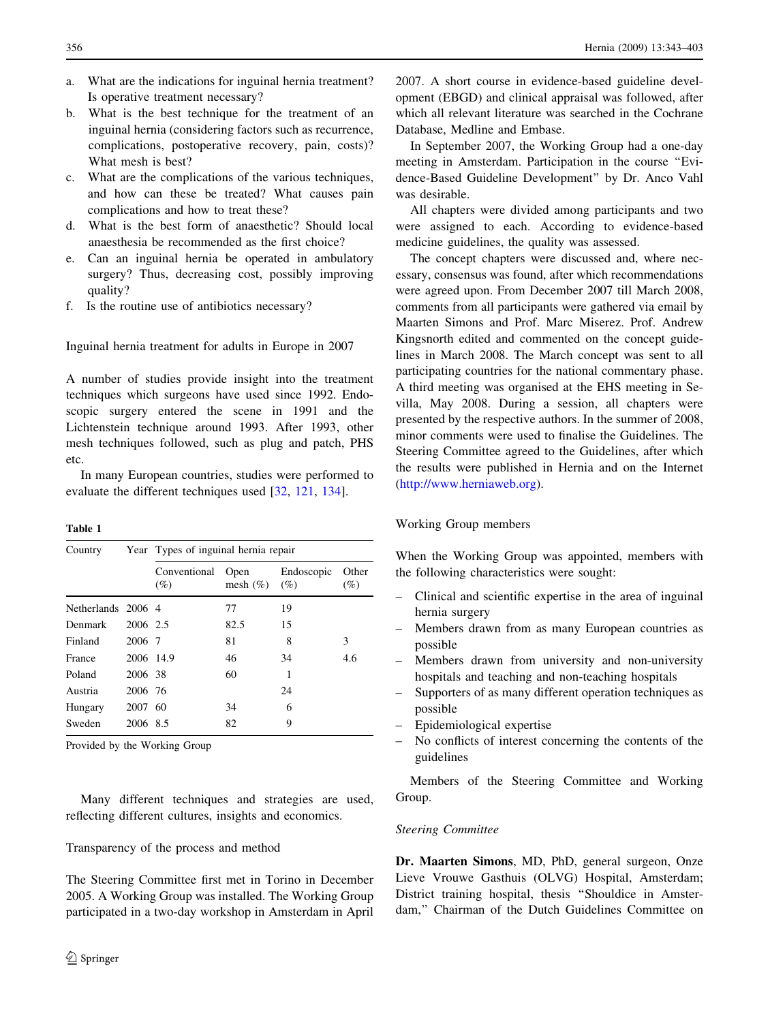- a. What are the indications for inguinal hernia treatment? Is operative treatment necessary?
- b. What is the best technique for the treatment of an inguinal hernia (considering factors such as recurrence, complications, postoperative recovery, pain, costs)? What mesh is best?
- c. What are the complications of the various techniques, and how can these be treated? What causes pain complications and how to treat these?
- d. What is the best form of anaesthetic? Should local anaesthesia be recommended as the first choice?
- e. Can an inguinal hernia be operated in ambulatory surgery? Thus, decreasing cost, possibly improving quality?
- f. Is the routine use of antibiotics necessary?

Inguinal hernia treatment for adults in Europe in 2007

A number of studies provide insight into the treatment techniques which surgeons have used since 1992. Endoscopic surgery entered the scene in 1991 and the Lichtenstein technique around 1993. After 1993, other mesh techniques followed, such as plug and patch, PHS etc.

In many European countries, studies were performed to evaluate the different techniques used [\[32](#page-53-0), [121](#page-55-0), [134\]](#page-55-0).

#### Table 1

| Country            |           | Year Types of inguinal hernia repair |                      |                   |                 |
|--------------------|-----------|--------------------------------------|----------------------|-------------------|-----------------|
|                    |           | Conventional<br>(%)                  | Open<br>mesh $(\% )$ | Endoscopic<br>(%) | Other<br>$(\%)$ |
| Netherlands 2006 4 |           |                                      | 77                   | 19                |                 |
| Denmark            | 2006 2.5  |                                      | 82.5                 | 15                |                 |
| Finland            | 2006 7    |                                      | 81                   | 8                 | 3               |
| France             | 2006 14.9 |                                      | 46                   | 34                | 4.6             |
| Poland             | 2006 38   |                                      | 60                   | 1                 |                 |
| Austria            | 2006 76   |                                      |                      | 24                |                 |
| Hungary            | 2007 60   |                                      | 34                   | 6                 |                 |
| Sweden             | 2006 8.5  |                                      | 82                   | 9                 |                 |

Provided by the Working Group

Many different techniques and strategies are used, reflecting different cultures, insights and economics.

### Transparency of the process and method

The Steering Committee first met in Torino in December 2005. A Working Group was installed. The Working Group participated in a two-day workshop in Amsterdam in April

2007. A short course in evidence-based guideline development (EBGD) and clinical appraisal was followed, after which all relevant literature was searched in the Cochrane Database, Medline and Embase.

In September 2007, the Working Group had a one-day meeting in Amsterdam. Participation in the course ''Evidence-Based Guideline Development'' by Dr. Anco Vahl was desirable.

All chapters were divided among participants and two were assigned to each. According to evidence-based medicine guidelines, the quality was assessed.

The concept chapters were discussed and, where necessary, consensus was found, after which recommendations were agreed upon. From December 2007 till March 2008, comments from all participants were gathered via email by Maarten Simons and Prof. Marc Miserez. Prof. Andrew Kingsnorth edited and commented on the concept guidelines in March 2008. The March concept was sent to all participating countries for the national commentary phase. A third meeting was organised at the EHS meeting in Sevilla, May 2008. During a session, all chapters were presented by the respective authors. In the summer of 2008, minor comments were used to finalise the Guidelines. The Steering Committee agreed to the Guidelines, after which the results were published in Hernia and on the Internet [\(http://www.herniaweb.org\)](http://www.herniaweb.org).

### Working Group members

When the Working Group was appointed, members with the following characteristics were sought:

- Clinical and scientific expertise in the area of inguinal hernia surgery
- Members drawn from as many European countries as possible
- Members drawn from university and non-university hospitals and teaching and non-teaching hospitals
- Supporters of as many different operation techniques as possible
- Epidemiological expertise
- No conflicts of interest concerning the contents of the guidelines

Members of the Steering Committee and Working Group.

### Steering Committee

Dr. Maarten Simons, MD, PhD, general surgeon, Onze Lieve Vrouwe Gasthuis (OLVG) Hospital, Amsterdam; District training hospital, thesis ''Shouldice in Amsterdam,'' Chairman of the Dutch Guidelines Committee on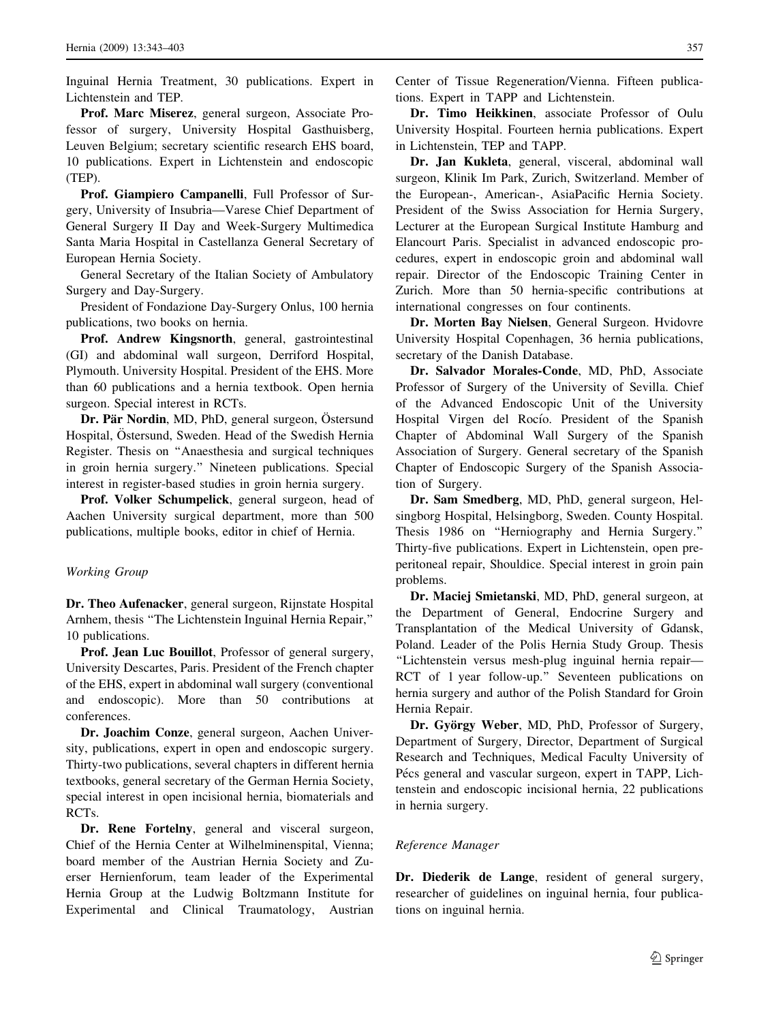Inguinal Hernia Treatment, 30 publications. Expert in Lichtenstein and TEP.

Prof. Marc Miserez, general surgeon, Associate Professor of surgery, University Hospital Gasthuisberg, Leuven Belgium; secretary scientific research EHS board, 10 publications. Expert in Lichtenstein and endoscopic (TEP).

Prof. Giampiero Campanelli, Full Professor of Surgery, University of Insubria—Varese Chief Department of General Surgery II Day and Week-Surgery Multimedica Santa Maria Hospital in Castellanza General Secretary of European Hernia Society.

General Secretary of the Italian Society of Ambulatory Surgery and Day-Surgery.

President of Fondazione Day-Surgery Onlus, 100 hernia publications, two books on hernia.

Prof. Andrew Kingsnorth, general, gastrointestinal (GI) and abdominal wall surgeon, Derriford Hospital, Plymouth. University Hospital. President of the EHS. More than 60 publications and a hernia textbook. Open hernia surgeon. Special interest in RCTs.

Dr. Pär Nordin, MD, PhD, general surgeon, Östersund Hospital, Östersund, Sweden. Head of the Swedish Hernia Register. Thesis on ''Anaesthesia and surgical techniques in groin hernia surgery.'' Nineteen publications. Special interest in register-based studies in groin hernia surgery.

Prof. Volker Schumpelick, general surgeon, head of Aachen University surgical department, more than 500 publications, multiple books, editor in chief of Hernia.

#### Working Group

Dr. Theo Aufenacker, general surgeon, Rijnstate Hospital Arnhem, thesis ''The Lichtenstein Inguinal Hernia Repair,'' 10 publications.

Prof. Jean Luc Bouillot, Professor of general surgery, University Descartes, Paris. President of the French chapter of the EHS, expert in abdominal wall surgery (conventional and endoscopic). More than 50 contributions at conferences.

Dr. Joachim Conze, general surgeon, Aachen University, publications, expert in open and endoscopic surgery. Thirty-two publications, several chapters in different hernia textbooks, general secretary of the German Hernia Society, special interest in open incisional hernia, biomaterials and RCTs.

Dr. Rene Fortelny, general and visceral surgeon, Chief of the Hernia Center at Wilhelminenspital, Vienna; board member of the Austrian Hernia Society and Zuerser Hernienforum, team leader of the Experimental Hernia Group at the Ludwig Boltzmann Institute for Experimental and Clinical Traumatology, Austrian Center of Tissue Regeneration/Vienna. Fifteen publications. Expert in TAPP and Lichtenstein.

Dr. Timo Heikkinen, associate Professor of Oulu University Hospital. Fourteen hernia publications. Expert in Lichtenstein, TEP and TAPP.

Dr. Jan Kukleta, general, visceral, abdominal wall surgeon, Klinik Im Park, Zurich, Switzerland. Member of the European-, American-, AsiaPacific Hernia Society. President of the Swiss Association for Hernia Surgery, Lecturer at the European Surgical Institute Hamburg and Elancourt Paris. Specialist in advanced endoscopic procedures, expert in endoscopic groin and abdominal wall repair. Director of the Endoscopic Training Center in Zurich. More than 50 hernia-specific contributions at international congresses on four continents.

Dr. Morten Bay Nielsen, General Surgeon. Hvidovre University Hospital Copenhagen, 36 hernia publications, secretary of the Danish Database.

Dr. Salvador Morales-Conde, MD, PhD, Associate Professor of Surgery of the University of Sevilla. Chief of the Advanced Endoscopic Unit of the University Hospital Virgen del Rocío. President of the Spanish Chapter of Abdominal Wall Surgery of the Spanish Association of Surgery. General secretary of the Spanish Chapter of Endoscopic Surgery of the Spanish Association of Surgery.

Dr. Sam Smedberg, MD, PhD, general surgeon, Helsingborg Hospital, Helsingborg, Sweden. County Hospital. Thesis 1986 on ''Herniography and Hernia Surgery.'' Thirty-five publications. Expert in Lichtenstein, open preperitoneal repair, Shouldice. Special interest in groin pain problems.

Dr. Maciej Smietanski, MD, PhD, general surgeon, at the Department of General, Endocrine Surgery and Transplantation of the Medical University of Gdansk, Poland. Leader of the Polis Hernia Study Group. Thesis ''Lichtenstein versus mesh-plug inguinal hernia repair— RCT of 1 year follow-up.'' Seventeen publications on hernia surgery and author of the Polish Standard for Groin Hernia Repair.

Dr. György Weber, MD, PhD, Professor of Surgery, Department of Surgery, Director, Department of Surgical Research and Techniques, Medical Faculty University of Pécs general and vascular surgeon, expert in TAPP, Lichtenstein and endoscopic incisional hernia, 22 publications in hernia surgery.

#### Reference Manager

Dr. Diederik de Lange, resident of general surgery, researcher of guidelines on inguinal hernia, four publications on inguinal hernia.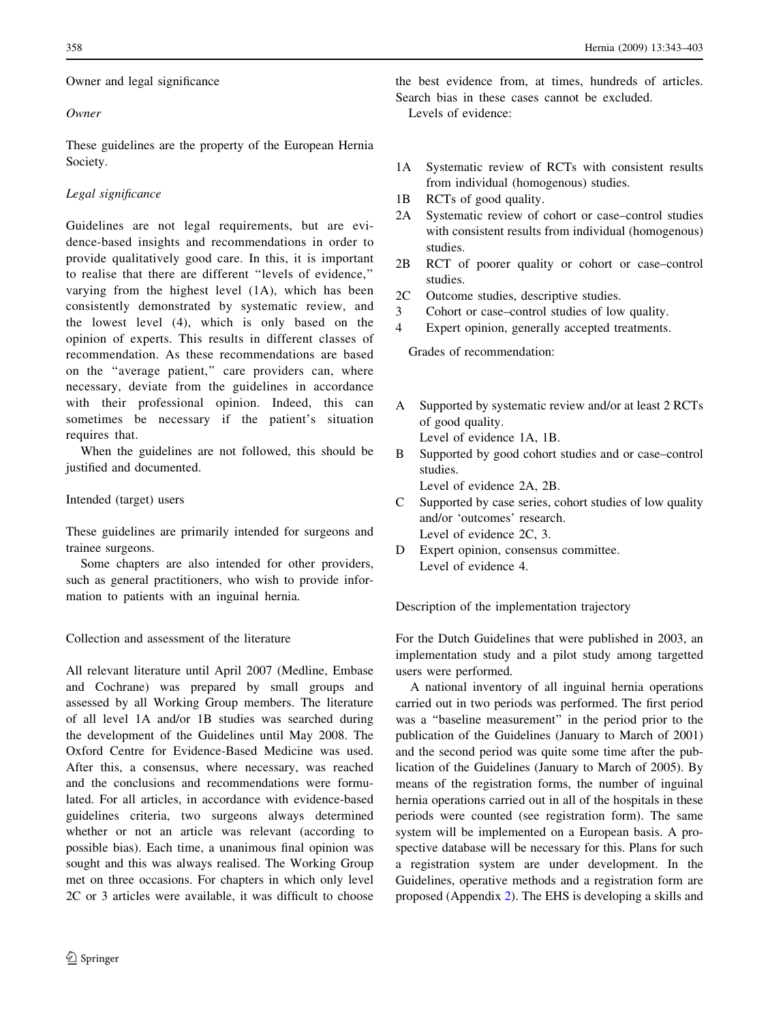### Owner and legal significance

#### Owner

These guidelines are the property of the European Hernia Society.

### Legal significance

Guidelines are not legal requirements, but are evidence-based insights and recommendations in order to provide qualitatively good care. In this, it is important to realise that there are different ''levels of evidence,'' varying from the highest level (1A), which has been consistently demonstrated by systematic review, and the lowest level (4), which is only based on the opinion of experts. This results in different classes of recommendation. As these recommendations are based on the ''average patient,'' care providers can, where necessary, deviate from the guidelines in accordance with their professional opinion. Indeed, this can sometimes be necessary if the patient's situation requires that.

When the guidelines are not followed, this should be justified and documented.

#### Intended (target) users

These guidelines are primarily intended for surgeons and trainee surgeons.

Some chapters are also intended for other providers, such as general practitioners, who wish to provide information to patients with an inguinal hernia.

Collection and assessment of the literature

All relevant literature until April 2007 (Medline, Embase and Cochrane) was prepared by small groups and assessed by all Working Group members. The literature of all level 1A and/or 1B studies was searched during the development of the Guidelines until May 2008. The Oxford Centre for Evidence-Based Medicine was used. After this, a consensus, where necessary, was reached and the conclusions and recommendations were formulated. For all articles, in accordance with evidence-based guidelines criteria, two surgeons always determined whether or not an article was relevant (according to possible bias). Each time, a unanimous final opinion was sought and this was always realised. The Working Group met on three occasions. For chapters in which only level 2C or 3 articles were available, it was difficult to choose the best evidence from, at times, hundreds of articles. Search bias in these cases cannot be excluded.

Levels of evidence:

- 1A Systematic review of RCTs with consistent results from individual (homogenous) studies.
- 1B RCTs of good quality.
- 2A Systematic review of cohort or case–control studies with consistent results from individual (homogenous) studies.
- 2B RCT of poorer quality or cohort or case–control studies.
- 2C Outcome studies, descriptive studies.
- 3 Cohort or case–control studies of low quality.
- 4 Expert opinion, generally accepted treatments.

Grades of recommendation:

A Supported by systematic review and/or at least 2 RCTs of good quality.

Level of evidence 1A, 1B.

B Supported by good cohort studies and or case–control studies.

Level of evidence 2A, 2B.

- C Supported by case series, cohort studies of low quality and/or 'outcomes' research. Level of evidence 2C, 3.
- D Expert opinion, consensus committee. Level of evidence 4.

Description of the implementation trajectory

For the Dutch Guidelines that were published in 2003, an implementation study and a pilot study among targetted users were performed.

A national inventory of all inguinal hernia operations carried out in two periods was performed. The first period was a ''baseline measurement'' in the period prior to the publication of the Guidelines (January to March of 2001) and the second period was quite some time after the publication of the Guidelines (January to March of 2005). By means of the registration forms, the number of inguinal hernia operations carried out in all of the hospitals in these periods were counted (see registration form). The same system will be implemented on a European basis. A prospective database will be necessary for this. Plans for such a registration system are under development. In the Guidelines, operative methods and a registration form are proposed (Appendix [2](#page-46-0)). The EHS is developing a skills and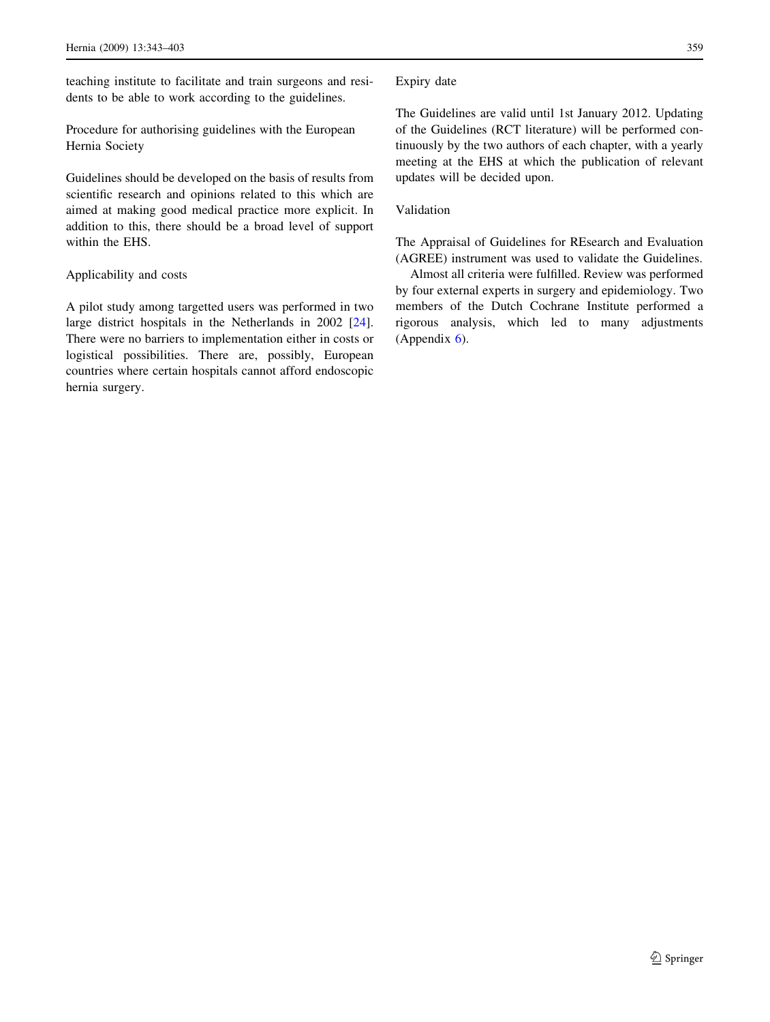teaching institute to facilitate and train surgeons and residents to be able to work according to the guidelines.

Procedure for authorising guidelines with the European Hernia Society

Guidelines should be developed on the basis of results from scientific research and opinions related to this which are aimed at making good medical practice more explicit. In addition to this, there should be a broad level of support within the EHS.

#### Applicability and costs

A pilot study among targetted users was performed in two large district hospitals in the Netherlands in 2002 [\[24](#page-52-0)]. There were no barriers to implementation either in costs or logistical possibilities. There are, possibly, European countries where certain hospitals cannot afford endoscopic hernia surgery.

Expiry date

The Guidelines are valid until 1st January 2012. Updating of the Guidelines (RCT literature) will be performed continuously by the two authors of each chapter, with a yearly meeting at the EHS at which the publication of relevant updates will be decided upon.

Validation

The Appraisal of Guidelines for REsearch and Evaluation (AGREE) instrument was used to validate the Guidelines.

Almost all criteria were fulfilled. Review was performed by four external experts in surgery and epidemiology. Two members of the Dutch Cochrane Institute performed a rigorous analysis, which led to many adjustments (Appendix [6](#page-50-0)).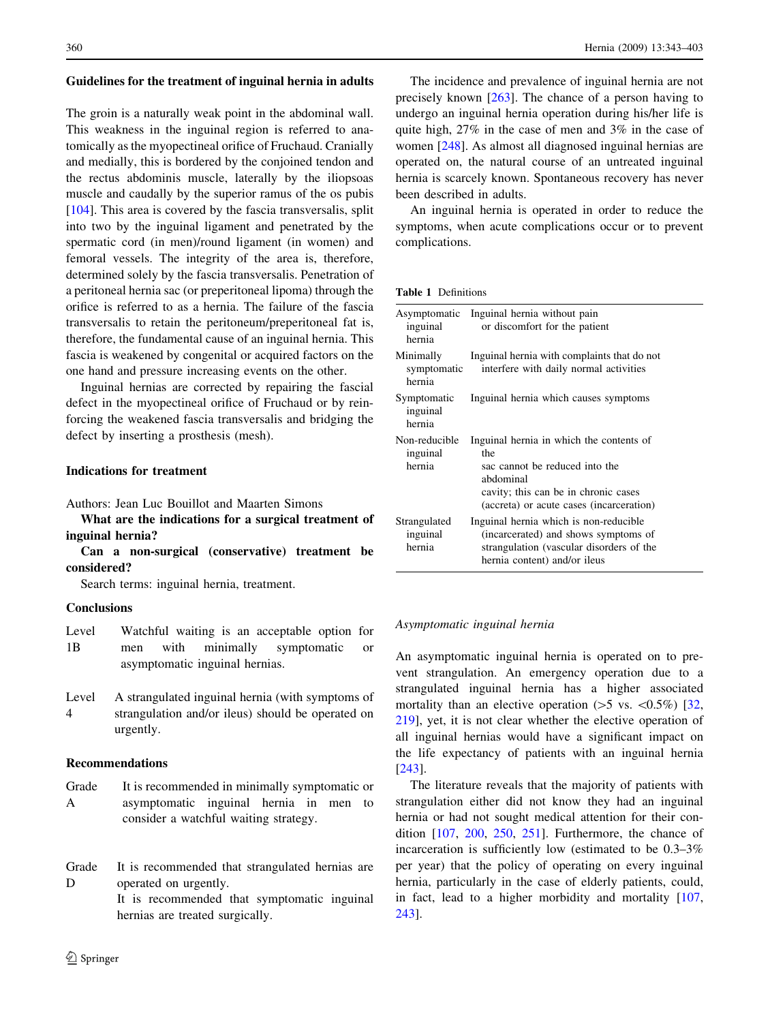#### <span id="page-17-0"></span>Guidelines for the treatment of inguinal hernia in adults

The groin is a naturally weak point in the abdominal wall. This weakness in the inguinal region is referred to anatomically as the myopectineal orifice of Fruchaud. Cranially and medially, this is bordered by the conjoined tendon and the rectus abdominis muscle, laterally by the iliopsoas muscle and caudally by the superior ramus of the os pubis [\[104](#page-54-0)]. This area is covered by the fascia transversalis, split into two by the inguinal ligament and penetrated by the spermatic cord (in men)/round ligament (in women) and femoral vessels. The integrity of the area is, therefore, determined solely by the fascia transversalis. Penetration of a peritoneal hernia sac (or preperitoneal lipoma) through the orifice is referred to as a hernia. The failure of the fascia transversalis to retain the peritoneum/preperitoneal fat is, therefore, the fundamental cause of an inguinal hernia. This fascia is weakened by congenital or acquired factors on the one hand and pressure increasing events on the other.

Inguinal hernias are corrected by repairing the fascial defect in the myopectineal orifice of Fruchaud or by reinforcing the weakened fascia transversalis and bridging the defect by inserting a prosthesis (mesh).

## Indications for treatment

Authors: Jean Luc Bouillot and Maarten Simons

What are the indications for a surgical treatment of inguinal hernia?

## Can a non-surgical (conservative) treatment be considered?

Search terms: inguinal hernia, treatment.

## **Conclusions**

| Level |     |  | Watchful waiting is an acceptable option for |  |
|-------|-----|--|----------------------------------------------|--|
| 1B    | men |  | with minimally symptomatic or                |  |
|       |     |  |                                              |  |

Level 4 A strangulated inguinal hernia (with symptoms of strangulation and/or ileus) should be operated on urgently.

### Recommendations

- Grade A It is recommended in minimally symptomatic or asymptomatic inguinal hernia in men to consider a watchful waiting strategy.
- Grade D It is recommended that strangulated hernias are operated on urgently.

It is recommended that symptomatic inguinal hernias are treated surgically.

The incidence and prevalence of inguinal hernia are not precisely known [\[263](#page-58-0)]. The chance of a person having to undergo an inguinal hernia operation during his/her life is quite high, 27% in the case of men and 3% in the case of women [[248\]](#page-58-0). As almost all diagnosed inguinal hernias are operated on, the natural course of an untreated inguinal hernia is scarcely known. Spontaneous recovery has never been described in adults.

An inguinal hernia is operated in order to reduce the symptoms, when acute complications occur or to prevent complications.

Table 1 Definitions

| inguinal<br>hernia                  | Asymptomatic Inguinal hernia without pain<br>or discomfort for the patient                                                                                                         |
|-------------------------------------|------------------------------------------------------------------------------------------------------------------------------------------------------------------------------------|
| Minimally<br>symptomatic<br>hernia  | Inguinal hernia with complaints that do not<br>interfere with daily normal activities                                                                                              |
| Symptomatic<br>inguinal<br>hernia   | Inguinal hernia which causes symptoms                                                                                                                                              |
| Non-reducible<br>inguinal<br>hernia | Inguinal hernia in which the contents of<br>the<br>sac cannot be reduced into the<br>abdominal<br>cavity; this can be in chronic cases<br>(accreta) or acute cases (incarceration) |
| Strangulated<br>inguinal<br>hernia  | Inguinal hernia which is non-reducible.<br>(incarcerated) and shows symptoms of<br>strangulation (vascular disorders of the<br>hernia content) and/or ileus                        |

#### Asymptomatic inguinal hernia

An asymptomatic inguinal hernia is operated on to prevent strangulation. An emergency operation due to a strangulated inguinal hernia has a higher associated mortality than an elective operation ( $>$ 5 vs.  $\lt$ 0.5%) [[32,](#page-53-0) [219](#page-57-0)], yet, it is not clear whether the elective operation of all inguinal hernias would have a significant impact on the life expectancy of patients with an inguinal hernia [\[243](#page-58-0)].

The literature reveals that the majority of patients with strangulation either did not know they had an inguinal hernia or had not sought medical attention for their condition [\[107,](#page-55-0) [200,](#page-57-0) [250,](#page-58-0) [251\]](#page-58-0). Furthermore, the chance of incarceration is sufficiently low (estimated to be 0.3–3% per year) that the policy of operating on every inguinal hernia, particularly in the case of elderly patients, could, in fact, lead to a higher morbidity and mortality [[107,](#page-55-0) [243](#page-58-0)].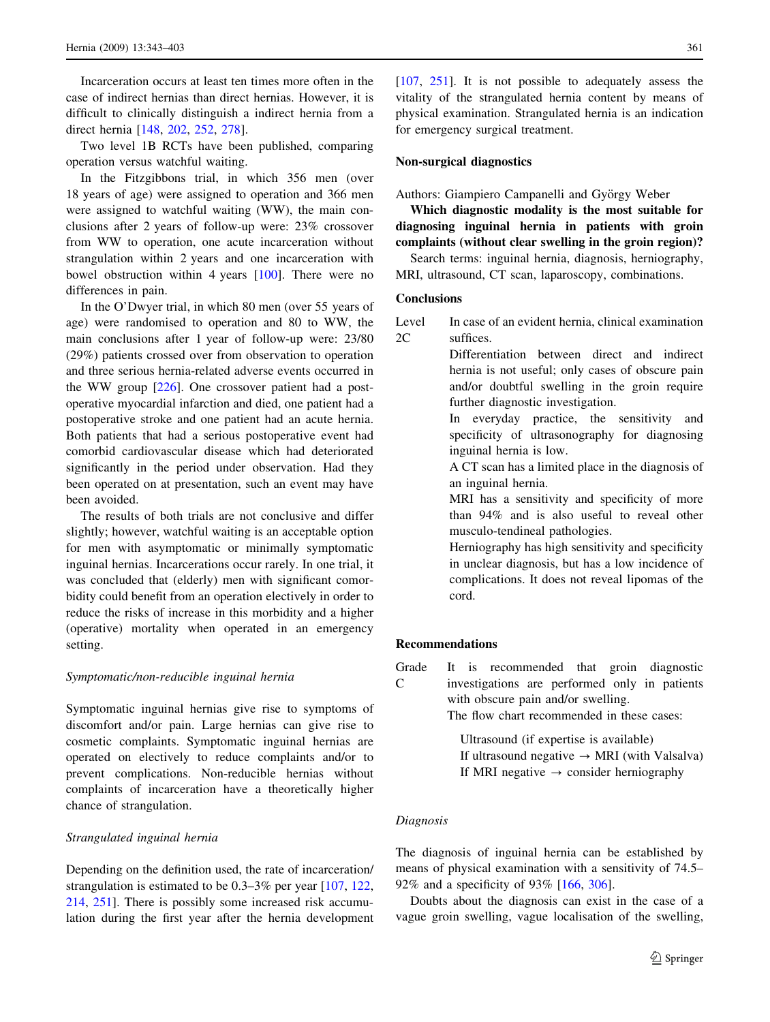Incarceration occurs at least ten times more often in the case of indirect hernias than direct hernias. However, it is difficult to clinically distinguish a indirect hernia from a direct hernia [[148,](#page-55-0) [202,](#page-57-0) [252](#page-58-0), [278](#page-59-0)].

Two level 1B RCTs have been published, comparing operation versus watchful waiting.

In the Fitzgibbons trial, in which 356 men (over 18 years of age) were assigned to operation and 366 men were assigned to watchful waiting (WW), the main conclusions after 2 years of follow-up were: 23% crossover from WW to operation, one acute incarceration without strangulation within 2 years and one incarceration with bowel obstruction within 4 years [[100\]](#page-54-0). There were no differences in pain.

In the O'Dwyer trial, in which 80 men (over 55 years of age) were randomised to operation and 80 to WW, the main conclusions after 1 year of follow-up were: 23/80 (29%) patients crossed over from observation to operation and three serious hernia-related adverse events occurred in the WW group [[226\]](#page-58-0). One crossover patient had a postoperative myocardial infarction and died, one patient had a postoperative stroke and one patient had an acute hernia. Both patients that had a serious postoperative event had comorbid cardiovascular disease which had deteriorated significantly in the period under observation. Had they been operated on at presentation, such an event may have been avoided.

The results of both trials are not conclusive and differ slightly; however, watchful waiting is an acceptable option for men with asymptomatic or minimally symptomatic inguinal hernias. Incarcerations occur rarely. In one trial, it was concluded that (elderly) men with significant comorbidity could benefit from an operation electively in order to reduce the risks of increase in this morbidity and a higher (operative) mortality when operated in an emergency setting.

#### Symptomatic/non-reducible inguinal hernia

Symptomatic inguinal hernias give rise to symptoms of discomfort and/or pain. Large hernias can give rise to cosmetic complaints. Symptomatic inguinal hernias are operated on electively to reduce complaints and/or to prevent complications. Non-reducible hernias without complaints of incarceration have a theoretically higher chance of strangulation.

#### Strangulated inguinal hernia

Depending on the definition used, the rate of incarceration/ strangulation is estimated to be 0.3–3% per year [\[107](#page-55-0), [122,](#page-55-0) [214,](#page-57-0) [251\]](#page-58-0). There is possibly some increased risk accumulation during the first year after the hernia development [\[107](#page-55-0), [251\]](#page-58-0). It is not possible to adequately assess the vitality of the strangulated hernia content by means of physical examination. Strangulated hernia is an indication for emergency surgical treatment.

#### Non-surgical diagnostics

Authors: Giampiero Campanelli and György Weber

Which diagnostic modality is the most suitable for diagnosing inguinal hernia in patients with groin complaints (without clear swelling in the groin region)?

Search terms: inguinal hernia, diagnosis, herniography, MRI, ultrasound, CT scan, laparoscopy, combinations.

#### **Conclusions**

Level  $2C$ In case of an evident hernia, clinical examination suffices.

> Differentiation between direct and indirect hernia is not useful; only cases of obscure pain and/or doubtful swelling in the groin require further diagnostic investigation.

> In everyday practice, the sensitivity and specificity of ultrasonography for diagnosing inguinal hernia is low.

> A CT scan has a limited place in the diagnosis of an inguinal hernia.

> MRI has a sensitivity and specificity of more than 94% and is also useful to reveal other musculo-tendineal pathologies.

> Herniography has high sensitivity and specificity in unclear diagnosis, but has a low incidence of complications. It does not reveal lipomas of the cord.

#### Recommendations

Grade C It is recommended that groin diagnostic investigations are performed only in patients with obscure pain and/or swelling.

The flow chart recommended in these cases:

Ultrasound (if expertise is available) If ultrasound negative  $\rightarrow$  MRI (with Valsalva) If MRI negative  $\rightarrow$  consider herniography

#### Diagnosis

The diagnosis of inguinal hernia can be established by means of physical examination with a sensitivity of 74.5– 92% and a specificity of 93% [\[166](#page-56-0), [306](#page-60-0)].

Doubts about the diagnosis can exist in the case of a vague groin swelling, vague localisation of the swelling,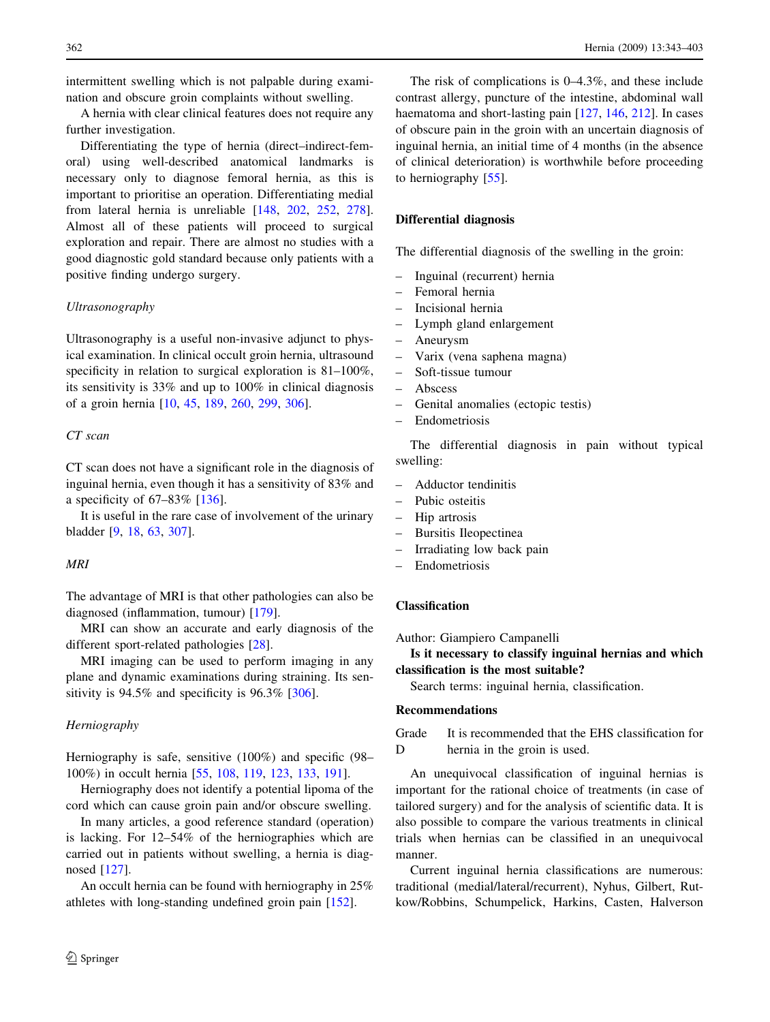intermittent swelling which is not palpable during examination and obscure groin complaints without swelling.

A hernia with clear clinical features does not require any further investigation.

Differentiating the type of hernia (direct–indirect-femoral) using well-described anatomical landmarks is necessary only to diagnose femoral hernia, as this is important to prioritise an operation. Differentiating medial from lateral hernia is unreliable [\[148,](#page-55-0) [202](#page-57-0), [252](#page-58-0), [278](#page-59-0)]. Almost all of these patients will proceed to surgical exploration and repair. There are almost no studies with a good diagnostic gold standard because only patients with a positive finding undergo surgery.

#### Ultrasonography

Ultrasonography is a useful non-invasive adjunct to physical examination. In clinical occult groin hernia, ultrasound specificity in relation to surgical exploration is  $81-100\%$ , its sensitivity is 33% and up to 100% in clinical diagnosis of a groin hernia [[10,](#page-52-0) [45](#page-53-0), [189](#page-57-0), [260,](#page-58-0) [299,](#page-59-0) [306\]](#page-60-0).

### CT scan

CT scan does not have a significant role in the diagnosis of inguinal hernia, even though it has a sensitivity of 83% and a specificity of 67–83% [[136\]](#page-55-0).

It is useful in the rare case of involvement of the urinary bladder [[9,](#page-52-0) [18,](#page-52-0) [63](#page-53-0), [307](#page-60-0)].

## MRI

The advantage of MRI is that other pathologies can also be diagnosed (inflammation, tumour) [\[179](#page-56-0)].

MRI can show an accurate and early diagnosis of the different sport-related pathologies [[28\]](#page-52-0).

MRI imaging can be used to perform imaging in any plane and dynamic examinations during straining. Its sensitivity is 94.5% and specificity is 96.3% [[306\]](#page-60-0).

## Herniography

Herniography is safe, sensitive (100%) and specific (98– 100%) in occult hernia [[55,](#page-53-0) [108](#page-55-0), [119](#page-55-0), [123,](#page-55-0) [133,](#page-55-0) [191\]](#page-57-0).

Herniography does not identify a potential lipoma of the cord which can cause groin pain and/or obscure swelling.

In many articles, a good reference standard (operation) is lacking. For 12–54% of the herniographies which are carried out in patients without swelling, a hernia is diagnosed [[127\]](#page-55-0).

An occult hernia can be found with herniography in 25% athletes with long-standing undefined groin pain [[152](#page-56-0)].

The risk of complications is 0–4.3%, and these include contrast allergy, puncture of the intestine, abdominal wall haematoma and short-lasting pain [\[127](#page-55-0), [146](#page-55-0), [212\]](#page-57-0). In cases of obscure pain in the groin with an uncertain diagnosis of inguinal hernia, an initial time of 4 months (in the absence of clinical deterioration) is worthwhile before proceeding to herniography [\[55](#page-53-0)].

### Differential diagnosis

The differential diagnosis of the swelling in the groin:

- Inguinal (recurrent) hernia
- Femoral hernia
- Incisional hernia
- Lymph gland enlargement
- Aneurysm
- Varix (vena saphena magna)
- Soft-tissue tumour
- Abscess
- Genital anomalies (ectopic testis)
- Endometriosis

The differential diagnosis in pain without typical swelling:

- Adductor tendinitis
- Pubic osteitis
- Hip artrosis
- Bursitis Ileopectinea
- Irradiating low back pain
- Endometriosis

## Classification

Author: Giampiero Campanelli

Is it necessary to classify inguinal hernias and which classification is the most suitable?

Search terms: inguinal hernia, classification.

### Recommendations

Grade D It is recommended that the EHS classification for hernia in the groin is used.

An unequivocal classification of inguinal hernias is important for the rational choice of treatments (in case of tailored surgery) and for the analysis of scientific data. It is also possible to compare the various treatments in clinical trials when hernias can be classified in an unequivocal manner.

Current inguinal hernia classifications are numerous: traditional (medial/lateral/recurrent), Nyhus, Gilbert, Rutkow/Robbins, Schumpelick, Harkins, Casten, Halverson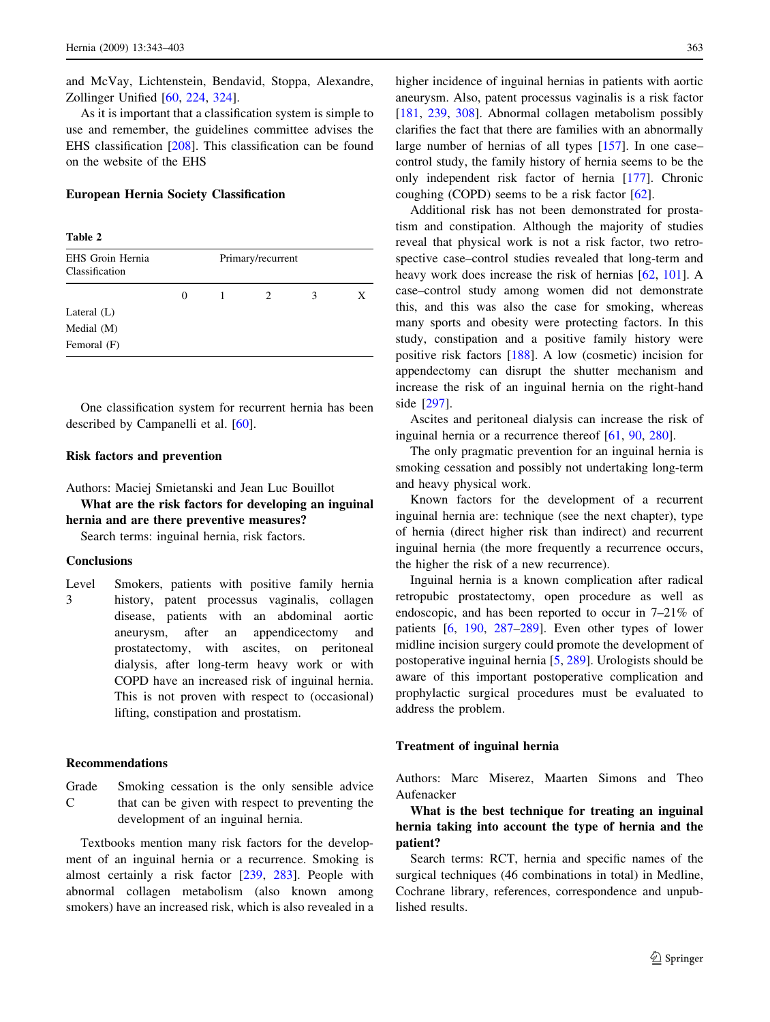and McVay, Lichtenstein, Bendavid, Stoppa, Alexandre, Zollinger Unified [\[60](#page-53-0), [224](#page-57-0), [324\]](#page-60-0).

As it is important that a classification system is simple to use and remember, the guidelines committee advises the EHS classification [[208\]](#page-57-0). This classification can be found on the website of the EHS

#### European Hernia Society Classification

Table 2

| EHS Groin Hernia<br>Classification | Primary/recurrent |                             |   |  |  |
|------------------------------------|-------------------|-----------------------------|---|--|--|
|                                    | 0                 | $\mathcal{D}_{\mathcal{L}}$ | 3 |  |  |
| Lateral $(L)$                      |                   |                             |   |  |  |
| Medial (M)                         |                   |                             |   |  |  |
| Femoral (F)                        |                   |                             |   |  |  |

One classification system for recurrent hernia has been described by Campanelli et al. [[60\]](#page-53-0).

### Risk factors and prevention

Authors: Maciej Smietanski and Jean Luc Bouillot

What are the risk factors for developing an inguinal hernia and are there preventive measures?

Search terms: inguinal hernia, risk factors.

#### **Conclusions**

Level 3 Smokers, patients with positive family hernia history, patent processus vaginalis, collagen disease, patients with an abdominal aortic aneurysm, after an appendicectomy and prostatectomy, with ascites, on peritoneal dialysis, after long-term heavy work or with COPD have an increased risk of inguinal hernia. This is not proven with respect to (occasional) lifting, constipation and prostatism.

#### Recommendations

Grade C Smoking cessation is the only sensible advice that can be given with respect to preventing the development of an inguinal hernia.

Textbooks mention many risk factors for the development of an inguinal hernia or a recurrence. Smoking is almost certainly a risk factor [\[239](#page-58-0), [283\]](#page-59-0). People with abnormal collagen metabolism (also known among smokers) have an increased risk, which is also revealed in a higher incidence of inguinal hernias in patients with aortic aneurysm. Also, patent processus vaginalis is a risk factor [\[181](#page-56-0), [239,](#page-58-0) [308\]](#page-60-0). Abnormal collagen metabolism possibly clarifies the fact that there are families with an abnormally large number of hernias of all types [[157\]](#page-56-0). In one case– control study, the family history of hernia seems to be the only independent risk factor of hernia [\[177](#page-56-0)]. Chronic coughing (COPD) seems to be a risk factor [[62\]](#page-53-0).

Additional risk has not been demonstrated for prostatism and constipation. Although the majority of studies reveal that physical work is not a risk factor, two retrospective case–control studies revealed that long-term and heavy work does increase the risk of hernias [[62,](#page-53-0) [101\]](#page-54-0). A case–control study among women did not demonstrate this, and this was also the case for smoking, whereas many sports and obesity were protecting factors. In this study, constipation and a positive family history were positive risk factors [\[188](#page-57-0)]. A low (cosmetic) incision for appendectomy can disrupt the shutter mechanism and increase the risk of an inguinal hernia on the right-hand side [[297\]](#page-59-0).

Ascites and peritoneal dialysis can increase the risk of inguinal hernia or a recurrence thereof [[61,](#page-53-0) [90,](#page-54-0) [280](#page-59-0)].

The only pragmatic prevention for an inguinal hernia is smoking cessation and possibly not undertaking long-term and heavy physical work.

Known factors for the development of a recurrent inguinal hernia are: technique (see the next chapter), type of hernia (direct higher risk than indirect) and recurrent inguinal hernia (the more frequently a recurrence occurs, the higher the risk of a new recurrence).

Inguinal hernia is a known complication after radical retropubic prostatectomy, open procedure as well as endoscopic, and has been reported to occur in 7–21% of patients [\[6](#page-52-0), [190](#page-57-0), [287–289](#page-59-0)]. Even other types of lower midline incision surgery could promote the development of postoperative inguinal hernia [[5,](#page-52-0) [289](#page-59-0)]. Urologists should be aware of this important postoperative complication and prophylactic surgical procedures must be evaluated to address the problem.

#### Treatment of inguinal hernia

Authors: Marc Miserez, Maarten Simons and Theo Aufenacker

## What is the best technique for treating an inguinal hernia taking into account the type of hernia and the patient?

Search terms: RCT, hernia and specific names of the surgical techniques (46 combinations in total) in Medline, Cochrane library, references, correspondence and unpublished results.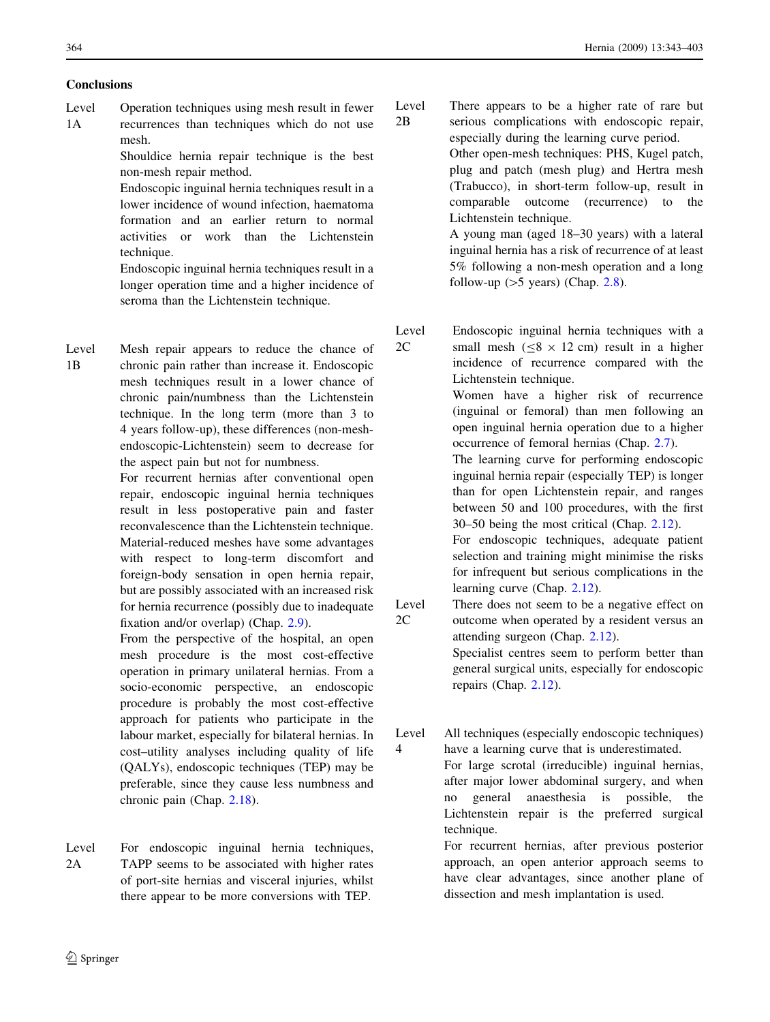## **Conclusions**

Level 1A Operation techniques using mesh result in fewer recurrences than techniques which do not use mesh.

> Shouldice hernia repair technique is the best non-mesh repair method.

Endoscopic inguinal hernia techniques result in a lower incidence of wound infection, haematoma formation and an earlier return to normal activities or work than the Lichtenstein technique.

Endoscopic inguinal hernia techniques result in a longer operation time and a higher incidence of seroma than the Lichtenstein technique.

Level 1B Mesh repair appears to reduce the chance of chronic pain rather than increase it. Endoscopic mesh techniques result in a lower chance of chronic pain/numbness than the Lichtenstein technique. In the long term (more than 3 to 4 years follow-up), these differences (non-meshendoscopic-Lichtenstein) seem to decrease for the aspect pain but not for numbness.

> For recurrent hernias after conventional open repair, endoscopic inguinal hernia techniques result in less postoperative pain and faster reconvalescence than the Lichtenstein technique. Material-reduced meshes have some advantages with respect to long-term discomfort and foreign-body sensation in open hernia repair, but are possibly associated with an increased risk for hernia recurrence (possibly due to inadequate fixation and/or overlap) (Chap. [2.9](#page-30-0)).

> From the perspective of the hospital, an open mesh procedure is the most cost-effective operation in primary unilateral hernias. From a socio-economic perspective, an endoscopic procedure is probably the most cost-effective approach for patients who participate in the labour market, especially for bilateral hernias. In cost–utility analyses including quality of life (QALYs), endoscopic techniques (TEP) may be preferable, since they cause less numbness and chronic pain (Chap. [2.18\)](#page-43-0).

Level 2A For endoscopic inguinal hernia techniques, TAPP seems to be associated with higher rates of port-site hernias and visceral injuries, whilst there appear to be more conversions with TEP.

Level 2B There appears to be a higher rate of rare but serious complications with endoscopic repair, especially during the learning curve period. Other open-mesh techniques: PHS, Kugel patch, plug and patch (mesh plug) and Hertra mesh (Trabucco), in short-term follow-up, result in comparable outcome (recurrence) to the Lichtenstein technique. A young man (aged 18–30 years) with a lateral inguinal hernia has a risk of recurrence of at least

follow-up  $(>5$  years) (Chap. [2.8](#page-30-0)).

2C

Level Endoscopic inguinal hernia techniques with a small mesh ( $8 \times 12$  cm) result in a higher

5% following a non-mesh operation and a long

Lichtenstein technique. Women have a higher risk of recurrence (inguinal or femoral) than men following an open inguinal hernia operation due to a higher occurrence of femoral hernias (Chap. [2.7\)](#page-29-0).

incidence of recurrence compared with the

The learning curve for performing endoscopic inguinal hernia repair (especially TEP) is longer than for open Lichtenstein repair, and ranges between 50 and 100 procedures, with the first 30–50 being the most critical (Chap. [2.12](#page-34-0)).

For endoscopic techniques, adequate patient selection and training might minimise the risks for infrequent but serious complications in the learning curve (Chap. [2.12\)](#page-34-0).

- Level 2C There does not seem to be a negative effect on outcome when operated by a resident versus an attending surgeon (Chap. [2.12\)](#page-34-0). Specialist centres seem to perform better than general surgical units, especially for endoscopic repairs (Chap. [2.12\)](#page-34-0).
- Level 4 All techniques (especially endoscopic techniques) have a learning curve that is underestimated.

For large scrotal (irreducible) inguinal hernias, after major lower abdominal surgery, and when no general anaesthesia is possible, the Lichtenstein repair is the preferred surgical technique.

For recurrent hernias, after previous posterior approach, an open anterior approach seems to have clear advantages, since another plane of dissection and mesh implantation is used.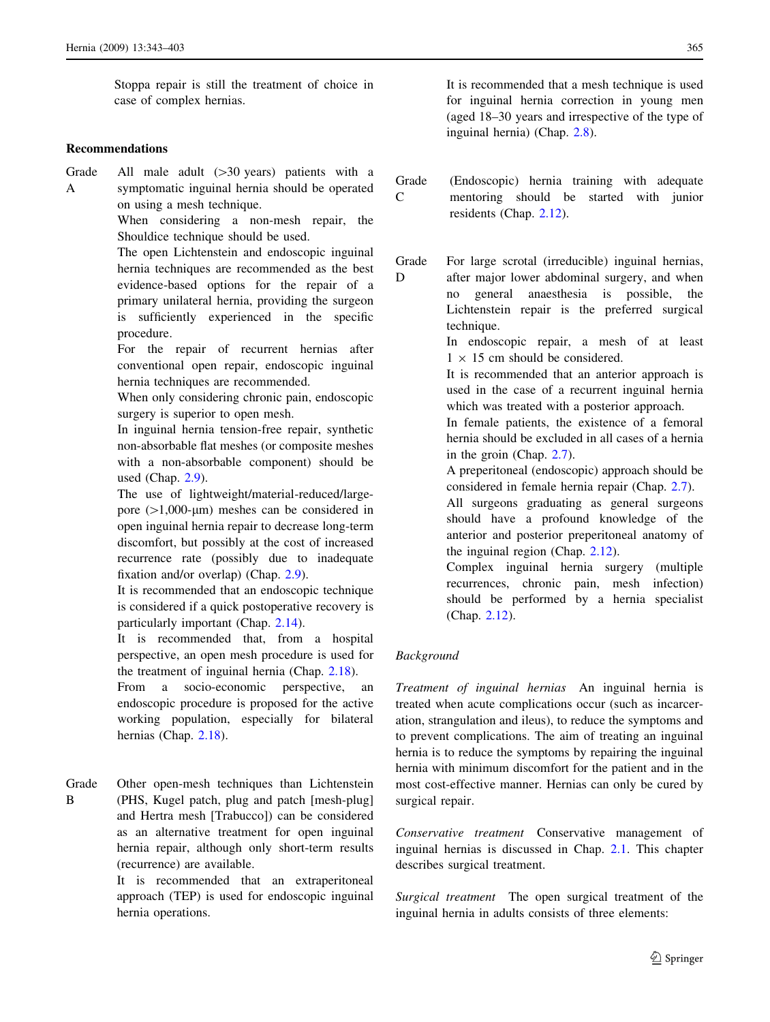Stoppa repair is still the treatment of choice in case of complex hernias.

#### Recommendations

Grade A All male adult  $(>30 \text{ years})$  patients with a symptomatic inguinal hernia should be operated on using a mesh technique.

> When considering a non-mesh repair, the Shouldice technique should be used.

> The open Lichtenstein and endoscopic inguinal hernia techniques are recommended as the best evidence-based options for the repair of a primary unilateral hernia, providing the surgeon is sufficiently experienced in the specific procedure.

> For the repair of recurrent hernias after conventional open repair, endoscopic inguinal hernia techniques are recommended.

> When only considering chronic pain, endoscopic surgery is superior to open mesh.

> In inguinal hernia tension-free repair, synthetic non-absorbable flat meshes (or composite meshes with a non-absorbable component) should be used (Chap. [2.9](#page-30-0)).

> The use of lightweight/material-reduced/largepore  $(>1,000$ -µm) meshes can be considered in open inguinal hernia repair to decrease long-term discomfort, but possibly at the cost of increased recurrence rate (possibly due to inadequate fixation and/or overlap) (Chap. [2.9](#page-30-0)).

> It is recommended that an endoscopic technique is considered if a quick postoperative recovery is particularly important (Chap. [2.14](#page-36-0)).

> It is recommended that, from a hospital perspective, an open mesh procedure is used for the treatment of inguinal hernia (Chap. [2.18\)](#page-43-0).

> From a socio-economic perspective, an endoscopic procedure is proposed for the active working population, especially for bilateral hernias (Chap. [2.18\)](#page-43-0).

Grade B Other open-mesh techniques than Lichtenstein (PHS, Kugel patch, plug and patch [mesh-plug] and Hertra mesh [Trabucco]) can be considered as an alternative treatment for open inguinal hernia repair, although only short-term results (recurrence) are available.

> It is recommended that an extraperitoneal approach (TEP) is used for endoscopic inguinal hernia operations.

It is recommended that a mesh technique is used for inguinal hernia correction in young men (aged 18–30 years and irrespective of the type of inguinal hernia) (Chap. [2.8](#page-30-0)).

Grade C (Endoscopic) hernia training with adequate mentoring should be started with junior residents (Chap. [2.12\)](#page-34-0).

Grade D For large scrotal (irreducible) inguinal hernias, after major lower abdominal surgery, and when no general anaesthesia is possible, the Lichtenstein repair is the preferred surgical technique.

> In endoscopic repair, a mesh of at least  $1 \times 15$  cm should be considered.

> It is recommended that an anterior approach is used in the case of a recurrent inguinal hernia which was treated with a posterior approach.

> In female patients, the existence of a femoral hernia should be excluded in all cases of a hernia in the groin (Chap. [2.7](#page-29-0)).

> A preperitoneal (endoscopic) approach should be considered in female hernia repair (Chap. [2.7\)](#page-29-0).

> All surgeons graduating as general surgeons should have a profound knowledge of the anterior and posterior preperitoneal anatomy of the inguinal region (Chap. [2.12\)](#page-34-0).

> Complex inguinal hernia surgery (multiple recurrences, chronic pain, mesh infection) should be performed by a hernia specialist (Chap. [2.12](#page-34-0)).

### Background

Treatment of inguinal hernias An inguinal hernia is treated when acute complications occur (such as incarceration, strangulation and ileus), to reduce the symptoms and to prevent complications. The aim of treating an inguinal hernia is to reduce the symptoms by repairing the inguinal hernia with minimum discomfort for the patient and in the most cost-effective manner. Hernias can only be cured by surgical repair.

Conservative treatment Conservative management of inguinal hernias is discussed in Chap. [2.1](#page-17-0). This chapter describes surgical treatment.

Surgical treatment The open surgical treatment of the inguinal hernia in adults consists of three elements: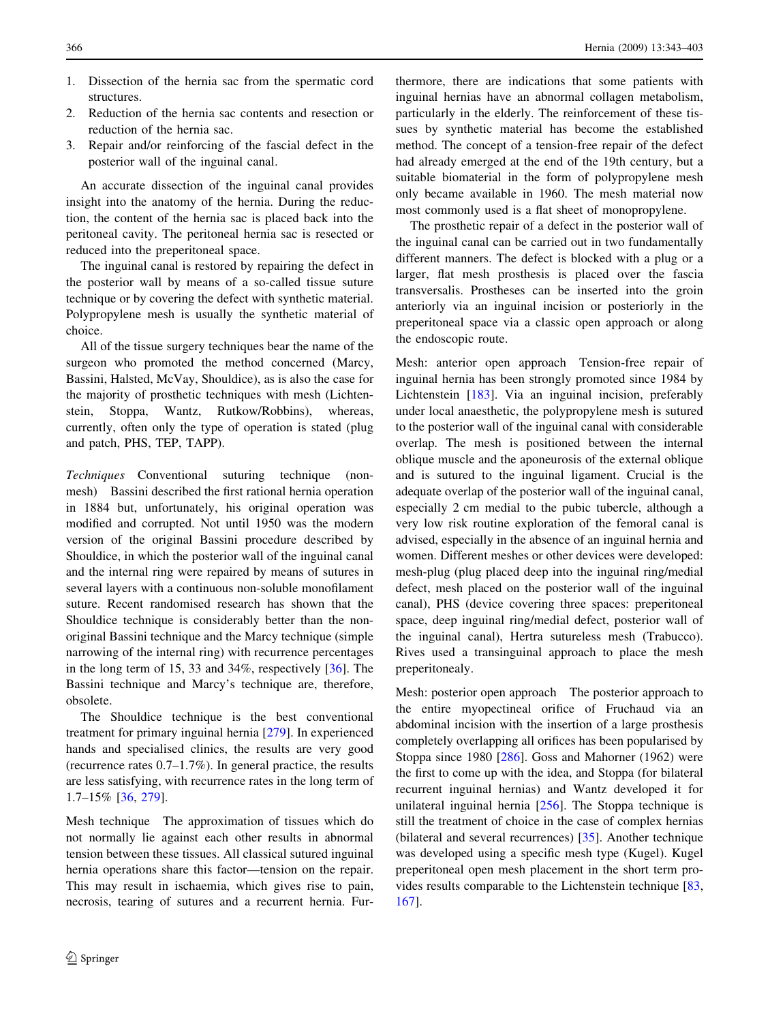- 1. Dissection of the hernia sac from the spermatic cord structures.
- 2. Reduction of the hernia sac contents and resection or reduction of the hernia sac.
- 3. Repair and/or reinforcing of the fascial defect in the posterior wall of the inguinal canal.

An accurate dissection of the inguinal canal provides insight into the anatomy of the hernia. During the reduction, the content of the hernia sac is placed back into the peritoneal cavity. The peritoneal hernia sac is resected or reduced into the preperitoneal space.

The inguinal canal is restored by repairing the defect in the posterior wall by means of a so-called tissue suture technique or by covering the defect with synthetic material. Polypropylene mesh is usually the synthetic material of choice.

All of the tissue surgery techniques bear the name of the surgeon who promoted the method concerned (Marcy, Bassini, Halsted, McVay, Shouldice), as is also the case for the majority of prosthetic techniques with mesh (Lichtenstein, Stoppa, Wantz, Rutkow/Robbins), whereas, currently, often only the type of operation is stated (plug and patch, PHS, TEP, TAPP).

Techniques Conventional suturing technique (nonmesh) Bassini described the first rational hernia operation in 1884 but, unfortunately, his original operation was modified and corrupted. Not until 1950 was the modern version of the original Bassini procedure described by Shouldice, in which the posterior wall of the inguinal canal and the internal ring were repaired by means of sutures in several layers with a continuous non-soluble monofilament suture. Recent randomised research has shown that the Shouldice technique is considerably better than the nonoriginal Bassini technique and the Marcy technique (simple narrowing of the internal ring) with recurrence percentages in the long term of 15, 33 and 34%, respectively [[36\]](#page-53-0). The Bassini technique and Marcy's technique are, therefore, obsolete.

The Shouldice technique is the best conventional treatment for primary inguinal hernia [\[279](#page-59-0)]. In experienced hands and specialised clinics, the results are very good (recurrence rates 0.7–1.7%). In general practice, the results are less satisfying, with recurrence rates in the long term of 1.7–15% [\[36](#page-53-0), [279](#page-59-0)].

Mesh technique The approximation of tissues which do not normally lie against each other results in abnormal tension between these tissues. All classical sutured inguinal hernia operations share this factor—tension on the repair. This may result in ischaemia, which gives rise to pain, necrosis, tearing of sutures and a recurrent hernia. Fur-

thermore, there are indications that some patients with inguinal hernias have an abnormal collagen metabolism, particularly in the elderly. The reinforcement of these tissues by synthetic material has become the established method. The concept of a tension-free repair of the defect had already emerged at the end of the 19th century, but a suitable biomaterial in the form of polypropylene mesh only became available in 1960. The mesh material now most commonly used is a flat sheet of monopropylene.

The prosthetic repair of a defect in the posterior wall of the inguinal canal can be carried out in two fundamentally different manners. The defect is blocked with a plug or a larger, flat mesh prosthesis is placed over the fascia transversalis. Prostheses can be inserted into the groin anteriorly via an inguinal incision or posteriorly in the preperitoneal space via a classic open approach or along the endoscopic route.

Mesh: anterior open approach Tension-free repair of inguinal hernia has been strongly promoted since 1984 by Lichtenstein [\[183](#page-56-0)]. Via an inguinal incision, preferably under local anaesthetic, the polypropylene mesh is sutured to the posterior wall of the inguinal canal with considerable overlap. The mesh is positioned between the internal oblique muscle and the aponeurosis of the external oblique and is sutured to the inguinal ligament. Crucial is the adequate overlap of the posterior wall of the inguinal canal, especially 2 cm medial to the pubic tubercle, although a very low risk routine exploration of the femoral canal is advised, especially in the absence of an inguinal hernia and women. Different meshes or other devices were developed: mesh-plug (plug placed deep into the inguinal ring/medial defect, mesh placed on the posterior wall of the inguinal canal), PHS (device covering three spaces: preperitoneal space, deep inguinal ring/medial defect, posterior wall of the inguinal canal), Hertra sutureless mesh (Trabucco). Rives used a transinguinal approach to place the mesh preperitonealy.

Mesh: posterior open approach The posterior approach to the entire myopectineal orifice of Fruchaud via an abdominal incision with the insertion of a large prosthesis completely overlapping all orifices has been popularised by Stoppa since 1980 [\[286](#page-59-0)]. Goss and Mahorner (1962) were the first to come up with the idea, and Stoppa (for bilateral recurrent inguinal hernias) and Wantz developed it for unilateral inguinal hernia [[256\]](#page-58-0). The Stoppa technique is still the treatment of choice in the case of complex hernias (bilateral and several recurrences) [\[35](#page-53-0)]. Another technique was developed using a specific mesh type (Kugel). Kugel preperitoneal open mesh placement in the short term provides results comparable to the Lichtenstein technique [[83,](#page-54-0) [167](#page-56-0)].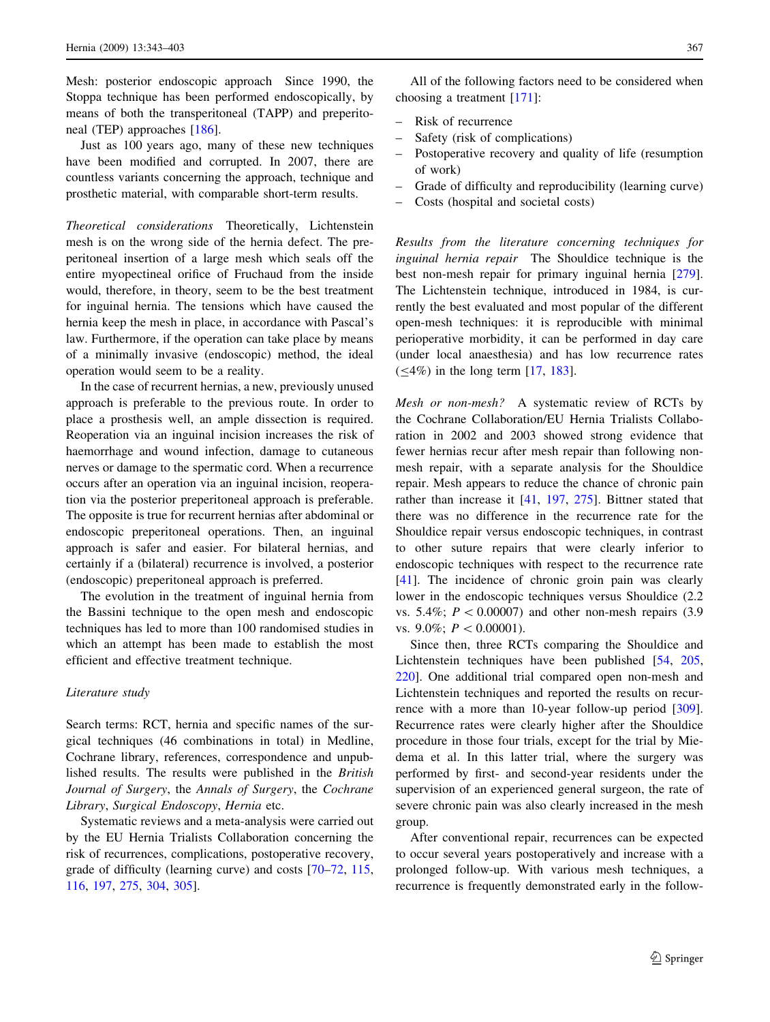Mesh: posterior endoscopic approach Since 1990, the Stoppa technique has been performed endoscopically, by means of both the transperitoneal (TAPP) and preperitoneal (TEP) approaches [[186](#page-56-0)].

Just as 100 years ago, many of these new techniques have been modified and corrupted. In 2007, there are countless variants concerning the approach, technique and prosthetic material, with comparable short-term results.

Theoretical considerations Theoretically, Lichtenstein mesh is on the wrong side of the hernia defect. The preperitoneal insertion of a large mesh which seals off the entire myopectineal orifice of Fruchaud from the inside would, therefore, in theory, seem to be the best treatment for inguinal hernia. The tensions which have caused the hernia keep the mesh in place, in accordance with Pascal's law. Furthermore, if the operation can take place by means of a minimally invasive (endoscopic) method, the ideal operation would seem to be a reality.

In the case of recurrent hernias, a new, previously unused approach is preferable to the previous route. In order to place a prosthesis well, an ample dissection is required. Reoperation via an inguinal incision increases the risk of haemorrhage and wound infection, damage to cutaneous nerves or damage to the spermatic cord. When a recurrence occurs after an operation via an inguinal incision, reoperation via the posterior preperitoneal approach is preferable. The opposite is true for recurrent hernias after abdominal or endoscopic preperitoneal operations. Then, an inguinal approach is safer and easier. For bilateral hernias, and certainly if a (bilateral) recurrence is involved, a posterior (endoscopic) preperitoneal approach is preferred.

The evolution in the treatment of inguinal hernia from the Bassini technique to the open mesh and endoscopic techniques has led to more than 100 randomised studies in which an attempt has been made to establish the most efficient and effective treatment technique.

#### Literature study

Search terms: RCT, hernia and specific names of the surgical techniques (46 combinations in total) in Medline, Cochrane library, references, correspondence and unpublished results. The results were published in the British Journal of Surgery, the Annals of Surgery, the Cochrane Library, Surgical Endoscopy, Hernia etc.

Systematic reviews and a meta-analysis were carried out by the EU Hernia Trialists Collaboration concerning the risk of recurrences, complications, postoperative recovery, grade of difficulty (learning curve) and costs [[70–72,](#page-54-0) [115,](#page-55-0) [116,](#page-55-0) [197,](#page-57-0) [275,](#page-59-0) [304](#page-59-0), [305](#page-60-0)].

All of the following factors need to be considered when choosing a treatment [[171\]](#page-56-0):

- Risk of recurrence
- Safety (risk of complications)
- Postoperative recovery and quality of life (resumption of work)
- Grade of difficulty and reproducibility (learning curve)
- Costs (hospital and societal costs)

Results from the literature concerning techniques for inguinal hernia repair The Shouldice technique is the best non-mesh repair for primary inguinal hernia [\[279](#page-59-0)]. The Lichtenstein technique, introduced in 1984, is currently the best evaluated and most popular of the different open-mesh techniques: it is reproducible with minimal perioperative morbidity, it can be performed in day care (under local anaesthesia) and has low recurrence rates  $(\leq 4\%)$  in the long term [[17,](#page-52-0) [183\]](#page-56-0).

Mesh or non-mesh? A systematic review of RCTs by the Cochrane Collaboration/EU Hernia Trialists Collaboration in 2002 and 2003 showed strong evidence that fewer hernias recur after mesh repair than following nonmesh repair, with a separate analysis for the Shouldice repair. Mesh appears to reduce the chance of chronic pain rather than increase it [[41,](#page-53-0) [197](#page-57-0), [275](#page-59-0)]. Bittner stated that there was no difference in the recurrence rate for the Shouldice repair versus endoscopic techniques, in contrast to other suture repairs that were clearly inferior to endoscopic techniques with respect to the recurrence rate [\[41](#page-53-0)]. The incidence of chronic groin pain was clearly lower in the endoscopic techniques versus Shouldice (2.2 vs. 5.4%;  $P \lt 0.00007$ ) and other non-mesh repairs (3.9 vs.  $9.0\%$ ;  $P < 0.00001$ ).

Since then, three RCTs comparing the Shouldice and Lichtenstein techniques have been published [\[54](#page-53-0), [205,](#page-57-0) [220](#page-57-0)]. One additional trial compared open non-mesh and Lichtenstein techniques and reported the results on recurrence with a more than 10-year follow-up period [\[309](#page-60-0)]. Recurrence rates were clearly higher after the Shouldice procedure in those four trials, except for the trial by Miedema et al. In this latter trial, where the surgery was performed by first- and second-year residents under the supervision of an experienced general surgeon, the rate of severe chronic pain was also clearly increased in the mesh group.

After conventional repair, recurrences can be expected to occur several years postoperatively and increase with a prolonged follow-up. With various mesh techniques, a recurrence is frequently demonstrated early in the follow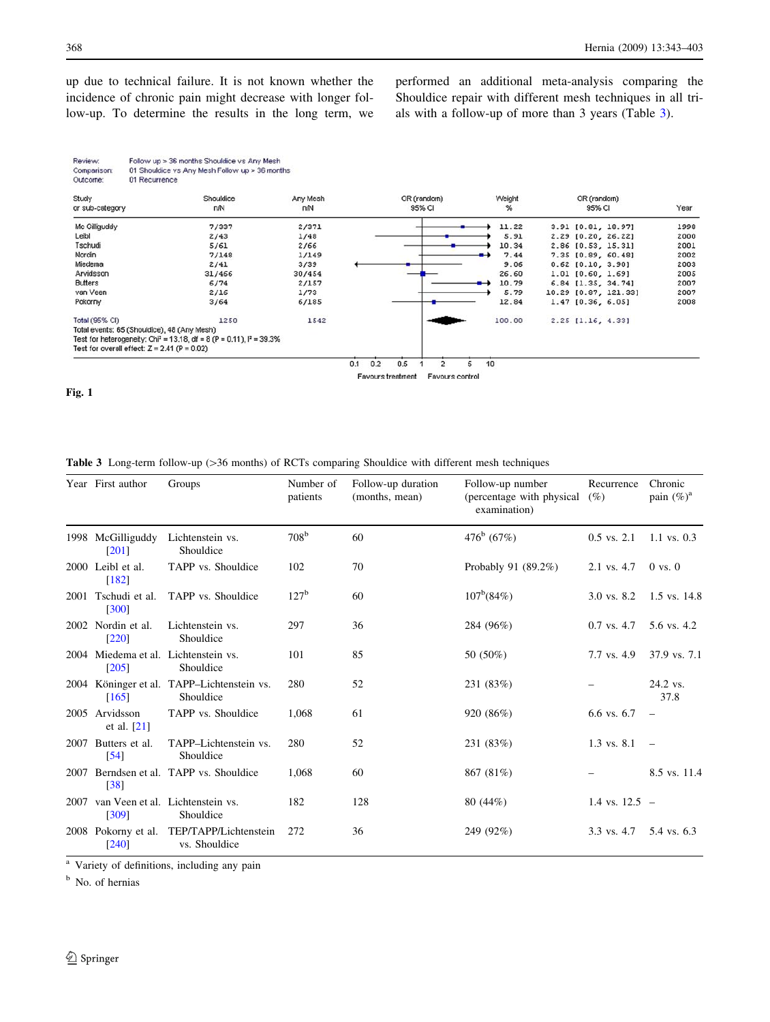up due to technical failure. It is not known whether the incidence of chronic pain might decrease with longer follow-up. To determine the results in the long term, we performed an additional meta-analysis comparing the Shouldice repair with different mesh techniques in all trials with a follow-up of more than 3 years (Table 3).



Fig. 1

|      | Year First author                        | Groups                                                  | Number of<br>patients | Follow-up duration<br>(months, mean) | Follow-up number<br>(percentage with physical<br>examination) | Recurrence<br>(%)      | Chronic<br>pain $(\%)^a$ |
|------|------------------------------------------|---------------------------------------------------------|-----------------------|--------------------------------------|---------------------------------------------------------------|------------------------|--------------------------|
|      | 1998 McGilliguddy<br>$\lceil 201 \rceil$ | Lichtenstein vs.<br>Shouldice                           | 708 <sup>b</sup>      | 60                                   | $476^b$ (67%)                                                 | $0.5$ vs. $2.1$        | $1.1$ vs. 0.3            |
|      | 2000 Leibl et al.<br>[182]               | TAPP vs. Shouldice                                      | 102                   | 70                                   | Probably 91 (89.2%)                                           | 2.1 vs. 4.7            | $0 \text{ vs. } 0$       |
|      | 2001 Tschudi et al.<br>[300]             | TAPP vs. Shouldice                                      | 127 <sup>b</sup>      | 60                                   | $107^b(84\%)$                                                 | $3.0 \text{ vs. } 8.2$ | 1.5 vs. 14.8             |
|      | 2002 Nordin et al.<br>[220]              | Lichtenstein vs.<br>Shouldice                           | 297                   | 36                                   | 284 (96%)                                                     | $0.7$ vs. $4.7$        | 5.6 vs. 4.2              |
|      | $\lceil 205 \rceil$                      | 2004 Miedema et al. Lichtenstein vs.<br>Shouldice       | 101                   | 85                                   | 50 (50%)                                                      | 7.7 vs. 4.9            | 37.9 vs. 7.1             |
|      | $\lceil 165 \rceil$                      | 2004 Köninger et al. TAPP-Lichtenstein vs.<br>Shouldice | 280                   | 52                                   | 231 (83%)                                                     |                        | 24.2 vs.<br>37.8         |
|      | 2005 Arvidsson<br>et al. $[21]$          | TAPP vs. Shouldice                                      | 1.068                 | 61                                   | 920 (86%)                                                     | $6.6$ vs. $6.7$        | $\overline{\phantom{a}}$ |
|      | 2007 Butters et al.<br>$\left[54\right]$ | TAPP-Lichtenstein vs.<br>Shouldice                      | 280                   | 52                                   | 231 (83%)                                                     | $1.3 \text{ vs. } 8.1$ | $\overline{\phantom{a}}$ |
| 2007 | $[38]$                                   | Berndsen et al. TAPP vs. Shouldice                      | 1.068                 | 60                                   | 867 (81%)                                                     |                        | 8.5 vs. 11.4             |
| 2007 | [309]                                    | van Veen et al. Lichtenstein vs.<br>Shouldice           | 182                   | 128                                  | 80(44%)                                                       | 1.4 vs. $12.5 -$       |                          |
|      | 2008 Pokorny et al.<br>[240]             | TEP/TAPP/Lichtenstein<br>vs. Shouldice                  | 272                   | 36                                   | 249 (92%)                                                     | 3.3 vs. 4.7            | 5.4 vs. 6.3              |

**Table 3** Long-term follow-up  $(>36$  months) of RCTs comparing Shouldice with different mesh techniques

<sup>a</sup> Variety of definitions, including any pain

<sup>b</sup> No. of hernias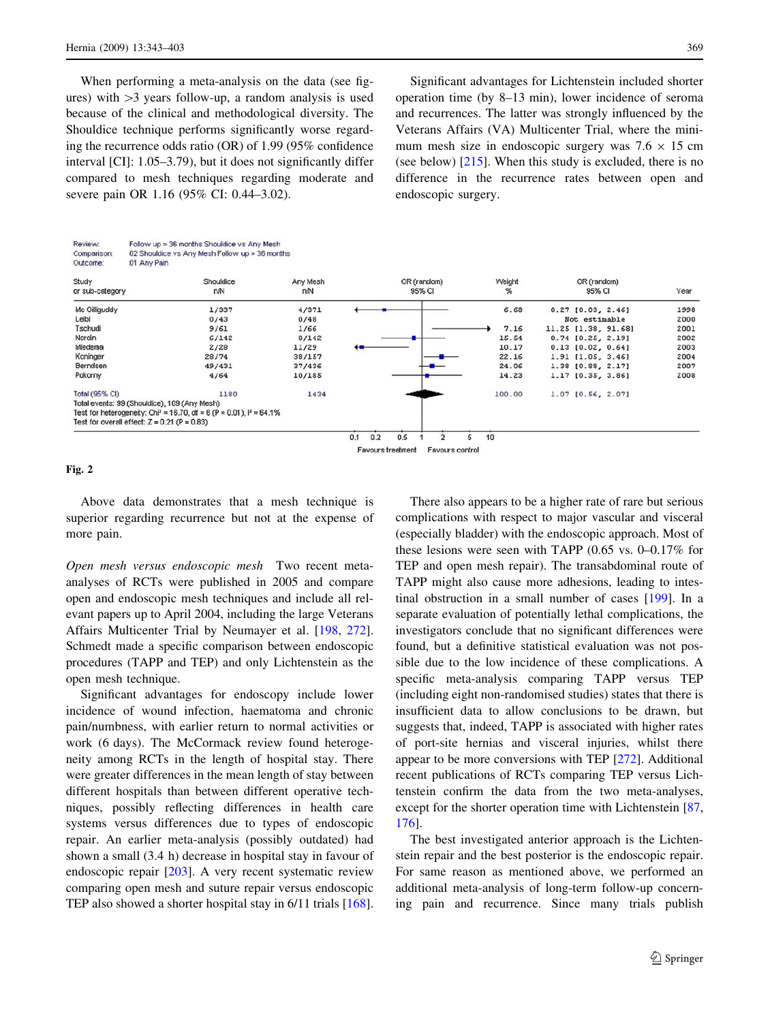When performing a meta-analysis on the data (see figures) with  $>3$  years follow-up, a random analysis is used because of the clinical and methodological diversity. The Shouldice technique performs significantly worse regarding the recurrence odds ratio (OR) of 1.99 (95% confidence interval [CI]: 1.05–3.79), but it does not significantly differ compared to mesh techniques regarding moderate and severe pain OR 1.16 (95% CI: 0.44–3.02).

the commission of the commission of the commission of the commission of the commission of the commission of the

Significant advantages for Lichtenstein included shorter operation time (by 8–13 min), lower incidence of seroma and recurrences. The latter was strongly influenced by the Veterans Affairs (VA) Multicenter Trial, where the minimum mesh size in endoscopic surgery was  $7.6 \times 15$  cm (see below) [[215\]](#page-57-0). When this study is excluded, there is no difference in the recurrence rates between open and endoscopic surgery.

| review.<br>Comparison:<br>Outcome: | rollow up > 36 months Shouldice Vs Any Mesh<br>02 Shouldice vs Any Mesh Follow up > 36 months<br>01 Any Pain |                |            |                                      |               |                       |      |
|------------------------------------|--------------------------------------------------------------------------------------------------------------|----------------|------------|--------------------------------------|---------------|-----------------------|------|
| Study<br>or sub-category           | Shouldice<br>nN                                                                                              | Any Mesh<br>nN |            | OR (random)<br>95% CI                | Weight<br>%   | OR (random)<br>95% CI | Year |
| Mc Gilliguddy                      | 1/337                                                                                                        | 4/371          |            |                                      | 6.68          | $0.27$ $[0.03, 2.46]$ | 1998 |
| Leibl<br>0/43<br>0/48              |                                                                                                              |                |            |                                      | Not estimable | 2000                  |      |
| Tschudi                            | 9/61                                                                                                         | 1/66           |            |                                      | 7.16          | 11.25 [1.38, 91.68]   | 2001 |
| Nordin                             | 6/142                                                                                                        | 8/142          |            |                                      | 15.54         | $0.74$ $[0.25, 2.19]$ | 2002 |
| Miedema                            | 2/28                                                                                                         | 11/29          |            |                                      | 10.17         | $0.13$ $[0.02, 0.64]$ | 2003 |
| Koninger                           | 28/74                                                                                                        | 38/157         |            |                                      | 22.16         | 1.91 [1.05, 3.46]     | 2004 |
| Berndsen                           | 49/431                                                                                                       | 37/436         |            |                                      | 24.06         | 1.38 [0.88, 2.17]     | 2007 |
| Pokorny                            | 4/64                                                                                                         | 10/185         |            |                                      | 14.23         | 1.17 [0.35, 3.86]     | 2008 |
| Total (95% CI)                     | 1180                                                                                                         | 1434           |            |                                      | 100.00        | $1.07$ $[0.56, 2.07]$ |      |
|                                    | Total events: 99 (Shouldice), 109 (Any Mesh)                                                                 |                |            |                                      |               |                       |      |
|                                    | Test for heterogeneity: Chi <sup>2</sup> = 16.70, df = 6 (P = 0.01), $P = 64.1\%$                            |                |            |                                      |               |                       |      |
|                                    | Test for overall effect: $Z = 0.21$ (P = 0.83)                                                               |                |            |                                      |               |                       |      |
|                                    |                                                                                                              |                | 0.2<br>0.1 | 0.5<br>っ                             | 10            |                       |      |
|                                    |                                                                                                              |                |            | Favours control<br>Fayours treatment |               |                       |      |

#### Fig. 2

Above data demonstrates that a mesh technique is superior regarding recurrence but not at the expense of more pain.

Open mesh versus endoscopic mesh Two recent metaanalyses of RCTs were published in 2005 and compare open and endoscopic mesh techniques and include all relevant papers up to April 2004, including the large Veterans Affairs Multicenter Trial by Neumayer et al. [[198,](#page-57-0) [272](#page-59-0)]. Schmedt made a specific comparison between endoscopic procedures (TAPP and TEP) and only Lichtenstein as the open mesh technique.

Significant advantages for endoscopy include lower incidence of wound infection, haematoma and chronic pain/numbness, with earlier return to normal activities or work (6 days). The McCormack review found heterogeneity among RCTs in the length of hospital stay. There were greater differences in the mean length of stay between different hospitals than between different operative techniques, possibly reflecting differences in health care systems versus differences due to types of endoscopic repair. An earlier meta-analysis (possibly outdated) had shown a small (3.4 h) decrease in hospital stay in favour of endoscopic repair [\[203](#page-57-0)]. A very recent systematic review comparing open mesh and suture repair versus endoscopic TEP also showed a shorter hospital stay in 6/11 trials [\[168](#page-56-0)].

There also appears to be a higher rate of rare but serious complications with respect to major vascular and visceral (especially bladder) with the endoscopic approach. Most of these lesions were seen with TAPP (0.65 vs. 0–0.17% for TEP and open mesh repair). The transabdominal route of TAPP might also cause more adhesions, leading to intestinal obstruction in a small number of cases [[199\]](#page-57-0). In a separate evaluation of potentially lethal complications, the investigators conclude that no significant differences were found, but a definitive statistical evaluation was not possible due to the low incidence of these complications. A specific meta-analysis comparing TAPP versus TEP (including eight non-randomised studies) states that there is insufficient data to allow conclusions to be drawn, but suggests that, indeed, TAPP is associated with higher rates of port-site hernias and visceral injuries, whilst there appear to be more conversions with TEP [[272\]](#page-59-0). Additional recent publications of RCTs comparing TEP versus Lichtenstein confirm the data from the two meta-analyses, except for the shorter operation time with Lichtenstein [[87,](#page-54-0) [176](#page-56-0)].

The best investigated anterior approach is the Lichtenstein repair and the best posterior is the endoscopic repair. For same reason as mentioned above, we performed an additional meta-analysis of long-term follow-up concerning pain and recurrence. Since many trials publish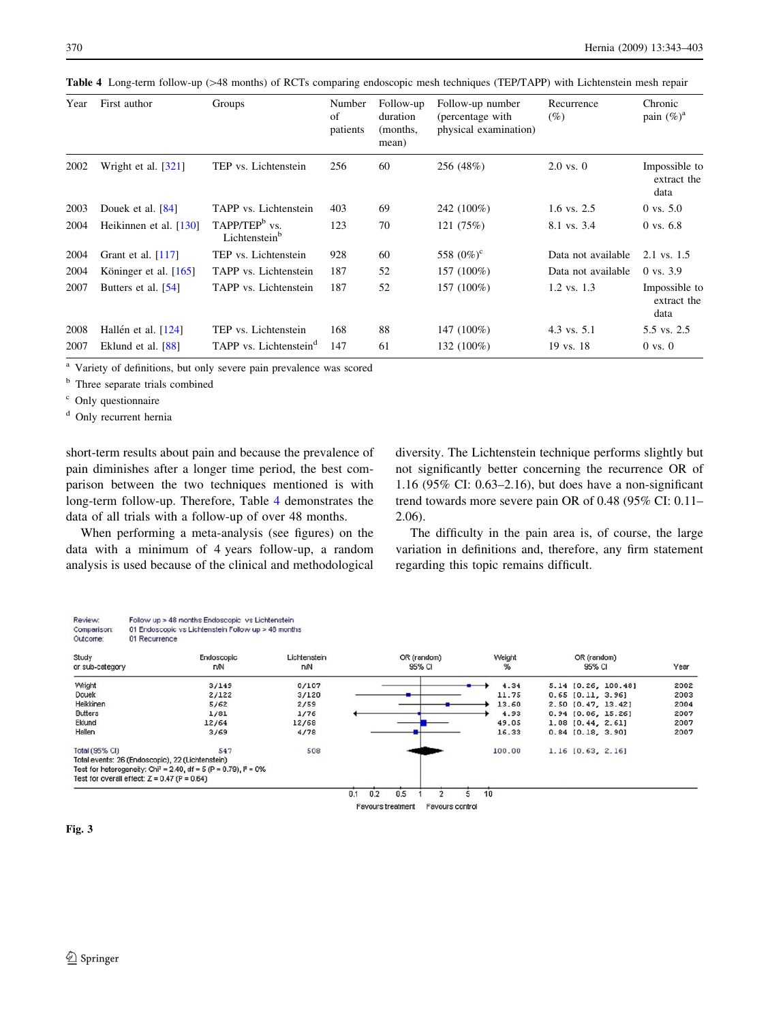| Year | First author                     | Groups                                                 | Number<br>of<br>patients | Follow-up<br>duration<br>(months,<br>mean) | Follow-up number<br>(percentage with<br>physical examination) | Recurrence<br>(%)  | Chronic<br>pain $(\%)^a$             |
|------|----------------------------------|--------------------------------------------------------|--------------------------|--------------------------------------------|---------------------------------------------------------------|--------------------|--------------------------------------|
| 2002 | Wright et al. $\left[321\right]$ | TEP vs. Lichtenstein                                   | 256                      | 60                                         | 256 (48%)                                                     | $2.0$ vs. $0$      | Impossible to<br>extract the<br>data |
| 2003 | Douek et al. $[84]$              | TAPP vs. Lichtenstein                                  | 403                      | 69                                         | 242 (100%)                                                    | $1.6$ vs. $2.5$    | $0 \text{ vs. } 5.0$                 |
| 2004 | Heikinnen et al. [130]           | TAPP/TEP <sup>b</sup> vs.<br>Lichtenstein <sup>b</sup> | 123                      | 70                                         | 121 (75%)                                                     | 8.1 vs. 3.4        | $0 \text{ vs. } 6.8$                 |
| 2004 | Grant et al. $[117]$             | TEP vs. Lichtenstein                                   | 928                      | 60                                         | 558 $(0\%)^c$                                                 | Data not available | $2.1 \text{ vs. } 1.5$               |
| 2004 | Köninger et al. [165]            | TAPP vs. Lichtenstein                                  | 187                      | 52                                         | 157 (100%)                                                    | Data not available | $0 \text{ vs. } 3.9$                 |
| 2007 | Butters et al. $[54]$            | TAPP vs. Lichtenstein                                  | 187                      | 52                                         | 157 (100%)                                                    | $1.2$ vs. $1.3$    | Impossible to<br>extract the<br>data |
| 2008 | Hallén et al. [124]              | TEP vs. Lichtenstein                                   | 168                      | 88                                         | 147 (100%)                                                    | 4.3 vs. 5.1        | 5.5 vs. 2.5                          |
| 2007 | Eklund et al. [88]               | TAPP vs. Lichtenstein <sup>d</sup>                     | 147                      | 61                                         | 132 (100%)                                                    | 19 vs. 18          | $0 \text{ vs. } 0$                   |

Table 4 Long-term follow-up ( $>48$  months) of RCTs comparing endoscopic mesh techniques (TEP/TAPP) with Lichtenstein mesh repair

Variety of definitions, but only severe pain prevalence was scored

<sup>b</sup> Three separate trials combined

<sup>c</sup> Only questionnaire

<sup>d</sup> Only recurrent hernia

short-term results about pain and because the prevalence of pain diminishes after a longer time period, the best comparison between the two techniques mentioned is with long-term follow-up. Therefore, Table 4 demonstrates the data of all trials with a follow-up of over 48 months.

When performing a meta-analysis (see figures) on the data with a minimum of 4 years follow-up, a random analysis is used because of the clinical and methodological

Follow up > 48 months Endoscopic vs Lichtenstein

01 Endoscopic vs Lichtenstein Follow up > 48 months

diversity. The Lichtenstein technique performs slightly but not significantly better concerning the recurrence OR of 1.16 (95% CI: 0.63–2.16), but does have a non-significant trend towards more severe pain OR of 0.48 (95% CI: 0.11– 2.06).

The difficulty in the pain area is, of course, the large variation in definitions and, therefore, any firm statement regarding this topic remains difficult.

| Study                                            | Endoscopic                                                                    | Lichtenstein |            | OR (random)                                 | Weight | OR (random)           |      |
|--------------------------------------------------|-------------------------------------------------------------------------------|--------------|------------|---------------------------------------------|--------|-----------------------|------|
| or sub-category                                  | nN                                                                            | nM           |            | 95% CI                                      | %      | 95% CI                | Year |
| Wright                                           | 3/149                                                                         | 0/107        |            |                                             | 4.34   | 5.14 [0.26, 100.48]   | 2002 |
| Douek                                            | 2/122                                                                         | 3/120        |            |                                             | 11.75  | $0.65$ $[0.11, 3.96]$ | 2003 |
| Heikkinen                                        | 5/62                                                                          | 2/59         |            |                                             | 13.60  | 2.50 [0.47, 13.42]    | 2004 |
| <b>Butters</b>                                   | 1/81                                                                          | 1/76         |            |                                             | 4.93   | 0.94 [0.06, 15.26]    | 2007 |
| Eklund                                           | 12/64                                                                         | 12/68        |            |                                             | 49.05  | $1.08$ $[0.44, 2.61]$ | 2007 |
| Hallen                                           | 3/69                                                                          | 4/78         |            |                                             | 16.33  | $0.84$ $[0.18, 3.90]$ | 2007 |
| Total (95% CI)                                   | 547                                                                           | 508          |            |                                             | 100.00 | $1.16$ $[0.63, 2.16]$ |      |
| Total events: 26 (Endoscopic), 22 (Lichtenstein) |                                                                               |              |            |                                             |        |                       |      |
|                                                  | Test for heterogeneity: Chi <sup>2</sup> = 2.40, df = 5 (P = 0.79), $P = 0\%$ |              |            |                                             |        |                       |      |
| Test for overall effect: $Z = 0.47$ (P = 0.64)   |                                                                               |              |            |                                             |        |                       |      |
|                                                  |                                                                               |              | 0.1<br>0.2 | 0.5                                         | 10     |                       |      |
|                                                  |                                                                               |              |            | Favours control<br><b>Favours treatment</b> |        |                       |      |

Fig. 3

Review

Comparison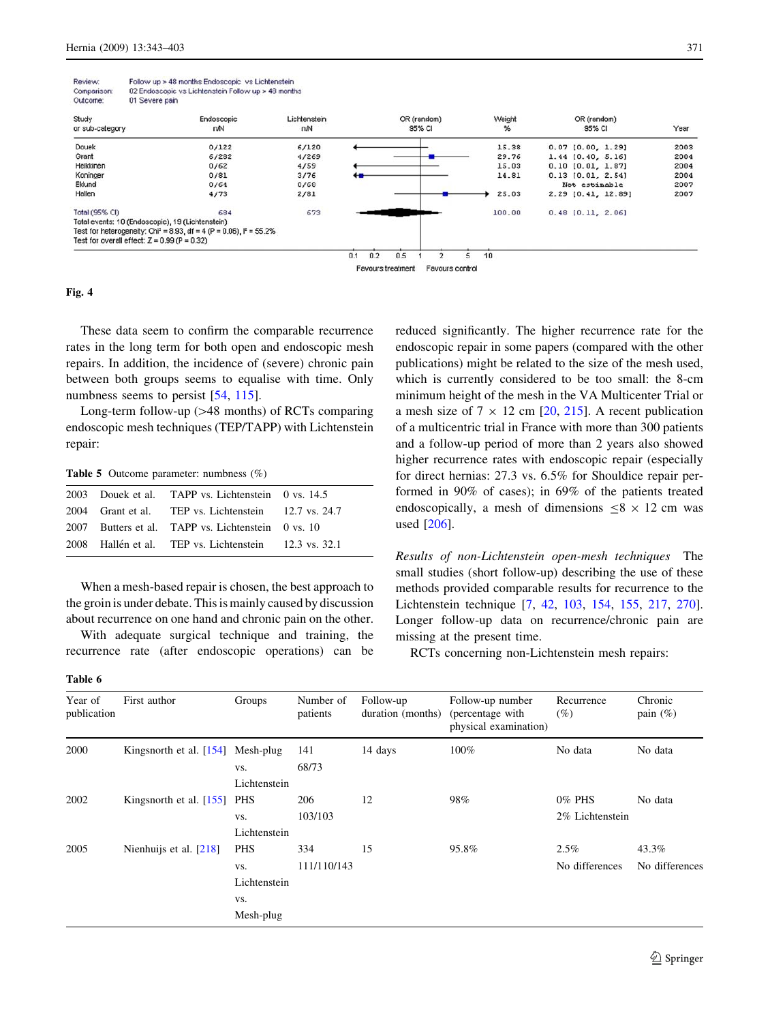| Review:<br>Comparison:<br>Outcome: | Follow up > 48 months Endoscopic vs Lichtenstein<br>02 Endoscopic vs Lichtenstein Follow up > 48 months<br>01 Severe pain |  |
|------------------------------------|---------------------------------------------------------------------------------------------------------------------------|--|
|                                    |                                                                                                                           |  |

| Study<br>or sub-category                         | Endoscopic<br>nN                                                                 | Lichtenstein<br>nN |            |     | OR (random)<br>95% CI | Weight<br>% | OR (random)<br>95% CI | Year |
|--------------------------------------------------|----------------------------------------------------------------------------------|--------------------|------------|-----|-----------------------|-------------|-----------------------|------|
| Douek                                            | 0/122                                                                            | 6/120              |            |     |                       | 15.38       | $0.07$ $[0.00, 1.29]$ | 2003 |
| Grant                                            | 6/282                                                                            | 4/269              |            |     |                       | 29.76       | $1.44$ $[0.40, 5.16]$ | 2004 |
| Heikkinen                                        | 0/62                                                                             | 4/59               |            |     |                       | 15.03       | $0.10$ $[0.01, 1.87]$ | 2004 |
| Koninger                                         | 0/81                                                                             | 3/76               | ⊷          |     |                       | 14.81       | $0.13$ $[0.01, 2.54]$ | 2004 |
| Eklund                                           | 0/64                                                                             | 0/68               |            |     |                       |             | Not estimable         | 2007 |
| Hallen                                           | 4/73                                                                             | 2/81               |            |     |                       | 25.03       | 2.29 [0.41, 12.89]    | 2007 |
| Total (95% CI)                                   | 684                                                                              | 673                |            |     |                       | 100.00      | $0.48$ $[0.11, 2.06]$ |      |
| Total events: 10 (Endoscopic), 19 (Lichtenstein) |                                                                                  |                    |            |     |                       |             |                       |      |
|                                                  | Test for heterogeneity: Chi <sup>2</sup> = 8.93, df = 4 (P = 0.06), $P = 55.2\%$ |                    |            |     |                       |             |                       |      |
| Test for overall effect: $Z = 0.99$ (P = 0.32)   |                                                                                  |                    |            |     |                       |             |                       |      |
|                                                  |                                                                                  |                    | 0.2<br>0.1 | 0.5 |                       | 10<br>5     |                       |      |

Eavours treatment Eavours control

#### Fig. 4

Table 6

These data seem to confirm the comparable recurrence rates in the long term for both open and endoscopic mesh repairs. In addition, the incidence of (severe) chronic pain between both groups seems to equalise with time. Only numbness seems to persist [[54,](#page-53-0) [115\]](#page-55-0).

Long-term follow-up  $(>= 48$  months) of RCTs comparing endoscopic mesh techniques (TEP/TAPP) with Lichtenstein repair:

Table 5 Outcome parameter: numbness (%)

|  | 2003 Douek et al. TAPP vs. Lichtenstein 0 vs. 14.5    |  |
|--|-------------------------------------------------------|--|
|  | 2004 Grant et al. TEP vs. Lichtenstein 12.7 vs. 24.7  |  |
|  | 2007 Butters et al. TAPP vs. Lichtenstein 0 vs. 10    |  |
|  | 2008 Hallén et al. TEP vs. Lichtenstein 12.3 vs. 32.1 |  |

When a mesh-based repair is chosen, the best approach to the groin is under debate. This is mainly caused by discussion about recurrence on one hand and chronic pain on the other.

With adequate surgical technique and training, the recurrence rate (after endoscopic operations) can be reduced significantly. The higher recurrence rate for the endoscopic repair in some papers (compared with the other publications) might be related to the size of the mesh used, which is currently considered to be too small: the 8-cm minimum height of the mesh in the VA Multicenter Trial or a mesh size of  $7 \times 12$  cm [[20,](#page-52-0) [215\]](#page-57-0). A recent publication of a multicentric trial in France with more than 300 patients and a follow-up period of more than 2 years also showed higher recurrence rates with endoscopic repair (especially for direct hernias: 27.3 vs. 6.5% for Shouldice repair performed in 90% of cases); in 69% of the patients treated endoscopically, a mesh of dimensions  $\leq 8 \times 12$  cm was used [\[206](#page-57-0)].

Results of non-Lichtenstein open-mesh techniques The small studies (short follow-up) describing the use of these methods provided comparable results for recurrence to the Lichtenstein technique [[7,](#page-52-0) [42,](#page-53-0) [103,](#page-54-0) [154,](#page-56-0) [155,](#page-56-0) [217,](#page-57-0) [270](#page-59-0)]. Longer follow-up data on recurrence/chronic pain are missing at the present time.

> Recurrence  $(%$

 $0\%$  PHS 2% Lichtenstein

RCTs concerning non-Lichtenstein mesh repairs:

| Year of<br>publication | First author                      | Groups       | Number of<br>patients | Follow-up<br>duration (months) | Follow-up number<br>(percentage with<br>physical examination) | Recu<br>(%) |
|------------------------|-----------------------------------|--------------|-----------------------|--------------------------------|---------------------------------------------------------------|-------------|
| 2000                   | Kingsnorth et al. [154] Mesh-plug |              | 141                   | 14 days                        | 100%                                                          | No d        |
|                        |                                   | VS.          | 68/73                 |                                |                                                               |             |
|                        |                                   | Lichtenstein |                       |                                |                                                               |             |
| 2002                   | Kingsnorth et al. $[155]$ PHS     |              | 206                   | 12                             | 98%                                                           | $0\%$ I     |
|                        |                                   | VS.          | 103/103               |                                |                                                               | $2\%$ I     |
|                        |                                   | Lichtenstein |                       |                                |                                                               |             |
| 2005                   | Nienhuijs et al. $[218]$          | <b>PHS</b>   | 334                   | 15                             | 95.8%                                                         | 2.5%        |
|                        |                                   | VS.          | 111/110/143           |                                |                                                               | No d        |

vs. Mesh-plug

Lichtenstein

No differences 43.3% No differences

No data 11 No data

Chronic pain (%)

No data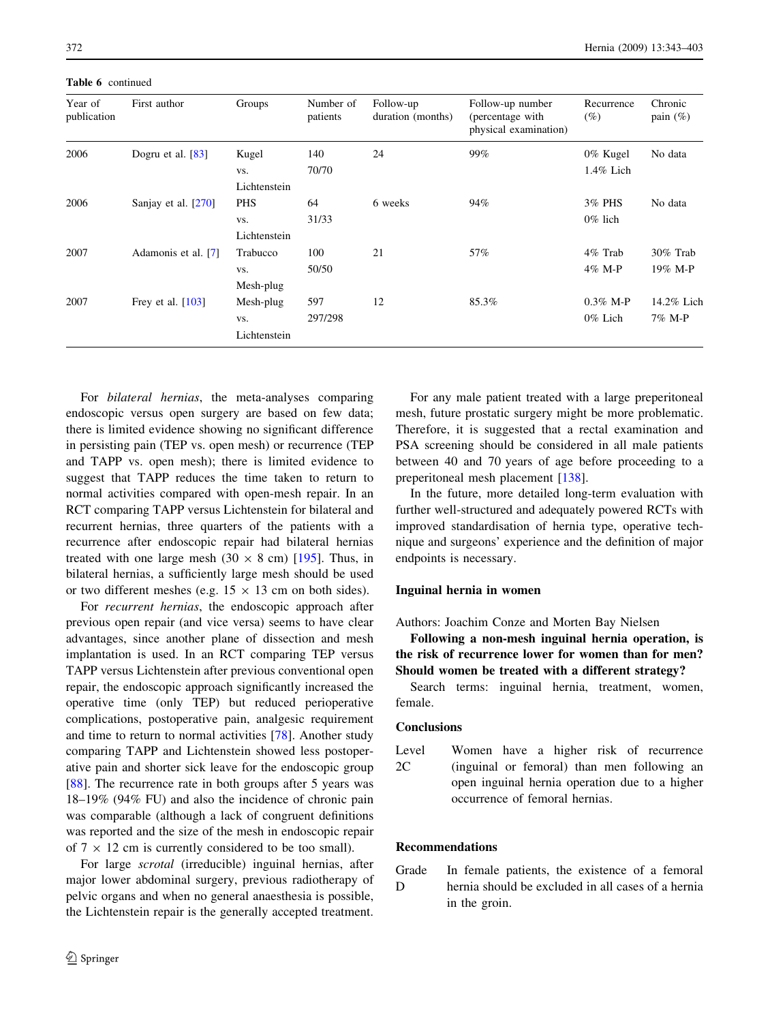<span id="page-29-0"></span>Table 6 continued

| Year of<br>publication | First author        | Groups       | Number of<br>patients | Follow-up<br>duration (months) | Follow-up number<br>(percentage with<br>physical examination) | Recurrence<br>$(\%)$ | Chronic<br>pain $(\%)$ |
|------------------------|---------------------|--------------|-----------------------|--------------------------------|---------------------------------------------------------------|----------------------|------------------------|
| 2006                   | Dogru et al. $[83]$ | Kugel        | 140                   | 24                             | 99%                                                           | 0% Kugel             | No data                |
|                        |                     | VS.          | 70/70                 |                                |                                                               | $1.4\%$ Lich         |                        |
|                        |                     | Lichtenstein |                       |                                |                                                               |                      |                        |
| 2006                   | Sanjay et al. [270] | <b>PHS</b>   | 64                    | 6 weeks                        | 94%                                                           | 3% PHS               | No data                |
|                        |                     | VS.          | 31/33                 |                                |                                                               | 0% lich              |                        |
|                        |                     | Lichtenstein |                       |                                |                                                               |                      |                        |
| 2007                   | Adamonis et al. [7] | Trabucco     | 100                   | 21                             | 57%                                                           | 4% Trab              | $30\%$ Trab            |
|                        |                     | VS.          | 50/50                 |                                |                                                               | 4% M-P               | 19% M-P                |
|                        |                     | Mesh-plug    |                       |                                |                                                               |                      |                        |
| 2007                   | Frey et al. $[103]$ | Mesh-plug    | 597                   | 12                             | 85.3%                                                         | $0.3\%$ M-P          | 14.2% Lich             |
|                        |                     | VS.          | 297/298               |                                |                                                               | 0% Lich              | 7% M-P                 |
|                        |                     | Lichtenstein |                       |                                |                                                               |                      |                        |

For bilateral hernias, the meta-analyses comparing endoscopic versus open surgery are based on few data; there is limited evidence showing no significant difference in persisting pain (TEP vs. open mesh) or recurrence (TEP and TAPP vs. open mesh); there is limited evidence to suggest that TAPP reduces the time taken to return to normal activities compared with open-mesh repair. In an RCT comparing TAPP versus Lichtenstein for bilateral and recurrent hernias, three quarters of the patients with a recurrence after endoscopic repair had bilateral hernias treated with one large mesh (30  $\times$  8 cm) [\[195](#page-57-0)]. Thus, in bilateral hernias, a sufficiently large mesh should be used or two different meshes (e.g.  $15 \times 13$  cm on both sides).

For recurrent hernias, the endoscopic approach after previous open repair (and vice versa) seems to have clear advantages, since another plane of dissection and mesh implantation is used. In an RCT comparing TEP versus TAPP versus Lichtenstein after previous conventional open repair, the endoscopic approach significantly increased the operative time (only TEP) but reduced perioperative complications, postoperative pain, analgesic requirement and time to return to normal activities [[78\]](#page-54-0). Another study comparing TAPP and Lichtenstein showed less postoperative pain and shorter sick leave for the endoscopic group [\[88](#page-54-0)]. The recurrence rate in both groups after 5 years was 18–19% (94% FU) and also the incidence of chronic pain was comparable (although a lack of congruent definitions was reported and the size of the mesh in endoscopic repair of  $7 \times 12$  cm is currently considered to be too small).

For large scrotal (irreducible) inguinal hernias, after major lower abdominal surgery, previous radiotherapy of pelvic organs and when no general anaesthesia is possible, the Lichtenstein repair is the generally accepted treatment.

For any male patient treated with a large preperitoneal mesh, future prostatic surgery might be more problematic. Therefore, it is suggested that a rectal examination and PSA screening should be considered in all male patients between 40 and 70 years of age before proceeding to a preperitoneal mesh placement [[138\]](#page-55-0).

In the future, more detailed long-term evaluation with further well-structured and adequately powered RCTs with improved standardisation of hernia type, operative technique and surgeons' experience and the definition of major endpoints is necessary.

### Inguinal hernia in women

Authors: Joachim Conze and Morten Bay Nielsen

Following a non-mesh inguinal hernia operation, is the risk of recurrence lower for women than for men? Should women be treated with a different strategy?

Search terms: inguinal hernia, treatment, women, female.

#### **Conclusions**

Level 2C Women have a higher risk of recurrence (inguinal or femoral) than men following an open inguinal hernia operation due to a higher occurrence of femoral hernias.

#### Recommendations

Grade D In female patients, the existence of a femoral hernia should be excluded in all cases of a hernia in the groin.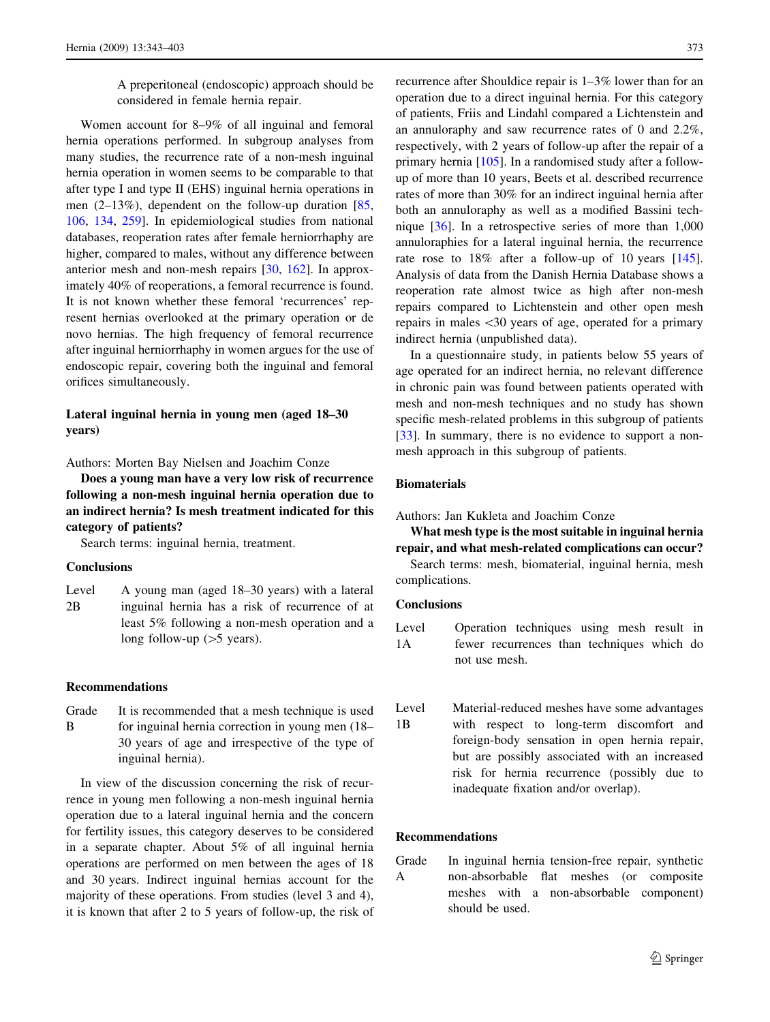A preperitoneal (endoscopic) approach should be considered in female hernia repair.

<span id="page-30-0"></span>Women account for 8–9% of all inguinal and femoral hernia operations performed. In subgroup analyses from many studies, the recurrence rate of a non-mesh inguinal hernia operation in women seems to be comparable to that after type I and type II (EHS) inguinal hernia operations in men  $(2-13\%)$ , dependent on the follow-up duration [[85,](#page-54-0) [106,](#page-54-0) [134,](#page-55-0) [259](#page-58-0)]. In epidemiological studies from national databases, reoperation rates after female herniorrhaphy are higher, compared to males, without any difference between anterior mesh and non-mesh repairs [[30,](#page-53-0) [162\]](#page-56-0). In approximately 40% of reoperations, a femoral recurrence is found. It is not known whether these femoral 'recurrences' represent hernias overlooked at the primary operation or de novo hernias. The high frequency of femoral recurrence after inguinal herniorrhaphy in women argues for the use of endoscopic repair, covering both the inguinal and femoral orifices simultaneously.

## Lateral inguinal hernia in young men (aged 18–30 years)

Authors: Morten Bay Nielsen and Joachim Conze

Does a young man have a very low risk of recurrence following a non-mesh inguinal hernia operation due to an indirect hernia? Is mesh treatment indicated for this category of patients?

Search terms: inguinal hernia, treatment.

#### **Conclusions**

Level 2B A young man (aged 18–30 years) with a lateral inguinal hernia has a risk of recurrence of at least 5% following a non-mesh operation and a long follow-up  $(>5$  years).

#### Recommendations

Grade B It is recommended that a mesh technique is used for inguinal hernia correction in young men (18– 30 years of age and irrespective of the type of inguinal hernia).

In view of the discussion concerning the risk of recurrence in young men following a non-mesh inguinal hernia operation due to a lateral inguinal hernia and the concern for fertility issues, this category deserves to be considered in a separate chapter. About 5% of all inguinal hernia operations are performed on men between the ages of 18 and 30 years. Indirect inguinal hernias account for the majority of these operations. From studies (level 3 and 4), it is known that after 2 to 5 years of follow-up, the risk of recurrence after Shouldice repair is 1–3% lower than for an operation due to a direct inguinal hernia. For this category of patients, Friis and Lindahl compared a Lichtenstein and an annuloraphy and saw recurrence rates of 0 and 2.2%, respectively, with 2 years of follow-up after the repair of a primary hernia [[105\]](#page-54-0). In a randomised study after a followup of more than 10 years, Beets et al. described recurrence rates of more than 30% for an indirect inguinal hernia after both an annuloraphy as well as a modified Bassini technique [\[36](#page-53-0)]. In a retrospective series of more than 1,000 annuloraphies for a lateral inguinal hernia, the recurrence rate rose to 18% after a follow-up of 10 years [\[145](#page-55-0)]. Analysis of data from the Danish Hernia Database shows a reoperation rate almost twice as high after non-mesh repairs compared to Lichtenstein and other open mesh repairs in males \30 years of age, operated for a primary indirect hernia (unpublished data).

In a questionnaire study, in patients below 55 years of age operated for an indirect hernia, no relevant difference in chronic pain was found between patients operated with mesh and non-mesh techniques and no study has shown specific mesh-related problems in this subgroup of patients [\[33](#page-53-0)]. In summary, there is no evidence to support a nonmesh approach in this subgroup of patients.

#### Biomaterials

Authors: Jan Kukleta and Joachim Conze

What mesh type is the most suitable in inguinal hernia repair, and what mesh-related complications can occur?

Search terms: mesh, biomaterial, inguinal hernia, mesh complications.

### Conclusions

| Level | Operation techniques using mesh result in  |  |  |  |
|-------|--------------------------------------------|--|--|--|
| 1 A   | fewer recurrences than techniques which do |  |  |  |
|       | not use mesh.                              |  |  |  |

Level 1B Material-reduced meshes have some advantages with respect to long-term discomfort and foreign-body sensation in open hernia repair, but are possibly associated with an increased risk for hernia recurrence (possibly due to inadequate fixation and/or overlap).

### Recommendations

Grade A In inguinal hernia tension-free repair, synthetic non-absorbable flat meshes (or composite meshes with a non-absorbable component) should be used.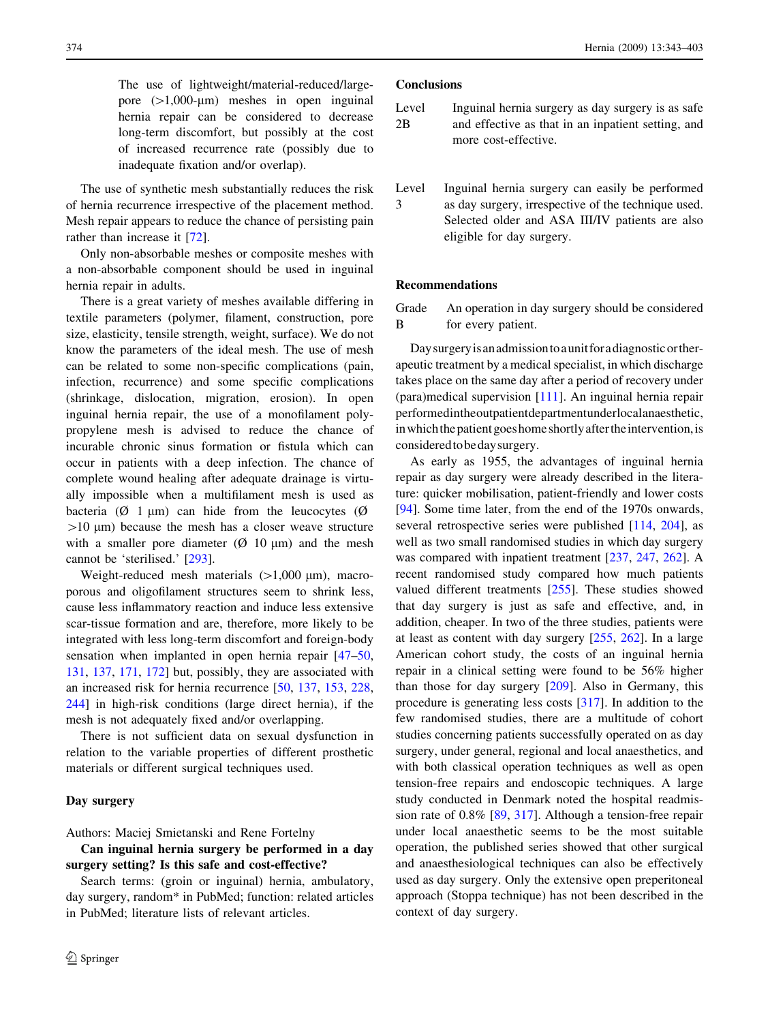The use of synthetic mesh substantially reduces the risk of hernia recurrence irrespective of the placement method. Mesh repair appears to reduce the chance of persisting pain rather than increase it [[72\]](#page-54-0).

Only non-absorbable meshes or composite meshes with a non-absorbable component should be used in inguinal hernia repair in adults.

There is a great variety of meshes available differing in textile parameters (polymer, filament, construction, pore size, elasticity, tensile strength, weight, surface). We do not know the parameters of the ideal mesh. The use of mesh can be related to some non-specific complications (pain, infection, recurrence) and some specific complications (shrinkage, dislocation, migration, erosion). In open inguinal hernia repair, the use of a monofilament polypropylene mesh is advised to reduce the chance of incurable chronic sinus formation or fistula which can occur in patients with a deep infection. The chance of complete wound healing after adequate drainage is virtually impossible when a multifilament mesh is used as bacteria ( $\varnothing$  1 µm) can hide from the leucocytes ( $\varnothing$  $>10 \mu m$ ) because the mesh has a closer weave structure with a smaller pore diameter  $(\emptyset 10 \mu m)$  and the mesh cannot be 'sterilised.' [[293\]](#page-59-0).

Weight-reduced mesh materials  $(>1,000 \mu m)$ , macroporous and oligofilament structures seem to shrink less, cause less inflammatory reaction and induce less extensive scar-tissue formation and are, therefore, more likely to be integrated with less long-term discomfort and foreign-body sensation when implanted in open hernia repair [[47–50,](#page-53-0) [131,](#page-55-0) [137,](#page-55-0) [171](#page-56-0), [172\]](#page-56-0) but, possibly, they are associated with an increased risk for hernia recurrence [[50,](#page-53-0) [137](#page-55-0), [153](#page-56-0), [228,](#page-58-0) [244\]](#page-58-0) in high-risk conditions (large direct hernia), if the mesh is not adequately fixed and/or overlapping.

There is not sufficient data on sexual dysfunction in relation to the variable properties of different prosthetic materials or different surgical techniques used.

### Day surgery

Authors: Maciej Smietanski and Rene Fortelny

## Can inguinal hernia surgery be performed in a day surgery setting? Is this safe and cost-effective?

Search terms: (groin or inguinal) hernia, ambulatory, day surgery, random\* in PubMed; function: related articles in PubMed; literature lists of relevant articles.

#### **Conclusions**

- Level 2B Inguinal hernia surgery as day surgery is as safe and effective as that in an inpatient setting, and more cost-effective.
- Level 3 Inguinal hernia surgery can easily be performed as day surgery, irrespective of the technique used. Selected older and ASA III/IV patients are also eligible for day surgery.

### Recommendations

Grade B An operation in day surgery should be considered for every patient.

Daysurgeryisanadmissiontoaunitforadiagnosticortherapeutic treatment by a medical specialist, in which discharge takes place on the same day after a period of recovery under (para)medical supervision [\[111](#page-55-0)]. An inguinal hernia repair performedintheoutpatientdepartmentunderlocalanaesthetic, inwhichthepatientgoeshomeshortlyaftertheintervention,is consideredtobedaysurgery.

As early as 1955, the advantages of inguinal hernia repair as day surgery were already described in the literature: quicker mobilisation, patient-friendly and lower costs [\[94](#page-54-0)]. Some time later, from the end of the 1970s onwards, several retrospective series were published [[114,](#page-55-0) [204](#page-57-0)], as well as two small randomised studies in which day surgery was compared with inpatient treatment [[237,](#page-58-0) [247](#page-58-0), [262\]](#page-58-0). A recent randomised study compared how much patients valued different treatments [[255\]](#page-58-0). These studies showed that day surgery is just as safe and effective, and, in addition, cheaper. In two of the three studies, patients were at least as content with day surgery [\[255](#page-58-0), [262](#page-58-0)]. In a large American cohort study, the costs of an inguinal hernia repair in a clinical setting were found to be 56% higher than those for day surgery [\[209](#page-57-0)]. Also in Germany, this procedure is generating less costs [\[317](#page-60-0)]. In addition to the few randomised studies, there are a multitude of cohort studies concerning patients successfully operated on as day surgery, under general, regional and local anaesthetics, and with both classical operation techniques as well as open tension-free repairs and endoscopic techniques. A large study conducted in Denmark noted the hospital readmission rate of 0.8% [\[89](#page-54-0), [317\]](#page-60-0). Although a tension-free repair under local anaesthetic seems to be the most suitable operation, the published series showed that other surgical and anaesthesiological techniques can also be effectively used as day surgery. Only the extensive open preperitoneal approach (Stoppa technique) has not been described in the context of day surgery.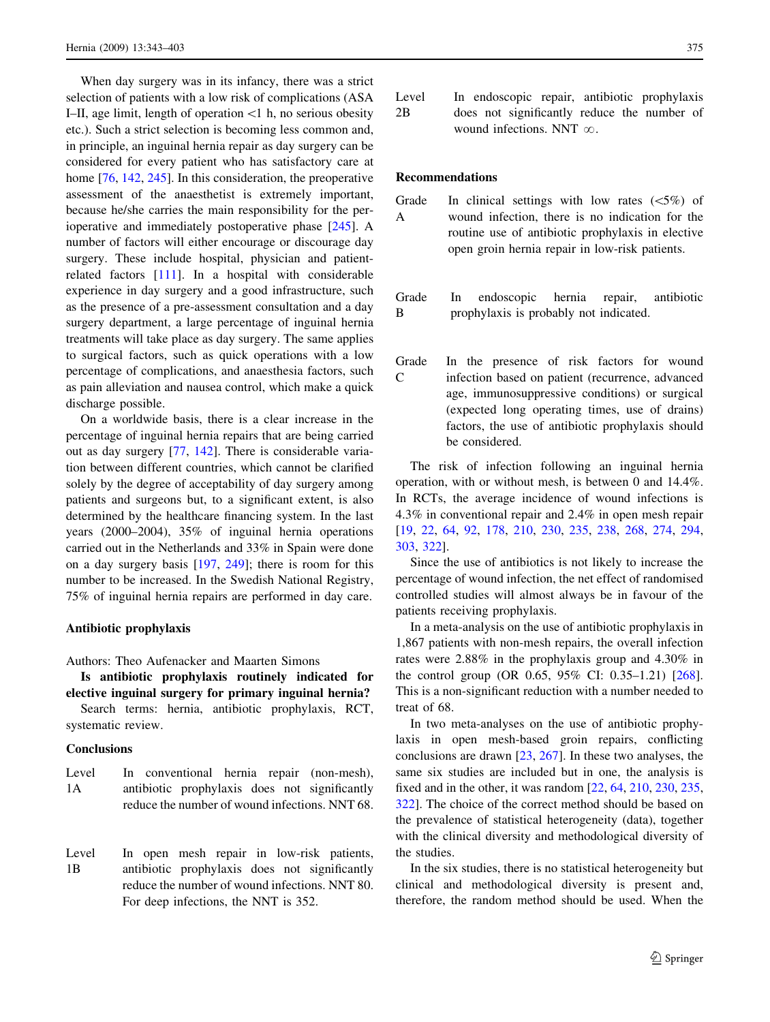When day surgery was in its infancy, there was a strict selection of patients with a low risk of complications (ASA I–II, age limit, length of operation  $\leq 1$  h, no serious obesity etc.). Such a strict selection is becoming less common and, in principle, an inguinal hernia repair as day surgery can be considered for every patient who has satisfactory care at home [\[76](#page-54-0), [142](#page-55-0), [245](#page-58-0)]. In this consideration, the preoperative assessment of the anaesthetist is extremely important, because he/she carries the main responsibility for the perioperative and immediately postoperative phase [[245\]](#page-58-0). A number of factors will either encourage or discourage day surgery. These include hospital, physician and patientrelated factors [\[111](#page-55-0)]. In a hospital with considerable experience in day surgery and a good infrastructure, such as the presence of a pre-assessment consultation and a day surgery department, a large percentage of inguinal hernia treatments will take place as day surgery. The same applies to surgical factors, such as quick operations with a low percentage of complications, and anaesthesia factors, such as pain alleviation and nausea control, which make a quick discharge possible.

On a worldwide basis, there is a clear increase in the percentage of inguinal hernia repairs that are being carried out as day surgery [\[77,](#page-54-0) [142](#page-55-0)]. There is considerable variation between different countries, which cannot be clarified solely by the degree of acceptability of day surgery among patients and surgeons but, to a significant extent, is also determined by the healthcare financing system. In the last years (2000–2004), 35% of inguinal hernia operations carried out in the Netherlands and 33% in Spain were done on a day surgery basis [[197,](#page-57-0) [249](#page-58-0)]; there is room for this number to be increased. In the Swedish National Registry, 75% of inguinal hernia repairs are performed in day care.

#### Antibiotic prophylaxis

Authors: Theo Aufenacker and Maarten Simons

Is antibiotic prophylaxis routinely indicated for elective inguinal surgery for primary inguinal hernia?

Search terms: hernia, antibiotic prophylaxis, RCT, systematic review.

### **Conclusions**

- Level 1A In conventional hernia repair (non-mesh), antibiotic prophylaxis does not significantly reduce the number of wound infections. NNT 68.
- Level 1B In open mesh repair in low-risk patients, antibiotic prophylaxis does not significantly reduce the number of wound infections. NNT 80. For deep infections, the NNT is 352.

Level 2B In endoscopic repair, antibiotic prophylaxis does not significantly reduce the number of wound infections. NNT  $\infty$ .

#### Recommendations

- Grade A In clinical settings with low rates  $(\leq 5\%)$  of wound infection, there is no indication for the routine use of antibiotic prophylaxis in elective open groin hernia repair in low-risk patients.
- Grade B In endoscopic hernia repair, antibiotic prophylaxis is probably not indicated.
- Grade C In the presence of risk factors for wound infection based on patient (recurrence, advanced age, immunosuppressive conditions) or surgical (expected long operating times, use of drains) factors, the use of antibiotic prophylaxis should be considered.

The risk of infection following an inguinal hernia operation, with or without mesh, is between 0 and 14.4%. In RCTs, the average incidence of wound infections is 4.3% in conventional repair and 2.4% in open mesh repair [\[19](#page-52-0), [22](#page-52-0), [64,](#page-53-0) [92](#page-54-0), [178,](#page-56-0) [210](#page-57-0), [230,](#page-58-0) [235](#page-58-0), [238](#page-58-0), [268,](#page-59-0) [274](#page-59-0), [294,](#page-59-0) [303](#page-59-0), [322\]](#page-60-0).

Since the use of antibiotics is not likely to increase the percentage of wound infection, the net effect of randomised controlled studies will almost always be in favour of the patients receiving prophylaxis.

In a meta-analysis on the use of antibiotic prophylaxis in 1,867 patients with non-mesh repairs, the overall infection rates were 2.88% in the prophylaxis group and 4.30% in the control group (OR 0.65, 95% CI: 0.35–1.21) [\[268](#page-59-0)]. This is a non-significant reduction with a number needed to treat of 68.

In two meta-analyses on the use of antibiotic prophylaxis in open mesh-based groin repairs, conflicting conclusions are drawn [\[23](#page-52-0), [267](#page-59-0)]. In these two analyses, the same six studies are included but in one, the analysis is fixed and in the other, it was random [[22](#page-52-0), [64](#page-53-0), [210](#page-57-0), [230,](#page-58-0) [235,](#page-58-0) [322](#page-60-0)]. The choice of the correct method should be based on the prevalence of statistical heterogeneity (data), together with the clinical diversity and methodological diversity of the studies.

In the six studies, there is no statistical heterogeneity but clinical and methodological diversity is present and, therefore, the random method should be used. When the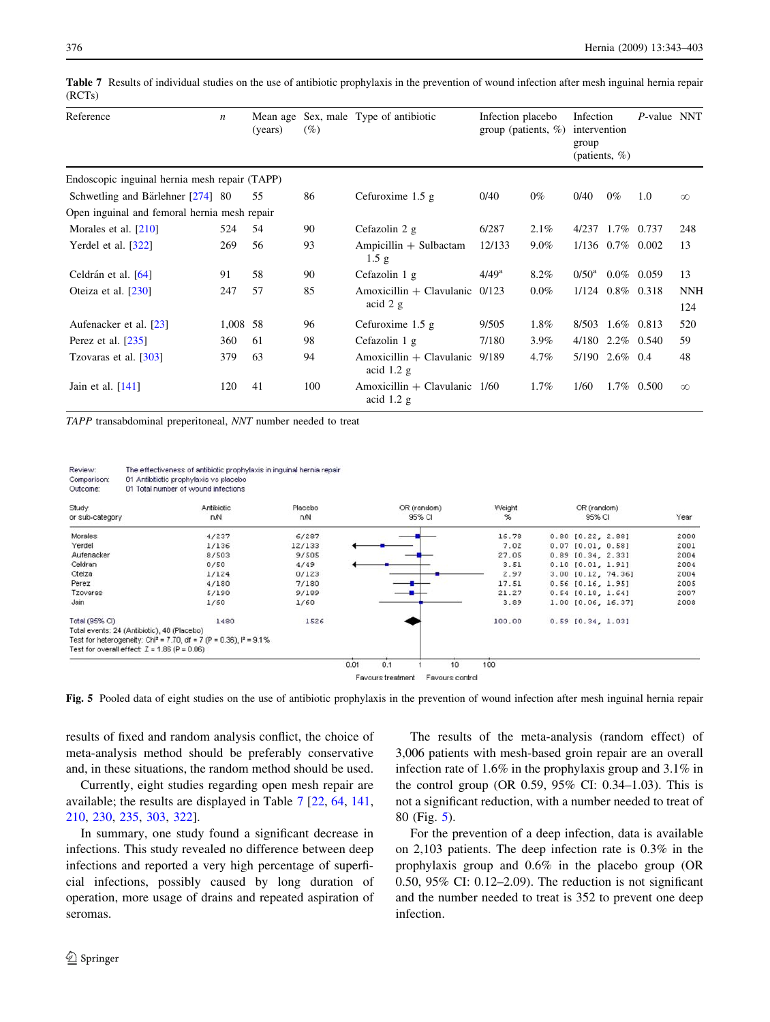| Reference                                     | $\boldsymbol{n}$ | Mean age<br>(years) | $(\%)$ | Sex, male Type of antibiotic<br>Infection placebo<br>group (patients, $\%$ ) |                |         | Infection<br>intervention<br>group<br>(patients, $\%$ ) |                    | P-value NNT      |                   |
|-----------------------------------------------|------------------|---------------------|--------|------------------------------------------------------------------------------|----------------|---------|---------------------------------------------------------|--------------------|------------------|-------------------|
| Endoscopic inguinal hernia mesh repair (TAPP) |                  |                     |        |                                                                              |                |         |                                                         |                    |                  |                   |
| Schwetling and Bärlehner [274] 80             |                  | 55                  | 86     | Cefuroxime $1.5$ g                                                           | 0/40           | $0\%$   | 0/40                                                    | $0\%$              | 1.0              | $\infty$          |
| Open inguinal and femoral hernia mesh repair  |                  |                     |        |                                                                              |                |         |                                                         |                    |                  |                   |
| Morales et al. $[210]$                        | 524              | 54                  | 90     | Cefazolin 2 g                                                                | 6/287          | 2.1%    | 4/237                                                   | $1.7\%$            | 0.737            | 248               |
| Yerdel et al. $[322]$                         | 269              | 56                  | 93     | Ampicillin + Sulbactam<br>1.5 <sub>g</sub>                                   | 12/133         | $9.0\%$ |                                                         | $1/136$ 0.7% 0.002 |                  | 13                |
| Celdrán et al. $[64]$                         | 91               | 58                  | 90     | Cefazolin 1 g                                                                | $4/49^{\rm a}$ | 8.2%    | $0/50^{\rm a}$                                          |                    | $0.0\%$ 0.059    | 13                |
| Oteiza et al. [230]                           | 247              | 57                  | 85     | $Amoxicillin + Clavulanic$<br>acid $2 g$                                     | 0/123          | $0.0\%$ | 1/124                                                   |                    | $0.8\%$ 0.318    | <b>NNH</b><br>124 |
| Aufenacker et al. [23]                        | 1,008 58         |                     | 96     | Cefuroxime $1.5$ g                                                           | 9/505          | $1.8\%$ | 8/503                                                   |                    | $1.6\%$ 0.813    | 520               |
| Perez et al. $[235]$                          | 360              | 61                  | 98     | Cefazolin 1 g                                                                | 7/180          | $3.9\%$ |                                                         |                    | 4/180 2.2% 0.540 | 59                |
| Tzovaras et al. [303]                         | 379              | 63                  | 94     | $Amoxicillin + Clavulanic$<br>acid $1.2 g$                                   | 9/189          | $4.7\%$ |                                                         | 5/190 2.6% 0.4     |                  | 48                |
| Jain et al. $[141]$                           | 120              | 41                  | 100    | Amoxicillin + Clavulanic $1/60$<br>acid $1.2 g$                              |                | $1.7\%$ | 1/60                                                    |                    | 1.7% 0.500       | $\infty$          |

Table 7 Results of individual studies on the use of antibiotic prophylaxis in the prevention of wound infection after mesh inguinal hernia repair (RCTs)

TAPP transabdominal preperitoneal, NNT number needed to treat

Review The effectiveness of antibiotic prophylaxis in inguinal hernia repair Comparison 01 Antibitiotic prophylaxis vs placebo Outcome: 01 Total number of wound infections

| Study<br>or sub-category                       | Antibiotic<br>nN                                                                 | Placebo<br>nN | OR (random)<br>95% CI                | Weight<br>% | OR (random)<br>95% CI  | Year |
|------------------------------------------------|----------------------------------------------------------------------------------|---------------|--------------------------------------|-------------|------------------------|------|
| Morales                                        | 4/237                                                                            | 6/287         |                                      | 16.78       | $0.80$ $[0.22, 2.88]$  | 2000 |
| Yerdel                                         | 1/136                                                                            | 12/133        |                                      | 7.02        | $0.07$ $[0.01, 0.58]$  | 2001 |
| Aufenacker                                     | 8/503                                                                            | 9/505         |                                      | 27.05       | $0.89$ $[0.34, 2.33]$  | 2004 |
| Celdran                                        | 0/50                                                                             | 4/49          |                                      | 3.51        | $0.10$ $[0.01, 1.91]$  | 2004 |
| Oteiza                                         | 1/124                                                                            | 0/123         |                                      | 2.97        | $3.00$ $[0.12, 74.36]$ | 2004 |
| Perez                                          | 4/180                                                                            | 7/180         |                                      | 17.51       | $0.56$ $[0.16, 1.95]$  | 2005 |
| Tzovaras                                       | 5/190                                                                            | 9/189         |                                      | 21.27       | $0.54$ $[0.18, 1.64]$  | 2007 |
| Jain                                           | 1/60                                                                             | 1/60          |                                      | 3.89        | 1.00 [0.06, 16.37]     | 2008 |
| Total (95% CI)                                 | 1480                                                                             | 1526          |                                      | 100.00      | $0.59$ $[0.34, 1.03]$  |      |
| Total events: 24 (Antibiotic), 48 (Placebo)    |                                                                                  |               |                                      |             |                        |      |
|                                                | Test for heterogeneity: Chi <sup>2</sup> = 7.70, df = 7 (P = 0.36), $I^2$ = 9.1% |               |                                      |             |                        |      |
| Test for overall effect: $Z = 1.86$ (P = 0.06) |                                                                                  |               |                                      |             |                        |      |
|                                                |                                                                                  |               | 0.01<br>0.1<br>10                    | 100         |                        |      |
|                                                |                                                                                  |               | Favours control<br>Favours treatment |             |                        |      |

Fig. 5 Pooled data of eight studies on the use of antibiotic prophylaxis in the prevention of wound infection after mesh inguinal hernia repair

results of fixed and random analysis conflict, the choice of meta-analysis method should be preferably conservative and, in these situations, the random method should be used.

Currently, eight studies regarding open mesh repair are available; the results are displayed in Table 7 [\[22](#page-52-0), [64](#page-53-0), [141,](#page-55-0) [210,](#page-57-0) [230,](#page-58-0) [235,](#page-58-0) [303](#page-59-0), [322](#page-60-0)].

In summary, one study found a significant decrease in infections. This study revealed no difference between deep infections and reported a very high percentage of superficial infections, possibly caused by long duration of operation, more usage of drains and repeated aspiration of seromas.

The results of the meta-analysis (random effect) of 3,006 patients with mesh-based groin repair are an overall infection rate of 1.6% in the prophylaxis group and 3.1% in the control group (OR 0.59, 95% CI: 0.34–1.03). This is not a significant reduction, with a number needed to treat of 80 (Fig. 5).

For the prevention of a deep infection, data is available on 2,103 patients. The deep infection rate is 0.3% in the prophylaxis group and 0.6% in the placebo group (OR 0.50, 95% CI: 0.12–2.09). The reduction is not significant and the number needed to treat is 352 to prevent one deep infection.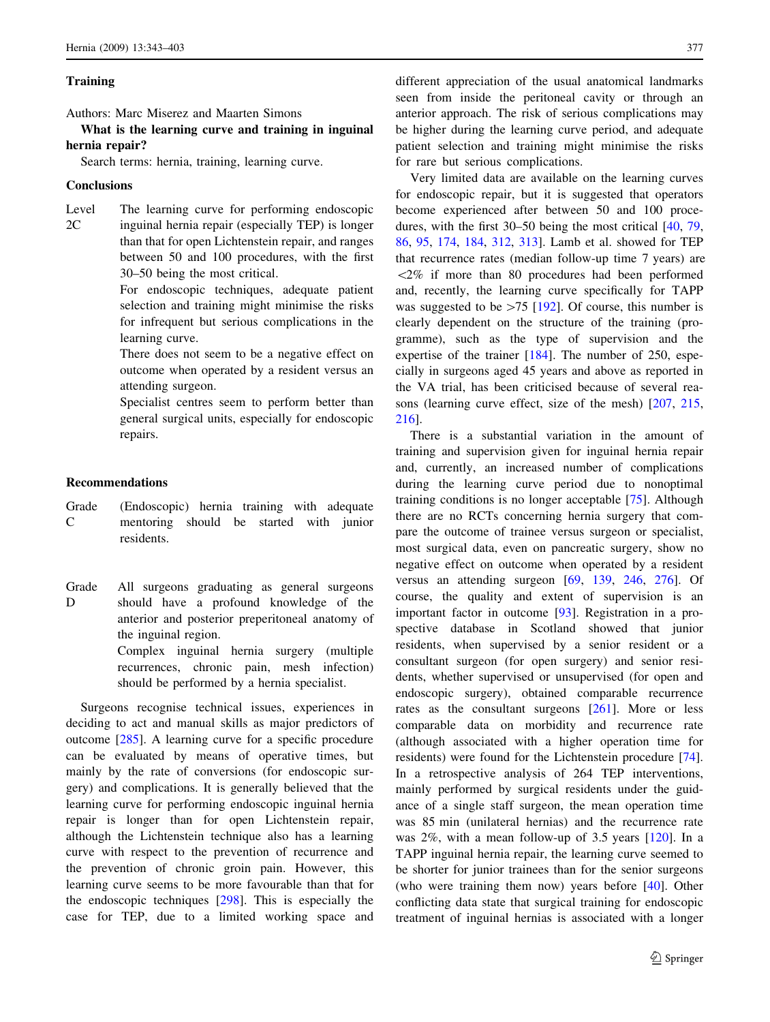#### <span id="page-34-0"></span>**Training**

Authors: Marc Miserez and Maarten Simons

What is the learning curve and training in inguinal hernia repair?

Search terms: hernia, training, learning curve.

#### **Conclusions**

Level 2C The learning curve for performing endoscopic inguinal hernia repair (especially TEP) is longer than that for open Lichtenstein repair, and ranges between 50 and 100 procedures, with the first 30–50 being the most critical.

> For endoscopic techniques, adequate patient selection and training might minimise the risks for infrequent but serious complications in the learning curve.

> There does not seem to be a negative effect on outcome when operated by a resident versus an attending surgeon.

> Specialist centres seem to perform better than general surgical units, especially for endoscopic repairs.

#### Recommendations

Grade  $\mathcal{C}$ (Endoscopic) hernia training with adequate mentoring should be started with junior residents.

Grade D All surgeons graduating as general surgeons should have a profound knowledge of the anterior and posterior preperitoneal anatomy of the inguinal region. Complex inguinal hernia surgery (multiple recurrences, chronic pain, mesh infection)

should be performed by a hernia specialist.

Surgeons recognise technical issues, experiences in deciding to act and manual skills as major predictors of outcome [[285\]](#page-59-0). A learning curve for a specific procedure can be evaluated by means of operative times, but mainly by the rate of conversions (for endoscopic surgery) and complications. It is generally believed that the learning curve for performing endoscopic inguinal hernia repair is longer than for open Lichtenstein repair, although the Lichtenstein technique also has a learning curve with respect to the prevention of recurrence and the prevention of chronic groin pain. However, this learning curve seems to be more favourable than that for the endoscopic techniques [\[298](#page-59-0)]. This is especially the case for TEP, due to a limited working space and

different appreciation of the usual anatomical landmarks seen from inside the peritoneal cavity or through an anterior approach. The risk of serious complications may be higher during the learning curve period, and adequate patient selection and training might minimise the risks for rare but serious complications.

Very limited data are available on the learning curves for endoscopic repair, but it is suggested that operators become experienced after between 50 and 100 procedures, with the first 30–50 being the most critical [[40,](#page-53-0) [79,](#page-54-0) [86](#page-54-0), [95](#page-54-0), [174](#page-56-0), [184](#page-56-0), [312](#page-60-0), [313](#page-60-0)]. Lamb et al. showed for TEP that recurrence rates (median follow-up time 7 years) are  $\langle 2\%$  if more than 80 procedures had been performed and, recently, the learning curve specifically for TAPP was suggested to be  $>75$  [[192](#page-57-0)]. Of course, this number is clearly dependent on the structure of the training (programme), such as the type of supervision and the expertise of the trainer [\[184](#page-56-0)]. The number of 250, especially in surgeons aged 45 years and above as reported in the VA trial, has been criticised because of several reasons (learning curve effect, size of the mesh) [\[207](#page-57-0), [215,](#page-57-0) [216](#page-57-0)].

There is a substantial variation in the amount of training and supervision given for inguinal hernia repair and, currently, an increased number of complications during the learning curve period due to nonoptimal training conditions is no longer acceptable [\[75](#page-54-0)]. Although there are no RCTs concerning hernia surgery that compare the outcome of trainee versus surgeon or specialist, most surgical data, even on pancreatic surgery, show no negative effect on outcome when operated by a resident versus an attending surgeon [\[69](#page-54-0), [139](#page-55-0), [246](#page-58-0), [276](#page-59-0)]. Of course, the quality and extent of supervision is an important factor in outcome [\[93](#page-54-0)]. Registration in a prospective database in Scotland showed that junior residents, when supervised by a senior resident or a consultant surgeon (for open surgery) and senior residents, whether supervised or unsupervised (for open and endoscopic surgery), obtained comparable recurrence rates as the consultant surgeons [[261\]](#page-58-0). More or less comparable data on morbidity and recurrence rate (although associated with a higher operation time for residents) were found for the Lichtenstein procedure [\[74](#page-54-0)]. In a retrospective analysis of 264 TEP interventions, mainly performed by surgical residents under the guidance of a single staff surgeon, the mean operation time was 85 min (unilateral hernias) and the recurrence rate was 2%, with a mean follow-up of 3.5 years [\[120](#page-55-0)]. In a TAPP inguinal hernia repair, the learning curve seemed to be shorter for junior trainees than for the senior surgeons (who were training them now) years before [[40\]](#page-53-0). Other conflicting data state that surgical training for endoscopic treatment of inguinal hernias is associated with a longer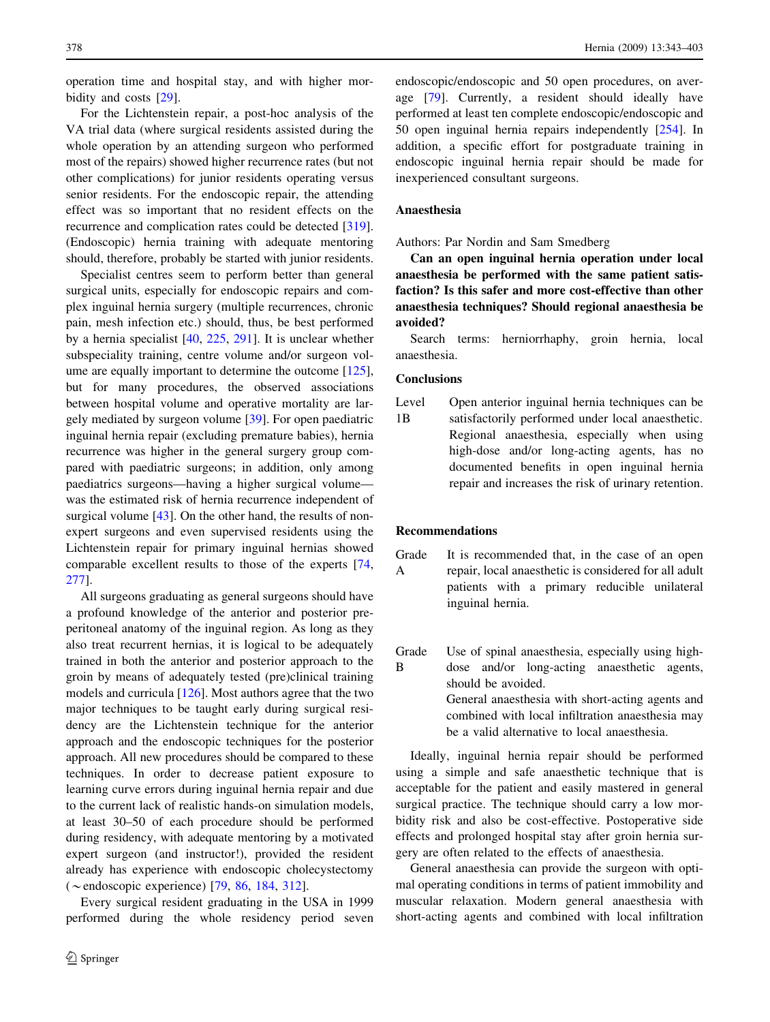operation time and hospital stay, and with higher morbidity and costs [\[29](#page-52-0)].

For the Lichtenstein repair, a post-hoc analysis of the VA trial data (where surgical residents assisted during the whole operation by an attending surgeon who performed most of the repairs) showed higher recurrence rates (but not other complications) for junior residents operating versus senior residents. For the endoscopic repair, the attending effect was so important that no resident effects on the recurrence and complication rates could be detected [\[319](#page-60-0)]. (Endoscopic) hernia training with adequate mentoring should, therefore, probably be started with junior residents.

Specialist centres seem to perform better than general surgical units, especially for endoscopic repairs and complex inguinal hernia surgery (multiple recurrences, chronic pain, mesh infection etc.) should, thus, be best performed by a hernia specialist [\[40](#page-53-0), [225,](#page-57-0) [291\]](#page-59-0). It is unclear whether subspeciality training, centre volume and/or surgeon volume are equally important to determine the outcome [\[125](#page-55-0)], but for many procedures, the observed associations between hospital volume and operative mortality are largely mediated by surgeon volume [[39\]](#page-53-0). For open paediatric inguinal hernia repair (excluding premature babies), hernia recurrence was higher in the general surgery group compared with paediatric surgeons; in addition, only among paediatrics surgeons—having a higher surgical volume was the estimated risk of hernia recurrence independent of surgical volume  $[43]$  $[43]$ . On the other hand, the results of nonexpert surgeons and even supervised residents using the Lichtenstein repair for primary inguinal hernias showed comparable excellent results to those of the experts [[74,](#page-54-0) [277\]](#page-59-0).

All surgeons graduating as general surgeons should have a profound knowledge of the anterior and posterior preperitoneal anatomy of the inguinal region. As long as they also treat recurrent hernias, it is logical to be adequately trained in both the anterior and posterior approach to the groin by means of adequately tested (pre)clinical training models and curricula [\[126](#page-55-0)]. Most authors agree that the two major techniques to be taught early during surgical residency are the Lichtenstein technique for the anterior approach and the endoscopic techniques for the posterior approach. All new procedures should be compared to these techniques. In order to decrease patient exposure to learning curve errors during inguinal hernia repair and due to the current lack of realistic hands-on simulation models, at least 30–50 of each procedure should be performed during residency, with adequate mentoring by a motivated expert surgeon (and instructor!), provided the resident already has experience with endoscopic cholecystectomy ( $\sim$ endoscopic experience) [\[79](#page-54-0), [86,](#page-54-0) [184,](#page-56-0) [312](#page-60-0)].

Every surgical resident graduating in the USA in 1999 performed during the whole residency period seven endoscopic/endoscopic and 50 open procedures, on average [\[79](#page-54-0)]. Currently, a resident should ideally have performed at least ten complete endoscopic/endoscopic and 50 open inguinal hernia repairs independently [\[254](#page-58-0)]. In addition, a specific effort for postgraduate training in endoscopic inguinal hernia repair should be made for inexperienced consultant surgeons.

### Anaesthesia

Authors: Par Nordin and Sam Smedberg

Can an open inguinal hernia operation under local anaesthesia be performed with the same patient satisfaction? Is this safer and more cost-effective than other anaesthesia techniques? Should regional anaesthesia be avoided?

Search terms: herniorrhaphy, groin hernia, local anaesthesia.

#### Conclusions

Level 1B Open anterior inguinal hernia techniques can be satisfactorily performed under local anaesthetic. Regional anaesthesia, especially when using high-dose and/or long-acting agents, has no documented benefits in open inguinal hernia repair and increases the risk of urinary retention.

#### Recommendations

- Grade A It is recommended that, in the case of an open repair, local anaesthetic is considered for all adult patients with a primary reducible unilateral inguinal hernia.
- Grade B Use of spinal anaesthesia, especially using highdose and/or long-acting anaesthetic agents, should be avoided. General anaesthesia with short-acting agents and combined with local infiltration anaesthesia may be a valid alternative to local anaesthesia.

Ideally, inguinal hernia repair should be performed using a simple and safe anaesthetic technique that is acceptable for the patient and easily mastered in general surgical practice. The technique should carry a low morbidity risk and also be cost-effective. Postoperative side effects and prolonged hospital stay after groin hernia surgery are often related to the effects of anaesthesia.

General anaesthesia can provide the surgeon with optimal operating conditions in terms of patient immobility and muscular relaxation. Modern general anaesthesia with short-acting agents and combined with local infiltration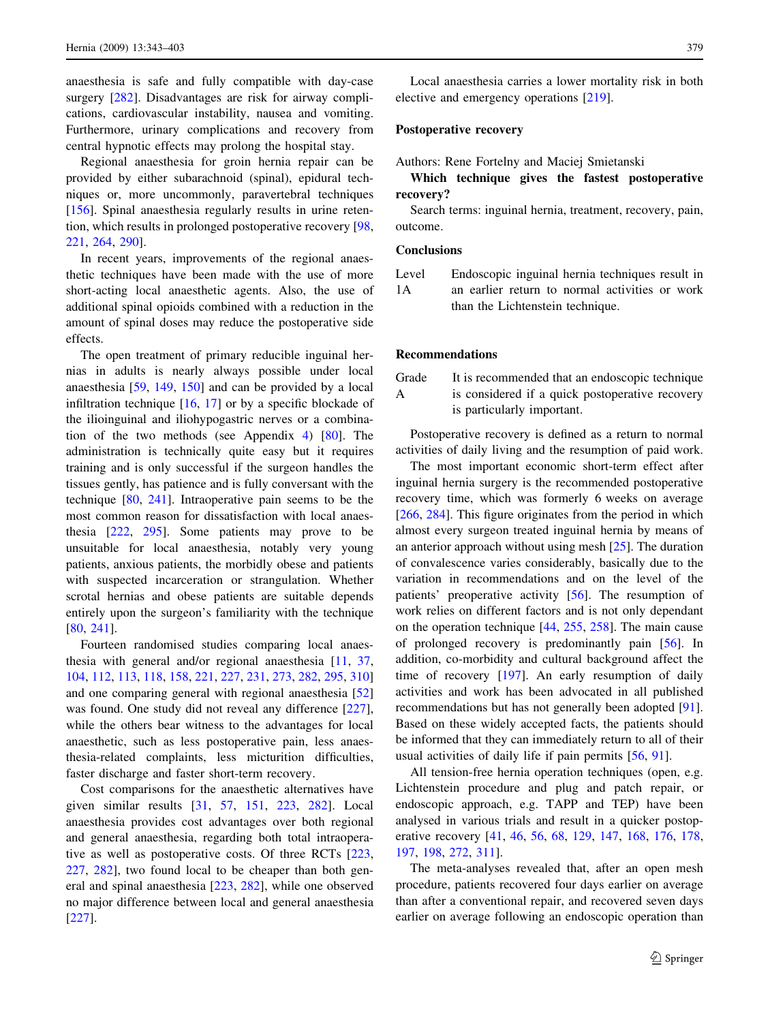<span id="page-36-0"></span>anaesthesia is safe and fully compatible with day-case surgery [\[282](#page-59-0)]. Disadvantages are risk for airway complications, cardiovascular instability, nausea and vomiting. Furthermore, urinary complications and recovery from central hypnotic effects may prolong the hospital stay.

Regional anaesthesia for groin hernia repair can be provided by either subarachnoid (spinal), epidural techniques or, more uncommonly, paravertebral techniques [\[156](#page-56-0)]. Spinal anaesthesia regularly results in urine retention, which results in prolonged postoperative recovery [[98,](#page-54-0) [221,](#page-57-0) [264,](#page-58-0) [290\]](#page-59-0).

In recent years, improvements of the regional anaesthetic techniques have been made with the use of more short-acting local anaesthetic agents. Also, the use of additional spinal opioids combined with a reduction in the amount of spinal doses may reduce the postoperative side effects.

The open treatment of primary reducible inguinal hernias in adults is nearly always possible under local anaesthesia [\[59](#page-53-0), [149](#page-56-0), [150\]](#page-56-0) and can be provided by a local infiltration technique [\[16](#page-52-0), [17](#page-52-0)] or by a specific blockade of the ilioinguinal and iliohypogastric nerves or a combination of the two methods (see Appendix [4\)](#page-48-0) [[80\]](#page-54-0). The administration is technically quite easy but it requires training and is only successful if the surgeon handles the tissues gently, has patience and is fully conversant with the technique [[80,](#page-54-0) [241\]](#page-58-0). Intraoperative pain seems to be the most common reason for dissatisfaction with local anaesthesia [\[222](#page-57-0), [295\]](#page-59-0). Some patients may prove to be unsuitable for local anaesthesia, notably very young patients, anxious patients, the morbidly obese and patients with suspected incarceration or strangulation. Whether scrotal hernias and obese patients are suitable depends entirely upon the surgeon's familiarity with the technique [\[80](#page-54-0), [241](#page-58-0)].

Fourteen randomised studies comparing local anaesthesia with general and/or regional anaesthesia [\[11](#page-52-0), [37,](#page-53-0) [104,](#page-54-0) [112,](#page-55-0) [113,](#page-55-0) [118,](#page-55-0) [158,](#page-56-0) [221,](#page-57-0) [227,](#page-58-0) [231,](#page-58-0) [273,](#page-59-0) [282,](#page-59-0) [295,](#page-59-0) [310\]](#page-60-0) and one comparing general with regional anaesthesia [[52\]](#page-53-0) was found. One study did not reveal any difference [\[227](#page-58-0)], while the others bear witness to the advantages for local anaesthetic, such as less postoperative pain, less anaesthesia-related complaints, less micturition difficulties, faster discharge and faster short-term recovery.

Cost comparisons for the anaesthetic alternatives have given similar results [\[31](#page-53-0), [57,](#page-53-0) [151,](#page-56-0) [223](#page-57-0), [282\]](#page-59-0). Local anaesthesia provides cost advantages over both regional and general anaesthesia, regarding both total intraoperative as well as postoperative costs. Of three RCTs [[223,](#page-57-0) [227,](#page-58-0) [282\]](#page-59-0), two found local to be cheaper than both general and spinal anaesthesia [[223,](#page-57-0) [282](#page-59-0)], while one observed no major difference between local and general anaesthesia [\[227](#page-58-0)].

Local anaesthesia carries a lower mortality risk in both elective and emergency operations [\[219](#page-57-0)].

#### Postoperative recovery

Authors: Rene Fortelny and Maciej Smietanski

Which technique gives the fastest postoperative recovery?

Search terms: inguinal hernia, treatment, recovery, pain, outcome.

#### **Conclusions**

Level 1A Endoscopic inguinal hernia techniques result in an earlier return to normal activities or work than the Lichtenstein technique.

#### Recommendations

| Grade | It is recommended that an endoscopic technique  |
|-------|-------------------------------------------------|
| A     | is considered if a quick postoperative recovery |
|       | is particularly important.                      |

Postoperative recovery is defined as a return to normal activities of daily living and the resumption of paid work.

The most important economic short-term effect after inguinal hernia surgery is the recommended postoperative recovery time, which was formerly 6 weeks on average [\[266](#page-59-0), [284\]](#page-59-0). This figure originates from the period in which almost every surgeon treated inguinal hernia by means of an anterior approach without using mesh [[25\]](#page-52-0). The duration of convalescence varies considerably, basically due to the variation in recommendations and on the level of the patients' preoperative activity [[56\]](#page-53-0). The resumption of work relies on different factors and is not only dependant on the operation technique [[44,](#page-53-0) [255](#page-58-0), [258\]](#page-58-0). The main cause of prolonged recovery is predominantly pain [[56\]](#page-53-0). In addition, co-morbidity and cultural background affect the time of recovery [\[197](#page-57-0)]. An early resumption of daily activities and work has been advocated in all published recommendations but has not generally been adopted [\[91](#page-54-0)]. Based on these widely accepted facts, the patients should be informed that they can immediately return to all of their usual activities of daily life if pain permits [[56,](#page-53-0) [91](#page-54-0)].

All tension-free hernia operation techniques (open, e.g. Lichtenstein procedure and plug and patch repair, or endoscopic approach, e.g. TAPP and TEP) have been analysed in various trials and result in a quicker postoperative recovery [[41,](#page-53-0) [46,](#page-53-0) [56,](#page-53-0) [68,](#page-54-0) [129,](#page-55-0) [147,](#page-55-0) [168,](#page-56-0) [176,](#page-56-0) [178,](#page-56-0) [197](#page-57-0), [198,](#page-57-0) [272,](#page-59-0) [311](#page-60-0)].

The meta-analyses revealed that, after an open mesh procedure, patients recovered four days earlier on average than after a conventional repair, and recovered seven days earlier on average following an endoscopic operation than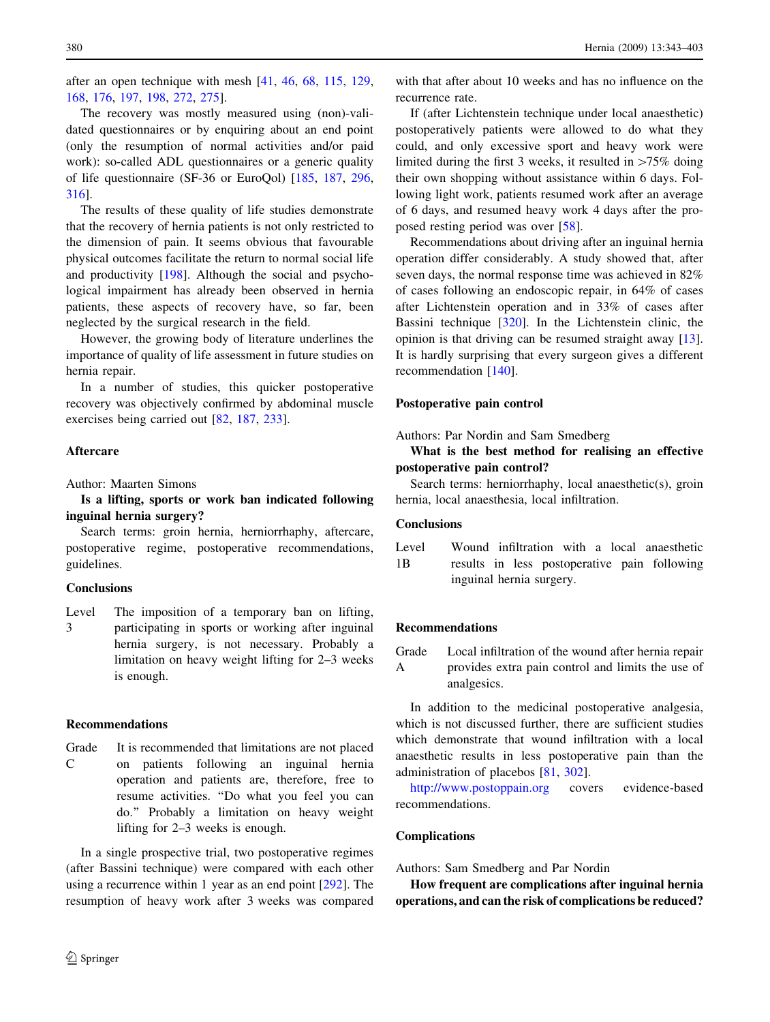<span id="page-37-0"></span>after an open technique with mesh  $[41, 46, 68, 115, 129,$  $[41, 46, 68, 115, 129,$  $[41, 46, 68, 115, 129,$  $[41, 46, 68, 115, 129,$  $[41, 46, 68, 115, 129,$  $[41, 46, 68, 115, 129,$  $[41, 46, 68, 115, 129,$  $[41, 46, 68, 115, 129,$  $[41, 46, 68, 115, 129,$  $[41, 46, 68, 115, 129,$ [168,](#page-56-0) [176,](#page-56-0) [197,](#page-57-0) [198](#page-57-0), [272](#page-59-0), [275\]](#page-59-0).

The recovery was mostly measured using (non)-validated questionnaires or by enquiring about an end point (only the resumption of normal activities and/or paid work): so-called ADL questionnaires or a generic quality of life questionnaire (SF-36 or EuroQol) [\[185](#page-56-0), [187](#page-56-0), [296,](#page-59-0) [316\]](#page-60-0).

The results of these quality of life studies demonstrate that the recovery of hernia patients is not only restricted to the dimension of pain. It seems obvious that favourable physical outcomes facilitate the return to normal social life and productivity [[198\]](#page-57-0). Although the social and psychological impairment has already been observed in hernia patients, these aspects of recovery have, so far, been neglected by the surgical research in the field.

However, the growing body of literature underlines the importance of quality of life assessment in future studies on hernia repair.

In a number of studies, this quicker postoperative recovery was objectively confirmed by abdominal muscle exercises being carried out [\[82](#page-54-0), [187](#page-56-0), [233\]](#page-58-0).

## Aftercare

#### Author: Maarten Simons

Is a lifting, sports or work ban indicated following inguinal hernia surgery?

Search terms: groin hernia, herniorrhaphy, aftercare, postoperative regime, postoperative recommendations, guidelines.

#### **Conclusions**

Level 3 The imposition of a temporary ban on lifting, participating in sports or working after inguinal hernia surgery, is not necessary. Probably a limitation on heavy weight lifting for 2–3 weeks is enough.

#### Recommendations

Grade C It is recommended that limitations are not placed on patients following an inguinal hernia operation and patients are, therefore, free to resume activities. ''Do what you feel you can do.'' Probably a limitation on heavy weight lifting for 2–3 weeks is enough.

In a single prospective trial, two postoperative regimes (after Bassini technique) were compared with each other using a recurrence within 1 year as an end point [\[292](#page-59-0)]. The resumption of heavy work after 3 weeks was compared

with that after about 10 weeks and has no influence on the recurrence rate.

If (after Lichtenstein technique under local anaesthetic) postoperatively patients were allowed to do what they could, and only excessive sport and heavy work were limited during the first 3 weeks, it resulted in  $>75\%$  doing their own shopping without assistance within 6 days. Following light work, patients resumed work after an average of 6 days, and resumed heavy work 4 days after the proposed resting period was over [\[58](#page-53-0)].

Recommendations about driving after an inguinal hernia operation differ considerably. A study showed that, after seven days, the normal response time was achieved in 82% of cases following an endoscopic repair, in 64% of cases after Lichtenstein operation and in 33% of cases after Bassini technique [[320\]](#page-60-0). In the Lichtenstein clinic, the opinion is that driving can be resumed straight away [\[13](#page-52-0)]. It is hardly surprising that every surgeon gives a different recommendation [\[140](#page-55-0)].

#### Postoperative pain control

Authors: Par Nordin and Sam Smedberg

## What is the best method for realising an effective postoperative pain control?

Search terms: herniorrhaphy, local anaesthetic(s), groin hernia, local anaesthesia, local infiltration.

#### **Conclusions**

| Level |                          |  |  |  |  |  |  | Wound infiltration with a local anaesthetic  |
|-------|--------------------------|--|--|--|--|--|--|----------------------------------------------|
| 1B    |                          |  |  |  |  |  |  | results in less postoperative pain following |
|       | inguinal hernia surgery. |  |  |  |  |  |  |                                              |

#### Recommendations

Grade A Local infiltration of the wound after hernia repair provides extra pain control and limits the use of analgesics.

In addition to the medicinal postoperative analgesia, which is not discussed further, there are sufficient studies which demonstrate that wound infiltration with a local anaesthetic results in less postoperative pain than the administration of placebos [[81,](#page-54-0) [302\]](#page-59-0).

<http://www.postoppain.org> covers evidence-based recommendations.

#### Complications

Authors: Sam Smedberg and Par Nordin

How frequent are complications after inguinal hernia operations, and can the risk of complications be reduced?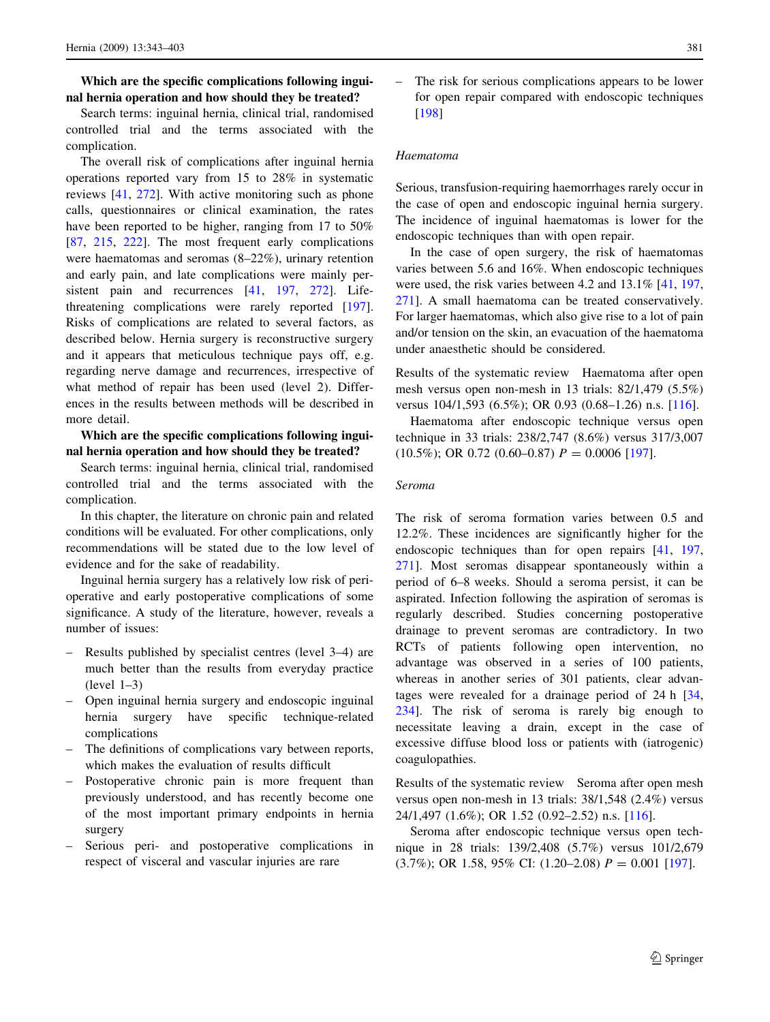## Which are the specific complications following inguinal hernia operation and how should they be treated?

Search terms: inguinal hernia, clinical trial, randomised controlled trial and the terms associated with the complication.

The overall risk of complications after inguinal hernia operations reported vary from 15 to 28% in systematic reviews [\[41](#page-53-0), [272\]](#page-59-0). With active monitoring such as phone calls, questionnaires or clinical examination, the rates have been reported to be higher, ranging from 17 to 50% [\[87](#page-54-0), [215](#page-57-0), [222](#page-57-0)]. The most frequent early complications were haematomas and seromas (8–22%), urinary retention and early pain, and late complications were mainly per-sistent pain and recurrences [\[41](#page-53-0), [197](#page-57-0), [272\]](#page-59-0). Lifethreatening complications were rarely reported [\[197](#page-57-0)]. Risks of complications are related to several factors, as described below. Hernia surgery is reconstructive surgery and it appears that meticulous technique pays off, e.g. regarding nerve damage and recurrences, irrespective of what method of repair has been used (level 2). Differences in the results between methods will be described in more detail.

## Which are the specific complications following inguinal hernia operation and how should they be treated?

Search terms: inguinal hernia, clinical trial, randomised controlled trial and the terms associated with the complication.

In this chapter, the literature on chronic pain and related conditions will be evaluated. For other complications, only recommendations will be stated due to the low level of evidence and for the sake of readability.

Inguinal hernia surgery has a relatively low risk of perioperative and early postoperative complications of some significance. A study of the literature, however, reveals a number of issues:

- Results published by specialist centres (level 3–4) are much better than the results from everyday practice (level 1–3)
- Open inguinal hernia surgery and endoscopic inguinal hernia surgery have specific technique-related complications
- The definitions of complications vary between reports, which makes the evaluation of results difficult
- Postoperative chronic pain is more frequent than previously understood, and has recently become one of the most important primary endpoints in hernia surgery
- Serious peri- and postoperative complications in respect of visceral and vascular injuries are rare

The risk for serious complications appears to be lower for open repair compared with endoscopic techniques [\[198](#page-57-0)]

#### Haematoma

Serious, transfusion-requiring haemorrhages rarely occur in the case of open and endoscopic inguinal hernia surgery. The incidence of inguinal haematomas is lower for the endoscopic techniques than with open repair.

In the case of open surgery, the risk of haematomas varies between 5.6 and 16%. When endoscopic techniques were used, the risk varies between 4.2 and 13.1% [[41,](#page-53-0) [197,](#page-57-0) [271](#page-59-0)]. A small haematoma can be treated conservatively. For larger haematomas, which also give rise to a lot of pain and/or tension on the skin, an evacuation of the haematoma under anaesthetic should be considered.

Results of the systematic review Haematoma after open mesh versus open non-mesh in 13 trials: 82/1,479 (5.5%) versus 104/1,593 (6.5%); OR 0.93 (0.68–1.26) n.s. [\[116](#page-55-0)].

Haematoma after endoscopic technique versus open technique in 33 trials: 238/2,747 (8.6%) versus 317/3,007  $(10.5\%)$ ; OR 0.72  $(0.60-0.87)$   $P = 0.0006$  [\[197](#page-57-0)].

#### Seroma

The risk of seroma formation varies between 0.5 and 12.2%. These incidences are significantly higher for the endoscopic techniques than for open repairs [\[41](#page-53-0), [197,](#page-57-0) [271](#page-59-0)]. Most seromas disappear spontaneously within a period of 6–8 weeks. Should a seroma persist, it can be aspirated. Infection following the aspiration of seromas is regularly described. Studies concerning postoperative drainage to prevent seromas are contradictory. In two RCTs of patients following open intervention, no advantage was observed in a series of 100 patients, whereas in another series of 301 patients, clear advantages were revealed for a drainage period of 24 h [[34,](#page-53-0) [234](#page-58-0)]. The risk of seroma is rarely big enough to necessitate leaving a drain, except in the case of excessive diffuse blood loss or patients with (iatrogenic) coagulopathies.

Results of the systematic review Seroma after open mesh versus open non-mesh in 13 trials: 38/1,548 (2.4%) versus 24/1,497 (1.6%); OR 1.52 (0.92–2.52) n.s. [[116\]](#page-55-0).

Seroma after endoscopic technique versus open technique in 28 trials: 139/2,408 (5.7%) versus 101/2,679  $(3.7\%)$ ; OR 1.58, 95% CI:  $(1.20-2.08)$   $P = 0.001$  [\[197](#page-57-0)].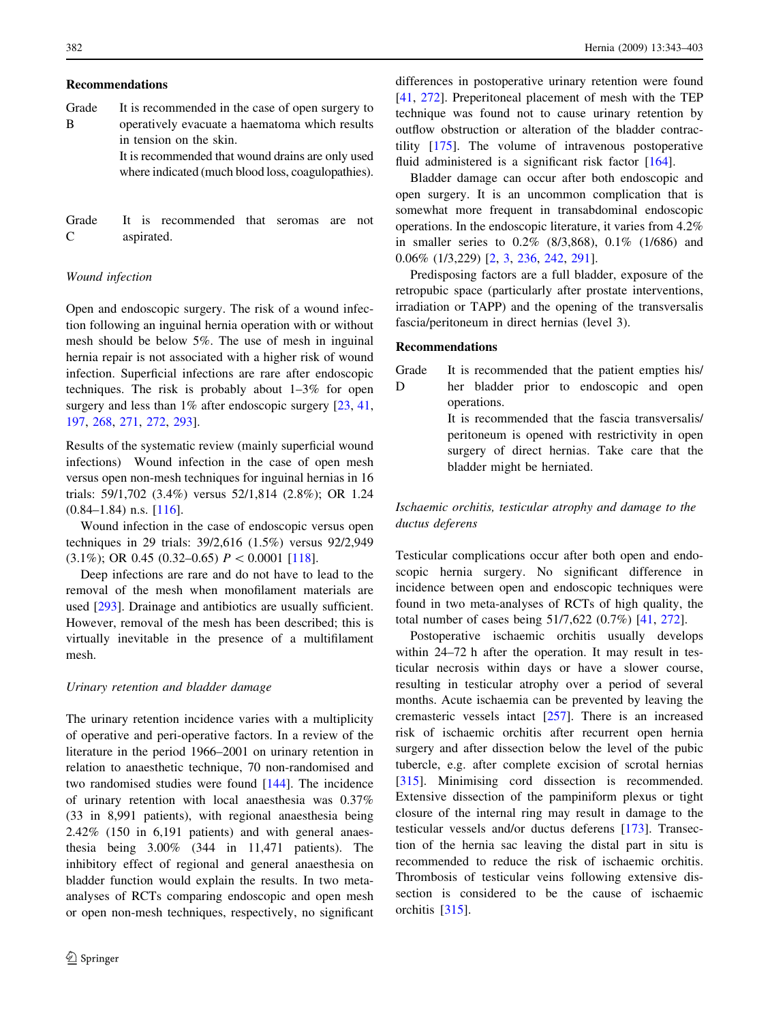#### Recommendations

Grade B It is recommended in the case of open surgery to operatively evacuate a haematoma which results in tension on the skin.

It is recommended that wound drains are only used where indicated (much blood loss, coagulopathies).

|   |  | Grade It is recommended that seromas are not |  |  |
|---|--|----------------------------------------------|--|--|
| C |  | aspirated.                                   |  |  |

#### Wound infection

Open and endoscopic surgery. The risk of a wound infection following an inguinal hernia operation with or without mesh should be below 5%. The use of mesh in inguinal hernia repair is not associated with a higher risk of wound infection. Superficial infections are rare after endoscopic techniques. The risk is probably about 1–3% for open surgery and less than 1% after endoscopic surgery  $[23, 41]$  $[23, 41]$ , [197,](#page-57-0) [268,](#page-59-0) [271,](#page-59-0) [272](#page-59-0), [293](#page-59-0)].

Results of the systematic review (mainly superficial wound infections) Wound infection in the case of open mesh versus open non-mesh techniques for inguinal hernias in 16 trials: 59/1,702 (3.4%) versus 52/1,814 (2.8%); OR 1.24  $(0.84-1.84)$  n.s.  $[116]$  $[116]$ .

Wound infection in the case of endoscopic versus open techniques in 29 trials: 39/2,616 (1.5%) versus 92/2,949  $(3.1\%)$ ; OR 0.45  $(0.32-0.65)$   $P < 0.0001$  [[118\]](#page-55-0).

Deep infections are rare and do not have to lead to the removal of the mesh when monofilament materials are used [[293\]](#page-59-0). Drainage and antibiotics are usually sufficient. However, removal of the mesh has been described; this is virtually inevitable in the presence of a multifilament mesh.

#### Urinary retention and bladder damage

The urinary retention incidence varies with a multiplicity of operative and peri-operative factors. In a review of the literature in the period 1966–2001 on urinary retention in relation to anaesthetic technique, 70 non-randomised and two randomised studies were found [\[144](#page-55-0)]. The incidence of urinary retention with local anaesthesia was 0.37% (33 in 8,991 patients), with regional anaesthesia being 2.42% (150 in 6,191 patients) and with general anaesthesia being 3.00% (344 in 11,471 patients). The inhibitory effect of regional and general anaesthesia on bladder function would explain the results. In two metaanalyses of RCTs comparing endoscopic and open mesh or open non-mesh techniques, respectively, no significant

differences in postoperative urinary retention were found [\[41](#page-53-0), [272\]](#page-59-0). Preperitoneal placement of mesh with the TEP technique was found not to cause urinary retention by outflow obstruction or alteration of the bladder contractility [\[175](#page-56-0)]. The volume of intravenous postoperative fluid administered is a significant risk factor [\[164](#page-56-0)].

Bladder damage can occur after both endoscopic and open surgery. It is an uncommon complication that is somewhat more frequent in transabdominal endoscopic operations. In the endoscopic literature, it varies from 4.2% in smaller series to 0.2% (8/3,868), 0.1% (1/686) and 0.06% (1/3,229) [[2,](#page-52-0) [3,](#page-52-0) [236](#page-58-0), [242](#page-58-0), [291\]](#page-59-0).

Predisposing factors are a full bladder, exposure of the retropubic space (particularly after prostate interventions, irradiation or TAPP) and the opening of the transversalis fascia/peritoneum in direct hernias (level 3).

### Recommendations

Grade D It is recommended that the patient empties his/ her bladder prior to endoscopic and open operations. It is recommended that the fascia transversalis/ peritoneum is opened with restrictivity in open surgery of direct hernias. Take care that the bladder might be herniated.

Ischaemic orchitis, testicular atrophy and damage to the ductus deferens

Testicular complications occur after both open and endoscopic hernia surgery. No significant difference in incidence between open and endoscopic techniques were found in two meta-analyses of RCTs of high quality, the total number of cases being 51/7,622 (0.7%) [[41,](#page-53-0) [272](#page-59-0)].

Postoperative ischaemic orchitis usually develops within 24–72 h after the operation. It may result in testicular necrosis within days or have a slower course, resulting in testicular atrophy over a period of several months. Acute ischaemia can be prevented by leaving the cremasteric vessels intact [\[257](#page-58-0)]. There is an increased risk of ischaemic orchitis after recurrent open hernia surgery and after dissection below the level of the pubic tubercle, e.g. after complete excision of scrotal hernias [\[315](#page-60-0)]. Minimising cord dissection is recommended. Extensive dissection of the pampiniform plexus or tight closure of the internal ring may result in damage to the testicular vessels and/or ductus deferens [[173\]](#page-56-0). Transection of the hernia sac leaving the distal part in situ is recommended to reduce the risk of ischaemic orchitis. Thrombosis of testicular veins following extensive dissection is considered to be the cause of ischaemic orchitis [[315\]](#page-60-0).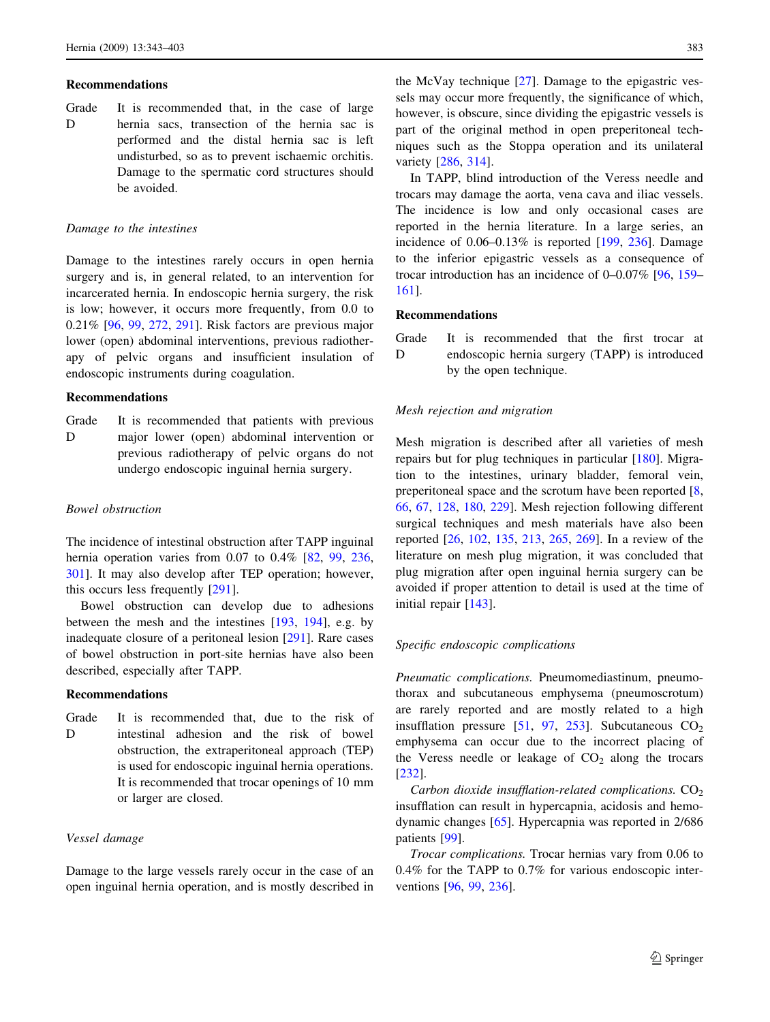#### Recommendations

Grade D It is recommended that, in the case of large hernia sacs, transection of the hernia sac is performed and the distal hernia sac is left undisturbed, so as to prevent ischaemic orchitis. Damage to the spermatic cord structures should be avoided.

#### Damage to the intestines

Damage to the intestines rarely occurs in open hernia surgery and is, in general related, to an intervention for incarcerated hernia. In endoscopic hernia surgery, the risk is low; however, it occurs more frequently, from 0.0 to 0.21% [[96](#page-54-0), [99](#page-54-0), [272](#page-59-0), [291\]](#page-59-0). Risk factors are previous major lower (open) abdominal interventions, previous radiotherapy of pelvic organs and insufficient insulation of endoscopic instruments during coagulation.

#### Recommendations

Grade D It is recommended that patients with previous major lower (open) abdominal intervention or previous radiotherapy of pelvic organs do not undergo endoscopic inguinal hernia surgery.

#### Bowel obstruction

The incidence of intestinal obstruction after TAPP inguinal hernia operation varies from 0.07 to 0.4% [[82,](#page-54-0) [99,](#page-54-0) [236,](#page-58-0) [301\]](#page-59-0). It may also develop after TEP operation; however, this occurs less frequently [\[291](#page-59-0)].

Bowel obstruction can develop due to adhesions between the mesh and the intestines [[193,](#page-57-0) [194\]](#page-57-0), e.g. by inadequate closure of a peritoneal lesion [\[291](#page-59-0)]. Rare cases of bowel obstruction in port-site hernias have also been described, especially after TAPP.

#### Recommendations

Grade D It is recommended that, due to the risk of intestinal adhesion and the risk of bowel obstruction, the extraperitoneal approach (TEP) is used for endoscopic inguinal hernia operations. It is recommended that trocar openings of 10 mm or larger are closed.

### Vessel damage

Damage to the large vessels rarely occur in the case of an open inguinal hernia operation, and is mostly described in

the McVay technique  $[27]$  $[27]$ . Damage to the epigastric vessels may occur more frequently, the significance of which, however, is obscure, since dividing the epigastric vessels is part of the original method in open preperitoneal techniques such as the Stoppa operation and its unilateral variety [[286,](#page-59-0) [314](#page-60-0)].

In TAPP, blind introduction of the Veress needle and trocars may damage the aorta, vena cava and iliac vessels. The incidence is low and only occasional cases are reported in the hernia literature. In a large series, an incidence of 0.06–0.13% is reported [[199,](#page-57-0) [236](#page-58-0)]. Damage to the inferior epigastric vessels as a consequence of trocar introduction has an incidence of 0–0.07% [[96,](#page-54-0) [159](#page-56-0)– [161](#page-56-0)].

#### Recommendations

Grade D It is recommended that the first trocar at endoscopic hernia surgery (TAPP) is introduced by the open technique.

#### Mesh rejection and migration

Mesh migration is described after all varieties of mesh repairs but for plug techniques in particular [\[180](#page-56-0)]. Migration to the intestines, urinary bladder, femoral vein, preperitoneal space and the scrotum have been reported [[8,](#page-52-0) [66](#page-53-0), [67,](#page-54-0) [128,](#page-55-0) [180,](#page-56-0) [229](#page-58-0)]. Mesh rejection following different surgical techniques and mesh materials have also been reported [\[26](#page-52-0), [102](#page-54-0), [135](#page-55-0), [213,](#page-57-0) [265,](#page-58-0) [269\]](#page-59-0). In a review of the literature on mesh plug migration, it was concluded that plug migration after open inguinal hernia surgery can be avoided if proper attention to detail is used at the time of initial repair [[143\]](#page-55-0).

#### Specific endoscopic complications

Pneumatic complications. Pneumomediastinum, pneumothorax and subcutaneous emphysema (pneumoscrotum) are rarely reported and are mostly related to a high insufflation pressure [[51,](#page-53-0) [97](#page-54-0), [253\]](#page-58-0). Subcutaneous  $CO<sub>2</sub>$ emphysema can occur due to the incorrect placing of the Veress needle or leakage of  $CO<sub>2</sub>$  along the trocars [\[232](#page-58-0)].

Carbon dioxide insufflation-related complications.  $CO<sub>2</sub>$ insufflation can result in hypercapnia, acidosis and hemodynamic changes [\[65](#page-53-0)]. Hypercapnia was reported in 2/686 patients [[99\]](#page-54-0).

Trocar complications. Trocar hernias vary from 0.06 to 0.4% for the TAPP to 0.7% for various endoscopic interventions [[96,](#page-54-0) [99](#page-54-0), [236](#page-58-0)].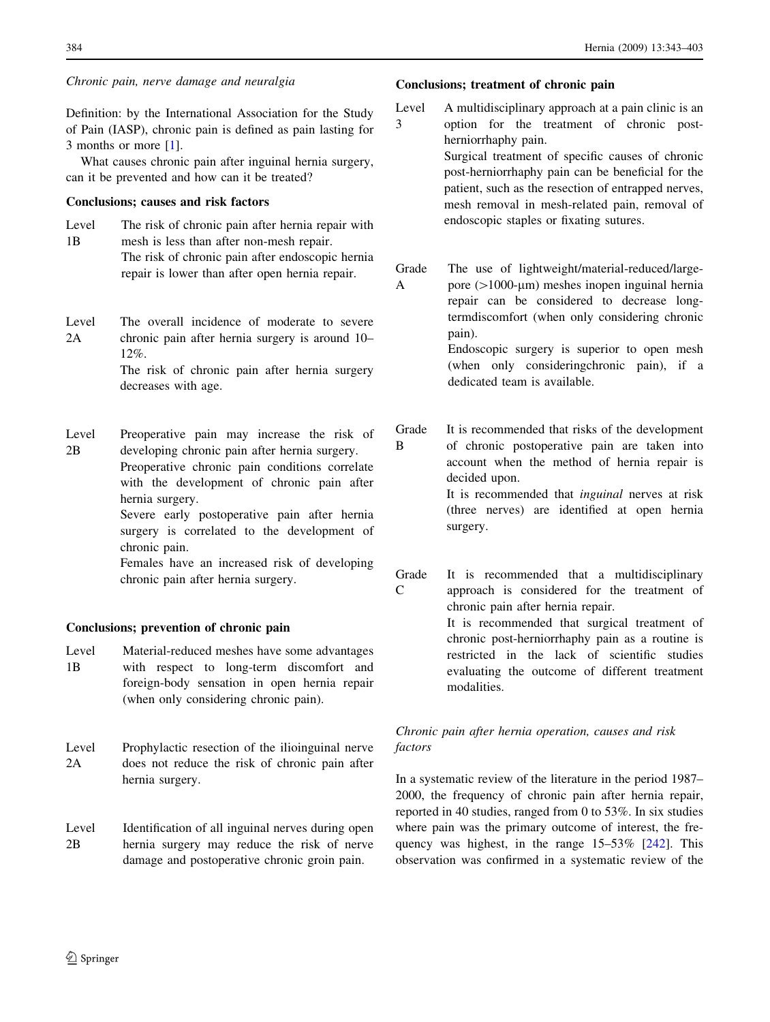## Chronic pain, nerve damage and neuralgia

Definition: by the International Association for the Study of Pain (IASP), chronic pain is defined as pain lasting for 3 months or more [[1\]](#page-52-0).

What causes chronic pain after inguinal hernia surgery, can it be prevented and how can it be treated?

## Conclusions; causes and risk factors

- Level 1B The risk of chronic pain after hernia repair with mesh is less than after non-mesh repair.
- The risk of chronic pain after endoscopic hernia repair is lower than after open hernia repair.
- Level 2A The overall incidence of moderate to severe chronic pain after hernia surgery is around 10– 12%.

The risk of chronic pain after hernia surgery decreases with age.

- Level 2B Preoperative pain may increase the risk of developing chronic pain after hernia surgery.
	- Preoperative chronic pain conditions correlate with the development of chronic pain after hernia surgery.

Severe early postoperative pain after hernia surgery is correlated to the development of chronic pain.

Females have an increased risk of developing chronic pain after hernia surgery.

## Conclusions; prevention of chronic pain

- Level 1B Material-reduced meshes have some advantages with respect to long-term discomfort and foreign-body sensation in open hernia repair (when only considering chronic pain).
- Level 2A Prophylactic resection of the ilioinguinal nerve does not reduce the risk of chronic pain after hernia surgery.
- Level 2B Identification of all inguinal nerves during open hernia surgery may reduce the risk of nerve damage and postoperative chronic groin pain.

## Conclusions; treatment of chronic pain

- Level 3 A multidisciplinary approach at a pain clinic is an option for the treatment of chronic postherniorrhaphy pain. Surgical treatment of specific causes of chronic post-herniorrhaphy pain can be beneficial for the patient, such as the resection of entrapped nerves, mesh removal in mesh-related pain, removal of endoscopic staples or fixating sutures.
- Grade A The use of lightweight/material-reduced/largepore  $(>1000$ -µm) meshes inopen inguinal hernia repair can be considered to decrease longtermdiscomfort (when only considering chronic pain). Endoscopic surgery is superior to open mesh (when only consideringchronic pain), if a dedicated team is available.
- Grade B It is recommended that risks of the development of chronic postoperative pain are taken into account when the method of hernia repair is decided upon. It is recommended that inguinal nerves at risk (three nerves) are identified at open hernia surgery.

Grade  $\mathcal{C}$ It is recommended that a multidisciplinary approach is considered for the treatment of chronic pain after hernia repair. It is recommended that surgical treatment of chronic post-herniorrhaphy pain as a routine is restricted in the lack of scientific studies evaluating the outcome of different treatment modalities.

## Chronic pain after hernia operation, causes and risk factors

In a systematic review of the literature in the period 1987– 2000, the frequency of chronic pain after hernia repair, reported in 40 studies, ranged from 0 to 53%. In six studies where pain was the primary outcome of interest, the frequency was highest, in the range 15–53% [\[242](#page-58-0)]. This observation was confirmed in a systematic review of the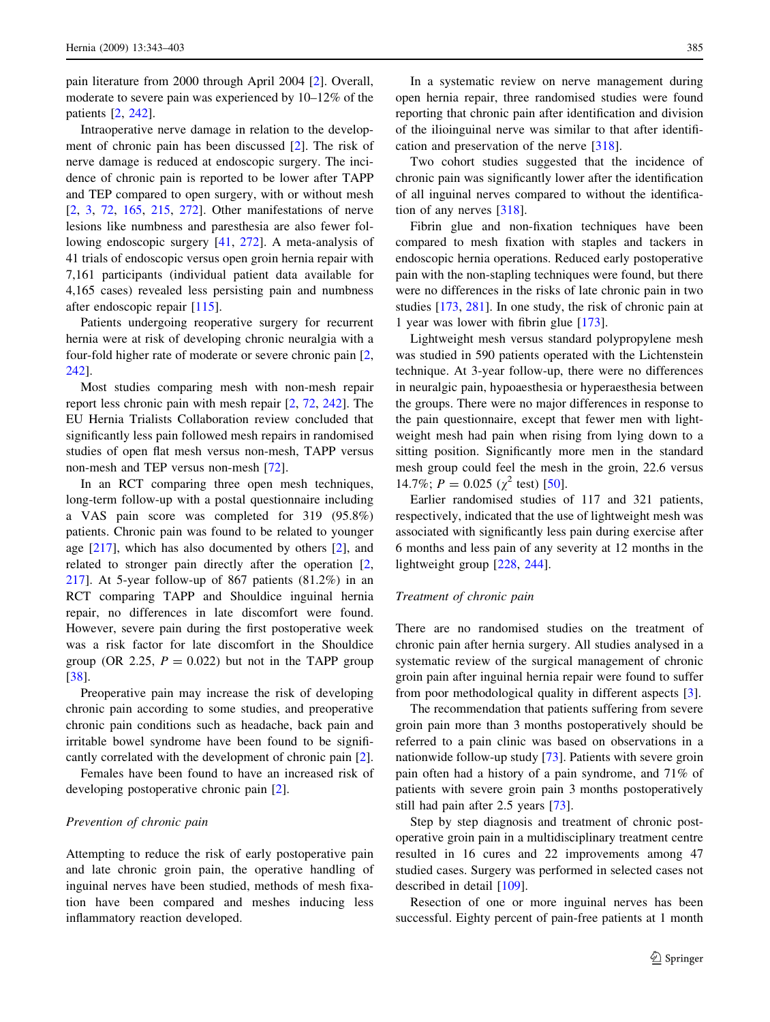pain literature from 2000 through April 2004 [\[2](#page-52-0)]. Overall, moderate to severe pain was experienced by 10–12% of the patients [[2,](#page-52-0) [242\]](#page-58-0).

Intraoperative nerve damage in relation to the development of chronic pain has been discussed [[2\]](#page-52-0). The risk of nerve damage is reduced at endoscopic surgery. The incidence of chronic pain is reported to be lower after TAPP and TEP compared to open surgery, with or without mesh [\[2](#page-52-0), [3](#page-52-0), [72](#page-54-0), [165](#page-56-0), [215,](#page-57-0) [272\]](#page-59-0). Other manifestations of nerve lesions like numbness and paresthesia are also fewer following endoscopic surgery [\[41](#page-53-0), [272\]](#page-59-0). A meta-analysis of 41 trials of endoscopic versus open groin hernia repair with 7,161 participants (individual patient data available for 4,165 cases) revealed less persisting pain and numbness after endoscopic repair [\[115](#page-55-0)].

Patients undergoing reoperative surgery for recurrent hernia were at risk of developing chronic neuralgia with a four-fold higher rate of moderate or severe chronic pain [[2,](#page-52-0) [242\]](#page-58-0).

Most studies comparing mesh with non-mesh repair report less chronic pain with mesh repair [[2,](#page-52-0) [72](#page-54-0), [242\]](#page-58-0). The EU Hernia Trialists Collaboration review concluded that significantly less pain followed mesh repairs in randomised studies of open flat mesh versus non-mesh, TAPP versus non-mesh and TEP versus non-mesh [\[72](#page-54-0)].

In an RCT comparing three open mesh techniques, long-term follow-up with a postal questionnaire including a VAS pain score was completed for 319 (95.8%) patients. Chronic pain was found to be related to younger age  $[217]$  $[217]$ , which has also documented by others  $[2]$  $[2]$ , and related to stronger pain directly after the operation [[2,](#page-52-0) [217\]](#page-57-0). At 5-year follow-up of 867 patients (81.2%) in an RCT comparing TAPP and Shouldice inguinal hernia repair, no differences in late discomfort were found. However, severe pain during the first postoperative week was a risk factor for late discomfort in the Shouldice group (OR 2.25,  $P = 0.022$ ) but not in the TAPP group [\[38](#page-53-0)].

Preoperative pain may increase the risk of developing chronic pain according to some studies, and preoperative chronic pain conditions such as headache, back pain and irritable bowel syndrome have been found to be significantly correlated with the development of chronic pain [\[2](#page-52-0)].

Females have been found to have an increased risk of developing postoperative chronic pain [\[2](#page-52-0)].

#### Prevention of chronic pain

Attempting to reduce the risk of early postoperative pain and late chronic groin pain, the operative handling of inguinal nerves have been studied, methods of mesh fixation have been compared and meshes inducing less inflammatory reaction developed.

In a systematic review on nerve management during open hernia repair, three randomised studies were found reporting that chronic pain after identification and division of the ilioinguinal nerve was similar to that after identification and preservation of the nerve [[318\]](#page-60-0).

Two cohort studies suggested that the incidence of chronic pain was significantly lower after the identification of all inguinal nerves compared to without the identification of any nerves [\[318](#page-60-0)].

Fibrin glue and non-fixation techniques have been compared to mesh fixation with staples and tackers in endoscopic hernia operations. Reduced early postoperative pain with the non-stapling techniques were found, but there were no differences in the risks of late chronic pain in two studies [\[173](#page-56-0), [281](#page-59-0)]. In one study, the risk of chronic pain at 1 year was lower with fibrin glue [[173\]](#page-56-0).

Lightweight mesh versus standard polypropylene mesh was studied in 590 patients operated with the Lichtenstein technique. At 3-year follow-up, there were no differences in neuralgic pain, hypoaesthesia or hyperaesthesia between the groups. There were no major differences in response to the pain questionnaire, except that fewer men with lightweight mesh had pain when rising from lying down to a sitting position. Significantly more men in the standard mesh group could feel the mesh in the groin, 22.6 versus 14.7%;  $P = 0.025$  ( $\chi^2$  test) [[50\]](#page-53-0).

Earlier randomised studies of 117 and 321 patients, respectively, indicated that the use of lightweight mesh was associated with significantly less pain during exercise after 6 months and less pain of any severity at 12 months in the lightweight group [\[228](#page-58-0), [244\]](#page-58-0).

#### Treatment of chronic pain

There are no randomised studies on the treatment of chronic pain after hernia surgery. All studies analysed in a systematic review of the surgical management of chronic groin pain after inguinal hernia repair were found to suffer from poor methodological quality in different aspects [[3\]](#page-52-0).

The recommendation that patients suffering from severe groin pain more than 3 months postoperatively should be referred to a pain clinic was based on observations in a nationwide follow-up study [\[73](#page-54-0)]. Patients with severe groin pain often had a history of a pain syndrome, and 71% of patients with severe groin pain 3 months postoperatively still had pain after 2.5 years [\[73](#page-54-0)].

Step by step diagnosis and treatment of chronic postoperative groin pain in a multidisciplinary treatment centre resulted in 16 cures and 22 improvements among 47 studied cases. Surgery was performed in selected cases not described in detail [[109\]](#page-55-0).

Resection of one or more inguinal nerves has been successful. Eighty percent of pain-free patients at 1 month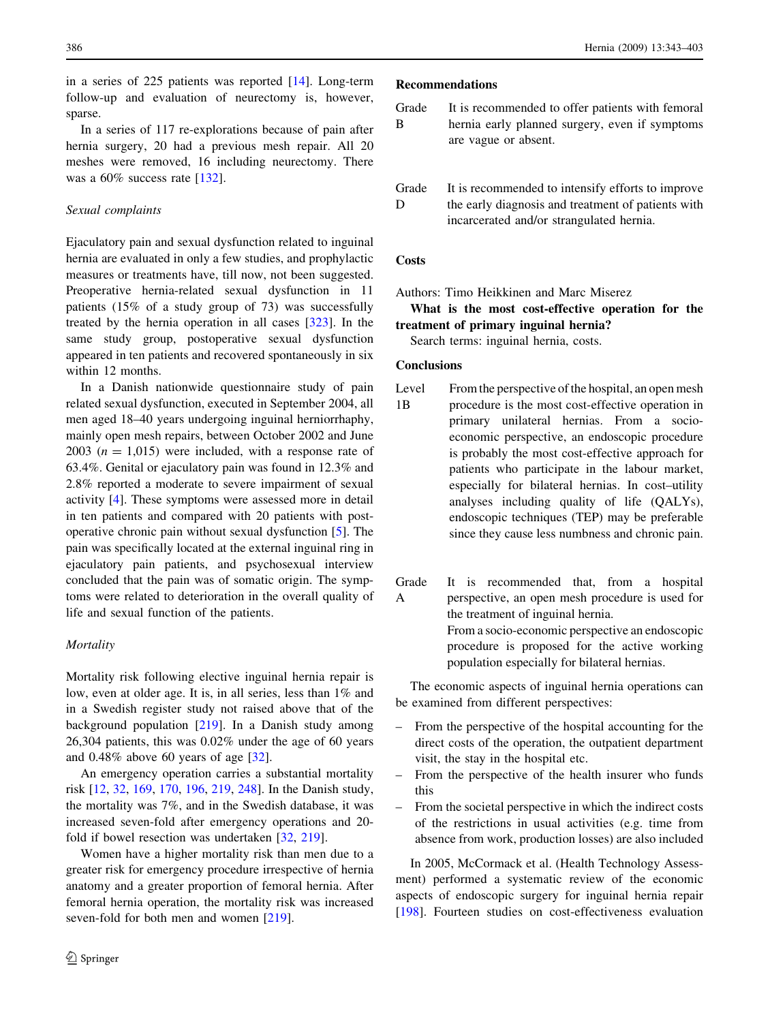<span id="page-43-0"></span>in a series of 225 patients was reported [\[14](#page-52-0)]. Long-term follow-up and evaluation of neurectomy is, however, sparse.

In a series of 117 re-explorations because of pain after hernia surgery, 20 had a previous mesh repair. All 20 meshes were removed, 16 including neurectomy. There was a 60% success rate [\[132](#page-55-0)].

#### Sexual complaints

Ejaculatory pain and sexual dysfunction related to inguinal hernia are evaluated in only a few studies, and prophylactic measures or treatments have, till now, not been suggested. Preoperative hernia-related sexual dysfunction in 11 patients (15% of a study group of 73) was successfully treated by the hernia operation in all cases [\[323](#page-60-0)]. In the same study group, postoperative sexual dysfunction appeared in ten patients and recovered spontaneously in six within 12 months.

In a Danish nationwide questionnaire study of pain related sexual dysfunction, executed in September 2004, all men aged 18–40 years undergoing inguinal herniorrhaphy, mainly open mesh repairs, between October 2002 and June 2003 ( $n = 1,015$ ) were included, with a response rate of 63.4%. Genital or ejaculatory pain was found in 12.3% and 2.8% reported a moderate to severe impairment of sexual activity [[4\]](#page-52-0). These symptoms were assessed more in detail in ten patients and compared with 20 patients with postoperative chronic pain without sexual dysfunction [[5\]](#page-52-0). The pain was specifically located at the external inguinal ring in ejaculatory pain patients, and psychosexual interview concluded that the pain was of somatic origin. The symptoms were related to deterioration in the overall quality of life and sexual function of the patients.

#### **Mortality**

Mortality risk following elective inguinal hernia repair is low, even at older age. It is, in all series, less than 1% and in a Swedish register study not raised above that of the background population [\[219](#page-57-0)]. In a Danish study among 26,304 patients, this was 0.02% under the age of 60 years and  $0.48\%$  above 60 years of age [\[32](#page-53-0)].

An emergency operation carries a substantial mortality risk [\[12](#page-52-0), [32](#page-53-0), [169,](#page-56-0) [170](#page-56-0), [196](#page-57-0), [219,](#page-57-0) [248\]](#page-58-0). In the Danish study, the mortality was 7%, and in the Swedish database, it was increased seven-fold after emergency operations and 20 fold if bowel resection was undertaken [\[32](#page-53-0), [219\]](#page-57-0).

Women have a higher mortality risk than men due to a greater risk for emergency procedure irrespective of hernia anatomy and a greater proportion of femoral hernia. After femoral hernia operation, the mortality risk was increased seven-fold for both men and women [\[219](#page-57-0)].

#### Recommendations

| Grade | It is recommended to offer patients with femoral |
|-------|--------------------------------------------------|
| B     | hernia early planned surgery, even if symptoms   |
|       | are vague or absent.                             |

Grade D It is recommended to intensify efforts to improve the early diagnosis and treatment of patients with incarcerated and/or strangulated hernia.

## **Costs**

Authors: Timo Heikkinen and Marc Miserez

What is the most cost-effective operation for the treatment of primary inguinal hernia?

Search terms: inguinal hernia, costs.

#### Conclusions

- Level 1B From the perspective of the hospital, an open mesh procedure is the most cost-effective operation in primary unilateral hernias. From a socioeconomic perspective, an endoscopic procedure is probably the most cost-effective approach for patients who participate in the labour market, especially for bilateral hernias. In cost–utility analyses including quality of life (QALYs), endoscopic techniques (TEP) may be preferable since they cause less numbness and chronic pain.
- Grade A It is recommended that, from a hospital perspective, an open mesh procedure is used for the treatment of inguinal hernia. From a socio-economic perspective an endoscopic procedure is proposed for the active working population especially for bilateral hernias.

The economic aspects of inguinal hernia operations can be examined from different perspectives:

- From the perspective of the hospital accounting for the direct costs of the operation, the outpatient department visit, the stay in the hospital etc.
- From the perspective of the health insurer who funds this
- From the societal perspective in which the indirect costs of the restrictions in usual activities (e.g. time from absence from work, production losses) are also included

In 2005, McCormack et al. (Health Technology Assessment) performed a systematic review of the economic aspects of endoscopic surgery for inguinal hernia repair [\[198](#page-57-0)]. Fourteen studies on cost-effectiveness evaluation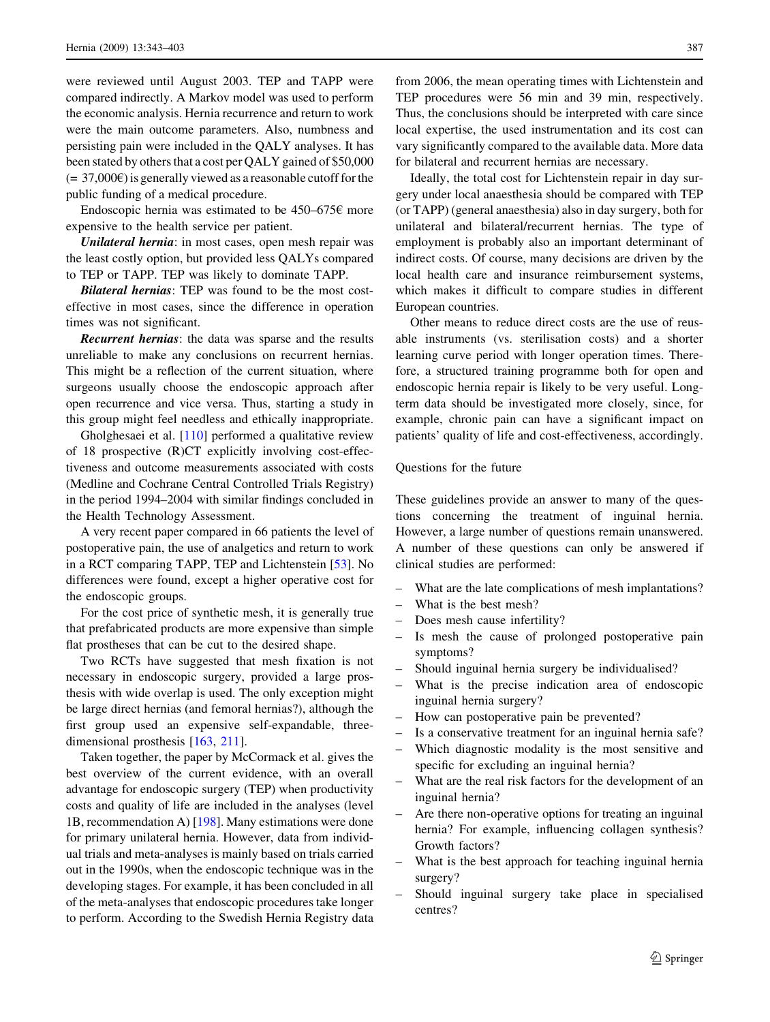were reviewed until August 2003. TEP and TAPP were compared indirectly. A Markov model was used to perform the economic analysis. Hernia recurrence and return to work were the main outcome parameters. Also, numbness and persisting pain were included in the QALY analyses. It has been stated by others that a cost per QALY gained of \$50,000  $(= 37,000 \epsilon)$  is generally viewed as a reasonable cutoff for the public funding of a medical procedure.

Endoscopic hernia was estimated to be 450–675€ more expensive to the health service per patient.

Unilateral hernia: in most cases, open mesh repair was the least costly option, but provided less QALYs compared to TEP or TAPP. TEP was likely to dominate TAPP.

Bilateral hernias: TEP was found to be the most costeffective in most cases, since the difference in operation times was not significant.

Recurrent hernias: the data was sparse and the results unreliable to make any conclusions on recurrent hernias. This might be a reflection of the current situation, where surgeons usually choose the endoscopic approach after open recurrence and vice versa. Thus, starting a study in this group might feel needless and ethically inappropriate.

Gholghesaei et al. [\[110](#page-55-0)] performed a qualitative review of 18 prospective (R)CT explicitly involving cost-effectiveness and outcome measurements associated with costs (Medline and Cochrane Central Controlled Trials Registry) in the period 1994–2004 with similar findings concluded in the Health Technology Assessment.

A very recent paper compared in 66 patients the level of postoperative pain, the use of analgetics and return to work in a RCT comparing TAPP, TEP and Lichtenstein [[53](#page-53-0)]. No differences were found, except a higher operative cost for the endoscopic groups.

For the cost price of synthetic mesh, it is generally true that prefabricated products are more expensive than simple flat prostheses that can be cut to the desired shape.

Two RCTs have suggested that mesh fixation is not necessary in endoscopic surgery, provided a large prosthesis with wide overlap is used. The only exception might be large direct hernias (and femoral hernias?), although the first group used an expensive self-expandable, threedimensional prosthesis [[163,](#page-56-0) [211\]](#page-57-0).

Taken together, the paper by McCormack et al. gives the best overview of the current evidence, with an overall advantage for endoscopic surgery (TEP) when productivity costs and quality of life are included in the analyses (level 1B, recommendation A) [\[198](#page-57-0)]. Many estimations were done for primary unilateral hernia. However, data from individual trials and meta-analyses is mainly based on trials carried out in the 1990s, when the endoscopic technique was in the developing stages. For example, it has been concluded in all of the meta-analyses that endoscopic procedures take longer to perform. According to the Swedish Hernia Registry data from 2006, the mean operating times with Lichtenstein and TEP procedures were 56 min and 39 min, respectively. Thus, the conclusions should be interpreted with care since local expertise, the used instrumentation and its cost can vary significantly compared to the available data. More data for bilateral and recurrent hernias are necessary.

Ideally, the total cost for Lichtenstein repair in day surgery under local anaesthesia should be compared with TEP (or TAPP) (general anaesthesia) also in day surgery, both for unilateral and bilateral/recurrent hernias. The type of employment is probably also an important determinant of indirect costs. Of course, many decisions are driven by the local health care and insurance reimbursement systems, which makes it difficult to compare studies in different European countries.

Other means to reduce direct costs are the use of reusable instruments (vs. sterilisation costs) and a shorter learning curve period with longer operation times. Therefore, a structured training programme both for open and endoscopic hernia repair is likely to be very useful. Longterm data should be investigated more closely, since, for example, chronic pain can have a significant impact on patients' quality of life and cost-effectiveness, accordingly.

#### Questions for the future

These guidelines provide an answer to many of the questions concerning the treatment of inguinal hernia. However, a large number of questions remain unanswered. A number of these questions can only be answered if clinical studies are performed:

- What are the late complications of mesh implantations?
- What is the best mesh?
- Does mesh cause infertility?
- Is mesh the cause of prolonged postoperative pain symptoms?
- Should inguinal hernia surgery be individualised?
- What is the precise indication area of endoscopic inguinal hernia surgery?
- How can postoperative pain be prevented?
- Is a conservative treatment for an inguinal hernia safe?
- Which diagnostic modality is the most sensitive and specific for excluding an inguinal hernia?
- What are the real risk factors for the development of an inguinal hernia?
- Are there non-operative options for treating an inguinal hernia? For example, influencing collagen synthesis? Growth factors?
- What is the best approach for teaching inguinal hernia surgery?
- Should inguinal surgery take place in specialised centres?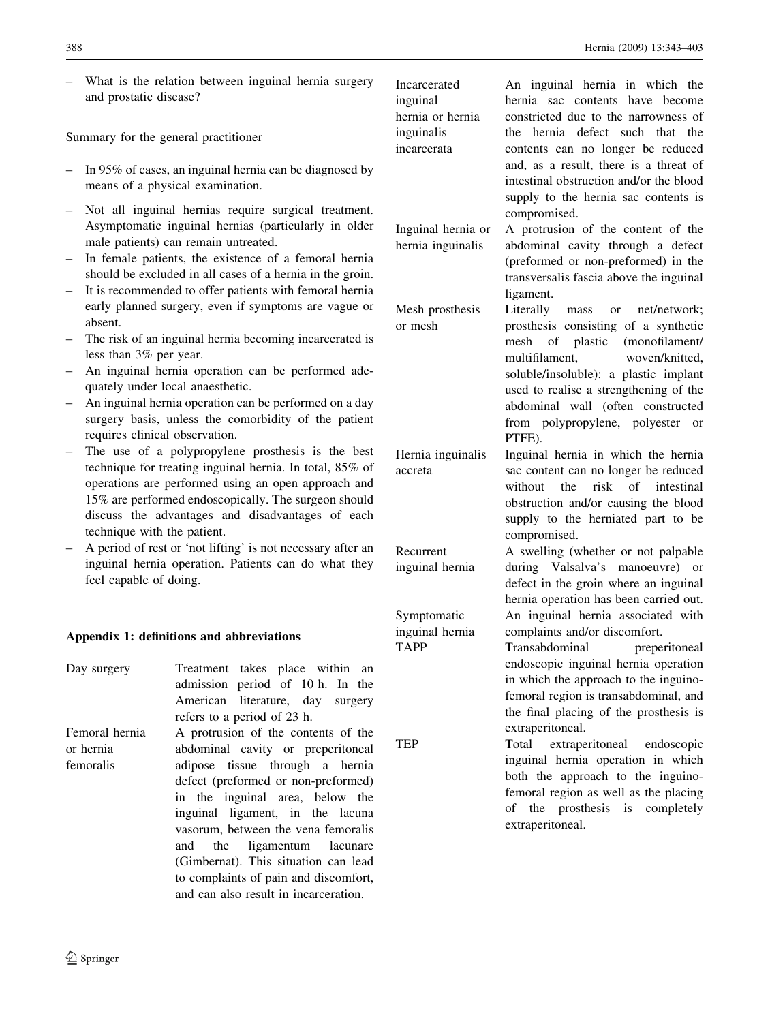– What is the relation between inguinal hernia surgery and prostatic disease?

Summary for the general practitioner

- In 95% of cases, an inguinal hernia can be diagnosed by means of a physical examination.
- Not all inguinal hernias require surgical treatment. Asymptomatic inguinal hernias (particularly in older male patients) can remain untreated.
- In female patients, the existence of a femoral hernia should be excluded in all cases of a hernia in the groin.
- It is recommended to offer patients with femoral hernia early planned surgery, even if symptoms are vague or absent.
- The risk of an inguinal hernia becoming incarcerated is less than 3% per year.
- An inguinal hernia operation can be performed adequately under local anaesthetic.
- An inguinal hernia operation can be performed on a day surgery basis, unless the comorbidity of the patient requires clinical observation.
- The use of a polypropylene prosthesis is the best technique for treating inguinal hernia. In total, 85% of operations are performed using an open approach and 15% are performed endoscopically. The surgeon should discuss the advantages and disadvantages of each technique with the patient.
- A period of rest or 'not lifting' is not necessary after an inguinal hernia operation. Patients can do what they feel capable of doing.

## Appendix 1: definitions and abbreviations

| Day surgery    | Treatment takes place within an<br>admission period of 10 h. In the<br>American literature, day surgery<br>refers to a period of 23 h. |
|----------------|----------------------------------------------------------------------------------------------------------------------------------------|
| Femoral hernia | A protrusion of the contents of the                                                                                                    |
| or hernia      | abdominal cavity or preperitoneal                                                                                                      |
| femoralis      | adipose tissue through a hernia                                                                                                        |
|                | defect (preformed or non-preformed)                                                                                                    |
|                | in the inguinal area, below the                                                                                                        |
|                | inguinal ligament, in the lacuna                                                                                                       |
|                | vasorum, between the vena femoralis                                                                                                    |
|                | the ligamentum lacunare<br>and                                                                                                         |
|                | (Gimbernat). This situation can lead                                                                                                   |
|                | to complaints of pain and discomfort,                                                                                                  |
|                | and can also result in incarceration.                                                                                                  |

Incarcerated inguinal hernia or hernia inguinalis incarcerata An inguinal hernia in which the hernia sac contents have become constricted due to the narrowness of the hernia defect such that the contents can no longer be reduced and, as a result, there is a threat of intestinal obstruction and/or the blood supply to the hernia sac contents is compromised. Inguinal hernia or hernia inguinalis A protrusion of the content of the abdominal cavity through a defect (preformed or non-preformed) in the transversalis fascia above the inguinal ligament. Mesh prosthesis or mesh Literally mass or net/network; prosthesis consisting of a synthetic mesh of plastic (monofilament/ multifilament, woven/knitted, soluble/insoluble): a plastic implant used to realise a strengthening of the abdominal wall (often constructed from polypropylene, polyester or PTFE). Hernia inguinalis accreta Inguinal hernia in which the hernia sac content can no longer be reduced without the risk of intestinal obstruction and/or causing the blood supply to the herniated part to be compromised. Recurrent inguinal hernia A swelling (whether or not palpable during Valsalva's manoeuvre) or defect in the groin where an inguinal hernia operation has been carried out. Symptomatic inguinal hernia An inguinal hernia associated with complaints and/or discomfort. TAPP Transabdominal preperitoneal endoscopic inguinal hernia operation

extraperitoneal. TEP Total extraperitoneal endoscopic inguinal hernia operation in which both the approach to the inguinofemoral region as well as the placing of the prosthesis is completely extraperitoneal.

in which the approach to the inguinofemoral region is transabdominal, and the final placing of the prosthesis is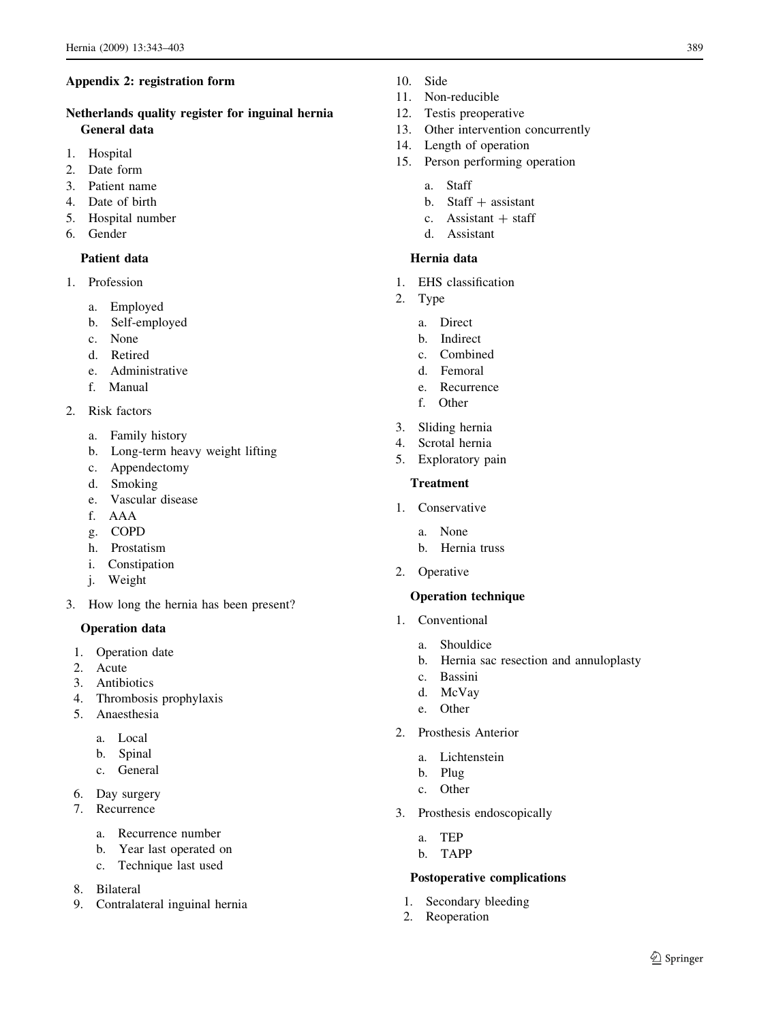## <span id="page-46-0"></span>Appendix 2: registration form

## Netherlands quality register for inguinal hernia General data

- 1. Hospital
- 2. Date form
- 3. Patient name
- 4. Date of birth
- 5. Hospital number
- 6. Gender

## Patient data

- 1. Profession
	- a. Employed
	- b. Self-employed
	- c. None
	- d. Retired
	- e. Administrative
	- f. Manual
- 2. Risk factors
	- a. Family history
	- b. Long-term heavy weight lifting
	- c. Appendectomy
	- d. Smoking
	- e. Vascular disease
	- f. AAA
	- g. COPD
	- h. Prostatism
	- i. Constipation
	- j. Weight
- 3. How long the hernia has been present?

## Operation data

- 1. Operation date
- 2. Acute
- 3. Antibiotics
- 4. Thrombosis prophylaxis
- 5. Anaesthesia
	- a. Local
	- b. Spinal
	- c. General
- 6. Day surgery
- 7. Recurrence
	- a. Recurrence number
	- b. Year last operated on
	- c. Technique last used
- 8. Bilateral
- 9. Contralateral inguinal hernia
- 10. Side
- 11. Non-reducible
- 12. Testis preoperative
- 13. Other intervention concurrently
- 14. Length of operation
- 15. Person performing operation
	- a. Staff
	- b. Staff  $+$  assistant
	- c. Assistant  $+$  staff
	- d. Assistant

## Hernia data

- 1. EHS classification
- 2. Type
	- a. Direct
	- b. Indirect
	- c. Combined
	- d. Femoral
	- e. Recurrence
	- f. Other
- 3. Sliding hernia
- 4. Scrotal hernia
- 5. Exploratory pain

### Treatment

- 1. Conservative
	- a. None
	- b. Hernia truss
- 2. Operative

### Operation technique

- 1. Conventional
	- a. Shouldice
	- b. Hernia sac resection and annuloplasty
	- c. Bassini
	- d. McVay
	- e. Other
- 2. Prosthesis Anterior
	- a. Lichtenstein
	- b. Plug
	- c. Other
- 3. Prosthesis endoscopically
	- a. TEP
	- b. TAPP

### Postoperative complications

- 1. Secondary bleeding
- 2. Reoperation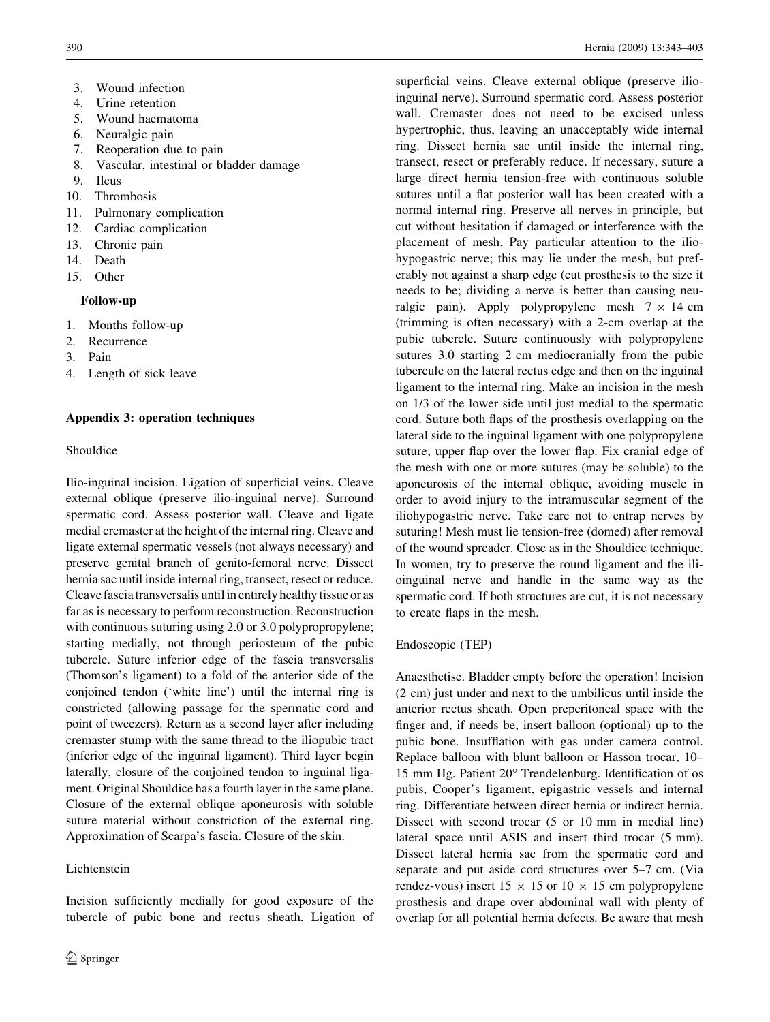- 3. Wound infection
- 4. Urine retention
- 5. Wound haematoma
- 6. Neuralgic pain
- 7. Reoperation due to pain
- 8. Vascular, intestinal or bladder damage
- 9. Ileus
- 10. Thrombosis
- 11. Pulmonary complication
- 12. Cardiac complication
- 13. Chronic pain
- 14. Death
- 15. Other

## Follow-up

- 1. Months follow-up
- 2. Recurrence
- 3. Pain
- 4. Length of sick leave

#### Appendix 3: operation techniques

## Shouldice

Ilio-inguinal incision. Ligation of superficial veins. Cleave external oblique (preserve ilio-inguinal nerve). Surround spermatic cord. Assess posterior wall. Cleave and ligate medial cremaster at the height of the internal ring. Cleave and ligate external spermatic vessels (not always necessary) and preserve genital branch of genito-femoral nerve. Dissect hernia sac until inside internal ring, transect, resect or reduce. Cleave fascia transversalis until in entirely healthy tissue or as far as is necessary to perform reconstruction. Reconstruction with continuous suturing using 2.0 or 3.0 polypropropylene; starting medially, not through periosteum of the pubic tubercle. Suture inferior edge of the fascia transversalis (Thomson's ligament) to a fold of the anterior side of the conjoined tendon ('white line') until the internal ring is constricted (allowing passage for the spermatic cord and point of tweezers). Return as a second layer after including cremaster stump with the same thread to the iliopubic tract (inferior edge of the inguinal ligament). Third layer begin laterally, closure of the conjoined tendon to inguinal ligament. Original Shouldice has a fourth layer in the same plane. Closure of the external oblique aponeurosis with soluble suture material without constriction of the external ring. Approximation of Scarpa's fascia. Closure of the skin.

### Lichtenstein

Incision sufficiently medially for good exposure of the tubercle of pubic bone and rectus sheath. Ligation of superficial veins. Cleave external oblique (preserve ilioinguinal nerve). Surround spermatic cord. Assess posterior wall. Cremaster does not need to be excised unless hypertrophic, thus, leaving an unacceptably wide internal ring. Dissect hernia sac until inside the internal ring, transect, resect or preferably reduce. If necessary, suture a large direct hernia tension-free with continuous soluble sutures until a flat posterior wall has been created with a normal internal ring. Preserve all nerves in principle, but cut without hesitation if damaged or interference with the placement of mesh. Pay particular attention to the iliohypogastric nerve; this may lie under the mesh, but preferably not against a sharp edge (cut prosthesis to the size it needs to be; dividing a nerve is better than causing neuralgic pain). Apply polypropylene mesh  $7 \times 14$  cm (trimming is often necessary) with a 2-cm overlap at the pubic tubercle. Suture continuously with polypropylene sutures 3.0 starting 2 cm mediocranially from the pubic tubercule on the lateral rectus edge and then on the inguinal ligament to the internal ring. Make an incision in the mesh on 1/3 of the lower side until just medial to the spermatic cord. Suture both flaps of the prosthesis overlapping on the lateral side to the inguinal ligament with one polypropylene suture; upper flap over the lower flap. Fix cranial edge of the mesh with one or more sutures (may be soluble) to the aponeurosis of the internal oblique, avoiding muscle in order to avoid injury to the intramuscular segment of the iliohypogastric nerve. Take care not to entrap nerves by suturing! Mesh must lie tension-free (domed) after removal of the wound spreader. Close as in the Shouldice technique. In women, try to preserve the round ligament and the ilioinguinal nerve and handle in the same way as the spermatic cord. If both structures are cut, it is not necessary to create flaps in the mesh.

#### Endoscopic (TEP)

Anaesthetise. Bladder empty before the operation! Incision (2 cm) just under and next to the umbilicus until inside the anterior rectus sheath. Open preperitoneal space with the finger and, if needs be, insert balloon (optional) up to the pubic bone. Insufflation with gas under camera control. Replace balloon with blunt balloon or Hasson trocar, 10– 15 mm Hg. Patient 20° Trendelenburg. Identification of os pubis, Cooper's ligament, epigastric vessels and internal ring. Differentiate between direct hernia or indirect hernia. Dissect with second trocar (5 or 10 mm in medial line) lateral space until ASIS and insert third trocar (5 mm). Dissect lateral hernia sac from the spermatic cord and separate and put aside cord structures over 5–7 cm. (Via rendez-vous) insert  $15 \times 15$  or  $10 \times 15$  cm polypropylene prosthesis and drape over abdominal wall with plenty of overlap for all potential hernia defects. Be aware that mesh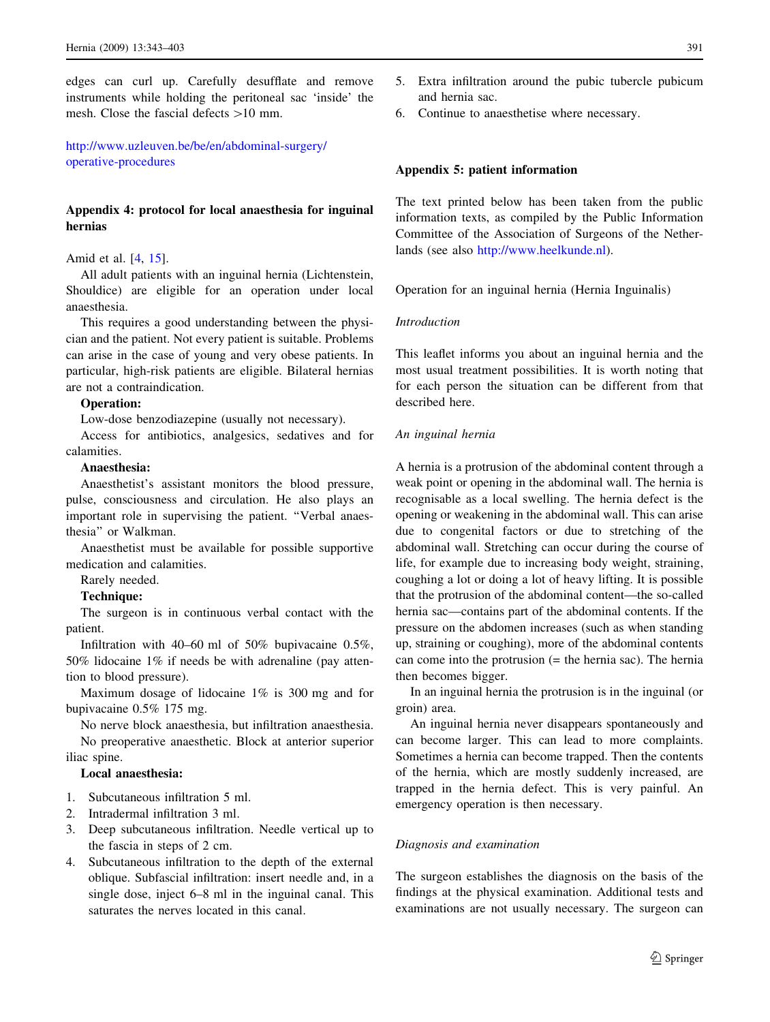<span id="page-48-0"></span>edges can curl up. Carefully desufflate and remove instruments while holding the peritoneal sac 'inside' the mesh. Close the fascial defects  $>10$  mm.

[http://www.uzleuven.be/be/en/abdominal-surgery/](http://www.uzleuven.be/be/en/abdominal-surgery/operative-procedures) [operative-procedures](http://www.uzleuven.be/be/en/abdominal-surgery/operative-procedures)

### Appendix 4: protocol for local anaesthesia for inguinal hernias

### Amid et al. [\[4](#page-52-0), [15\]](#page-52-0).

All adult patients with an inguinal hernia (Lichtenstein, Shouldice) are eligible for an operation under local anaesthesia.

This requires a good understanding between the physician and the patient. Not every patient is suitable. Problems can arise in the case of young and very obese patients. In particular, high-risk patients are eligible. Bilateral hernias are not a contraindication.

#### Operation:

Low-dose benzodiazepine (usually not necessary).

Access for antibiotics, analgesics, sedatives and for calamities.

#### Anaesthesia:

Anaesthetist's assistant monitors the blood pressure, pulse, consciousness and circulation. He also plays an important role in supervising the patient. ''Verbal anaesthesia'' or Walkman.

Anaesthetist must be available for possible supportive medication and calamities.

Rarely needed.

#### Technique:

The surgeon is in continuous verbal contact with the patient.

Infiltration with 40–60 ml of 50% bupivacaine 0.5%, 50% lidocaine 1% if needs be with adrenaline (pay attention to blood pressure).

Maximum dosage of lidocaine 1% is 300 mg and for bupivacaine 0.5% 175 mg.

No nerve block anaesthesia, but infiltration anaesthesia. No preoperative anaesthetic. Block at anterior superior iliac spine.

### Local anaesthesia:

- 1. Subcutaneous infiltration 5 ml.
- 2. Intradermal infiltration 3 ml.
- 3. Deep subcutaneous infiltration. Needle vertical up to the fascia in steps of 2 cm.
- 4. Subcutaneous infiltration to the depth of the external oblique. Subfascial infiltration: insert needle and, in a single dose, inject 6–8 ml in the inguinal canal. This saturates the nerves located in this canal.
- 5. Extra infiltration around the pubic tubercle pubicum and hernia sac.
- 6. Continue to anaesthetise where necessary.

#### Appendix 5: patient information

The text printed below has been taken from the public information texts, as compiled by the Public Information Committee of the Association of Surgeons of the Netherlands (see also [http://www.heelkunde.nl\)](http://www.heelkunde.nl).

Operation for an inguinal hernia (Hernia Inguinalis)

#### Introduction

This leaflet informs you about an inguinal hernia and the most usual treatment possibilities. It is worth noting that for each person the situation can be different from that described here.

### An inguinal hernia

A hernia is a protrusion of the abdominal content through a weak point or opening in the abdominal wall. The hernia is recognisable as a local swelling. The hernia defect is the opening or weakening in the abdominal wall. This can arise due to congenital factors or due to stretching of the abdominal wall. Stretching can occur during the course of life, for example due to increasing body weight, straining, coughing a lot or doing a lot of heavy lifting. It is possible that the protrusion of the abdominal content—the so-called hernia sac—contains part of the abdominal contents. If the pressure on the abdomen increases (such as when standing up, straining or coughing), more of the abdominal contents can come into the protrusion  $(=$  the hernia sac). The hernia then becomes bigger.

In an inguinal hernia the protrusion is in the inguinal (or groin) area.

An inguinal hernia never disappears spontaneously and can become larger. This can lead to more complaints. Sometimes a hernia can become trapped. Then the contents of the hernia, which are mostly suddenly increased, are trapped in the hernia defect. This is very painful. An emergency operation is then necessary.

#### Diagnosis and examination

The surgeon establishes the diagnosis on the basis of the findings at the physical examination. Additional tests and examinations are not usually necessary. The surgeon can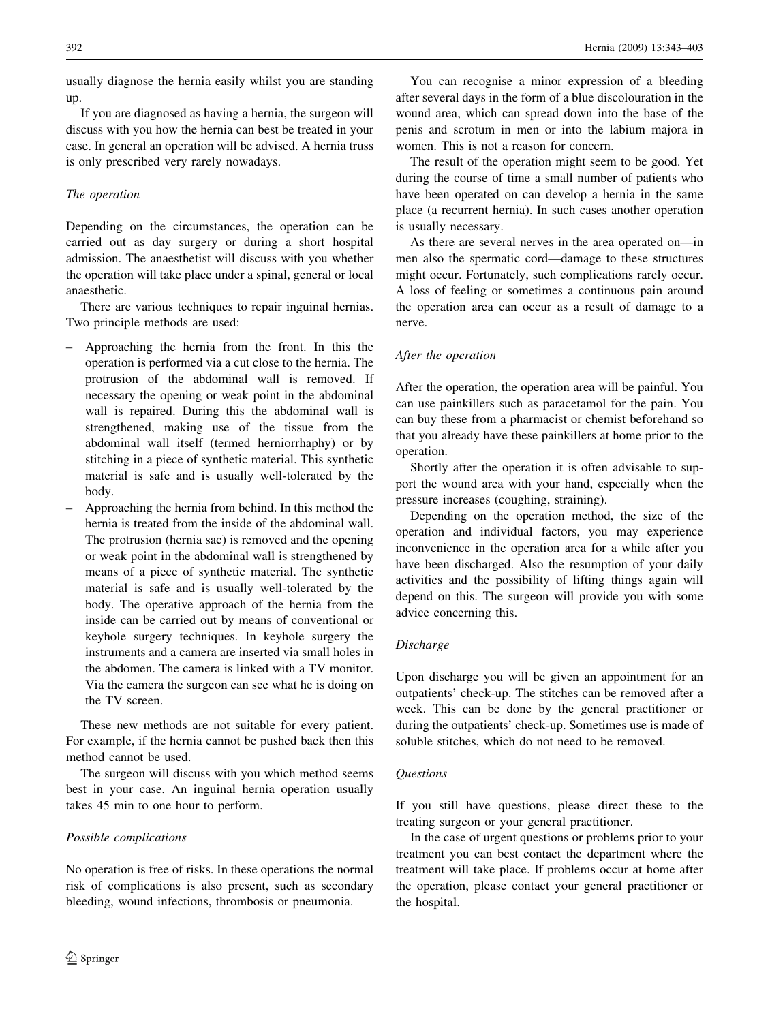usually diagnose the hernia easily whilst you are standing up.

If you are diagnosed as having a hernia, the surgeon will discuss with you how the hernia can best be treated in your case. In general an operation will be advised. A hernia truss is only prescribed very rarely nowadays.

## The operation

Depending on the circumstances, the operation can be carried out as day surgery or during a short hospital admission. The anaesthetist will discuss with you whether the operation will take place under a spinal, general or local anaesthetic.

There are various techniques to repair inguinal hernias. Two principle methods are used:

- Approaching the hernia from the front. In this the operation is performed via a cut close to the hernia. The protrusion of the abdominal wall is removed. If necessary the opening or weak point in the abdominal wall is repaired. During this the abdominal wall is strengthened, making use of the tissue from the abdominal wall itself (termed herniorrhaphy) or by stitching in a piece of synthetic material. This synthetic material is safe and is usually well-tolerated by the body.
- Approaching the hernia from behind. In this method the hernia is treated from the inside of the abdominal wall. The protrusion (hernia sac) is removed and the opening or weak point in the abdominal wall is strengthened by means of a piece of synthetic material. The synthetic material is safe and is usually well-tolerated by the body. The operative approach of the hernia from the inside can be carried out by means of conventional or keyhole surgery techniques. In keyhole surgery the instruments and a camera are inserted via small holes in the abdomen. The camera is linked with a TV monitor. Via the camera the surgeon can see what he is doing on the TV screen.

These new methods are not suitable for every patient. For example, if the hernia cannot be pushed back then this method cannot be used.

The surgeon will discuss with you which method seems best in your case. An inguinal hernia operation usually takes 45 min to one hour to perform.

### Possible complications

No operation is free of risks. In these operations the normal risk of complications is also present, such as secondary bleeding, wound infections, thrombosis or pneumonia.

You can recognise a minor expression of a bleeding after several days in the form of a blue discolouration in the wound area, which can spread down into the base of the penis and scrotum in men or into the labium majora in women. This is not a reason for concern.

The result of the operation might seem to be good. Yet during the course of time a small number of patients who have been operated on can develop a hernia in the same place (a recurrent hernia). In such cases another operation is usually necessary.

As there are several nerves in the area operated on—in men also the spermatic cord—damage to these structures might occur. Fortunately, such complications rarely occur. A loss of feeling or sometimes a continuous pain around the operation area can occur as a result of damage to a nerve.

## After the operation

After the operation, the operation area will be painful. You can use painkillers such as paracetamol for the pain. You can buy these from a pharmacist or chemist beforehand so that you already have these painkillers at home prior to the operation.

Shortly after the operation it is often advisable to support the wound area with your hand, especially when the pressure increases (coughing, straining).

Depending on the operation method, the size of the operation and individual factors, you may experience inconvenience in the operation area for a while after you have been discharged. Also the resumption of your daily activities and the possibility of lifting things again will depend on this. The surgeon will provide you with some advice concerning this.

## Discharge

Upon discharge you will be given an appointment for an outpatients' check-up. The stitches can be removed after a week. This can be done by the general practitioner or during the outpatients' check-up. Sometimes use is made of soluble stitches, which do not need to be removed.

### Questions

If you still have questions, please direct these to the treating surgeon or your general practitioner.

In the case of urgent questions or problems prior to your treatment you can best contact the department where the treatment will take place. If problems occur at home after the operation, please contact your general practitioner or the hospital.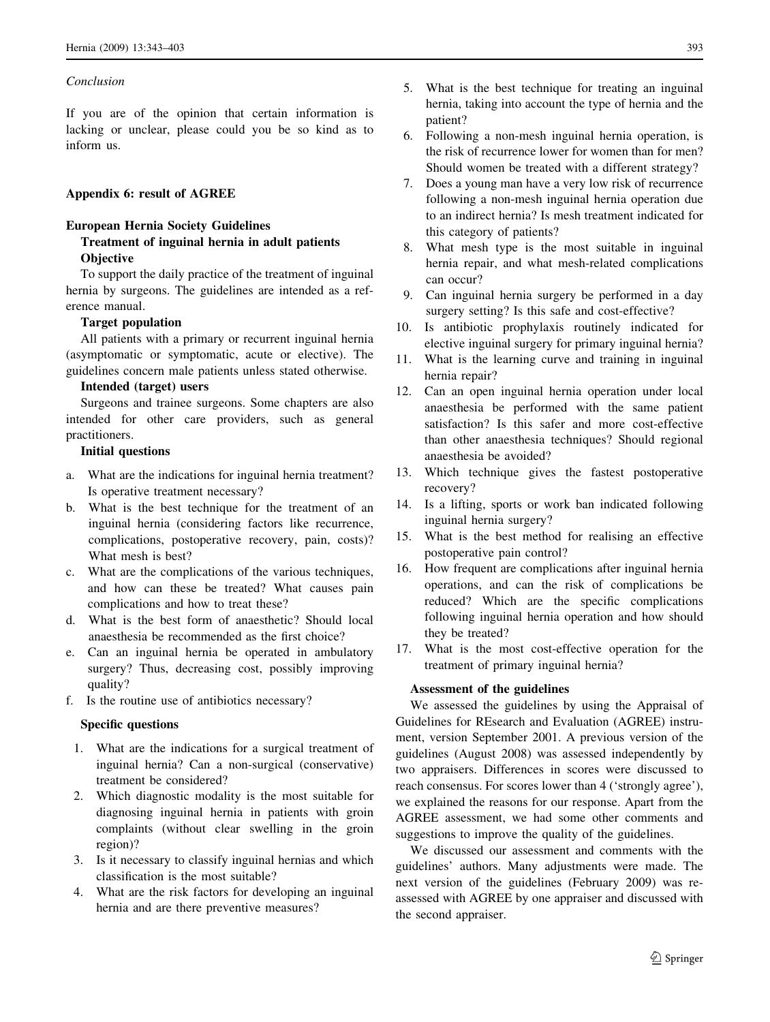#### <span id="page-50-0"></span>Conclusion

If you are of the opinion that certain information is lacking or unclear, please could you be so kind as to inform us.

#### Appendix 6: result of AGREE

## European Hernia Society Guidelines

## Treatment of inguinal hernia in adult patients **Objective**

To support the daily practice of the treatment of inguinal hernia by surgeons. The guidelines are intended as a reference manual.

## Target population

All patients with a primary or recurrent inguinal hernia (asymptomatic or symptomatic, acute or elective). The guidelines concern male patients unless stated otherwise.

### Intended (target) users

Surgeons and trainee surgeons. Some chapters are also intended for other care providers, such as general practitioners.

## Initial questions

- a. What are the indications for inguinal hernia treatment? Is operative treatment necessary?
- b. What is the best technique for the treatment of an inguinal hernia (considering factors like recurrence, complications, postoperative recovery, pain, costs)? What mesh is best?
- c. What are the complications of the various techniques, and how can these be treated? What causes pain complications and how to treat these?
- d. What is the best form of anaesthetic? Should local anaesthesia be recommended as the first choice?
- e. Can an inguinal hernia be operated in ambulatory surgery? Thus, decreasing cost, possibly improving quality?
- f. Is the routine use of antibiotics necessary?

### Specific questions

- 1. What are the indications for a surgical treatment of inguinal hernia? Can a non-surgical (conservative) treatment be considered?
- 2. Which diagnostic modality is the most suitable for diagnosing inguinal hernia in patients with groin complaints (without clear swelling in the groin region)?
- 3. Is it necessary to classify inguinal hernias and which classification is the most suitable?
- 4. What are the risk factors for developing an inguinal hernia and are there preventive measures?
- 5. What is the best technique for treating an inguinal hernia, taking into account the type of hernia and the patient?
- 6. Following a non-mesh inguinal hernia operation, is the risk of recurrence lower for women than for men? Should women be treated with a different strategy?
- 7. Does a young man have a very low risk of recurrence following a non-mesh inguinal hernia operation due to an indirect hernia? Is mesh treatment indicated for this category of patients?
- 8. What mesh type is the most suitable in inguinal hernia repair, and what mesh-related complications can occur?
- 9. Can inguinal hernia surgery be performed in a day surgery setting? Is this safe and cost-effective?
- 10. Is antibiotic prophylaxis routinely indicated for elective inguinal surgery for primary inguinal hernia?
- 11. What is the learning curve and training in inguinal hernia repair?
- 12. Can an open inguinal hernia operation under local anaesthesia be performed with the same patient satisfaction? Is this safer and more cost-effective than other anaesthesia techniques? Should regional anaesthesia be avoided?
- 13. Which technique gives the fastest postoperative recovery?
- 14. Is a lifting, sports or work ban indicated following inguinal hernia surgery?
- 15. What is the best method for realising an effective postoperative pain control?
- 16. How frequent are complications after inguinal hernia operations, and can the risk of complications be reduced? Which are the specific complications following inguinal hernia operation and how should they be treated?
- 17. What is the most cost-effective operation for the treatment of primary inguinal hernia?

## Assessment of the guidelines

We assessed the guidelines by using the Appraisal of Guidelines for REsearch and Evaluation (AGREE) instrument, version September 2001. A previous version of the guidelines (August 2008) was assessed independently by two appraisers. Differences in scores were discussed to reach consensus. For scores lower than 4 ('strongly agree'), we explained the reasons for our response. Apart from the AGREE assessment, we had some other comments and suggestions to improve the quality of the guidelines.

We discussed our assessment and comments with the guidelines' authors. Many adjustments were made. The next version of the guidelines (February 2009) was reassessed with AGREE by one appraiser and discussed with the second appraiser.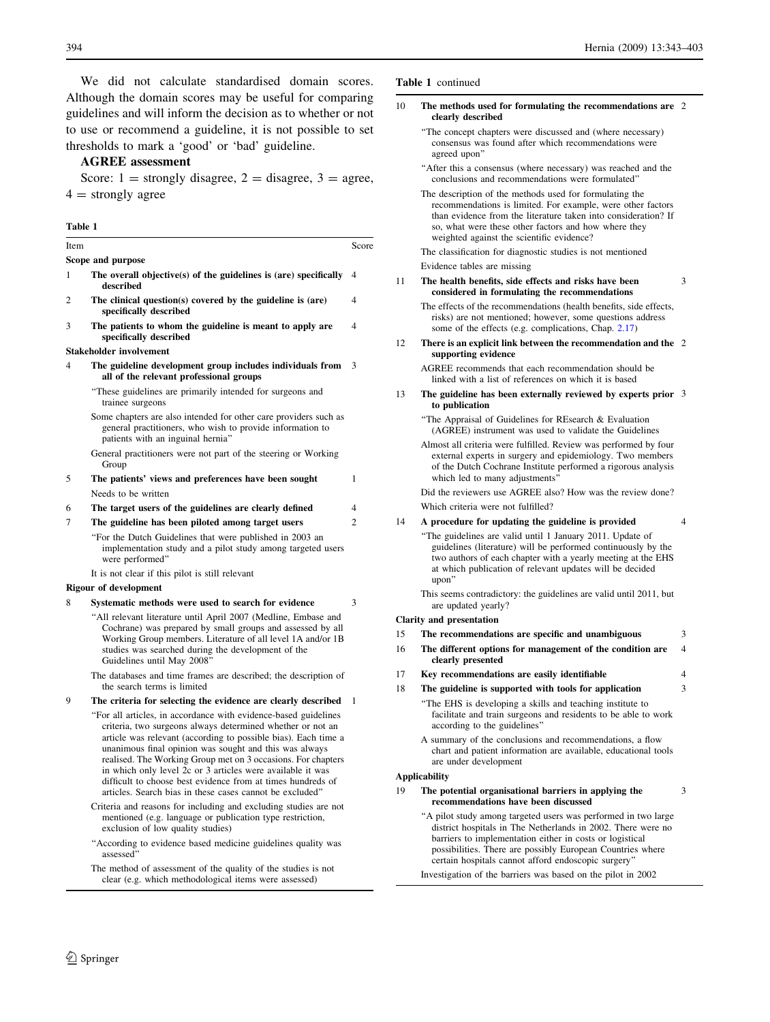3

4

We did not calculate standardised domain scores. Although the domain scores may be useful for comparing guidelines and will inform the decision as to whether or not to use or recommend a guideline, it is not possible to set thresholds to mark a 'good' or 'bad' guideline.

#### AGREE assessment

Score:  $1 =$  strongly disagree,  $2 =$  disagree,  $3 =$  agree,  $4 =$  strongly agree

|--|--|

| Item           |                                                                                                                                                                                                                                                                                                                                                                                                                                                                                                                    | Score          |
|----------------|--------------------------------------------------------------------------------------------------------------------------------------------------------------------------------------------------------------------------------------------------------------------------------------------------------------------------------------------------------------------------------------------------------------------------------------------------------------------------------------------------------------------|----------------|
|                | Scope and purpose                                                                                                                                                                                                                                                                                                                                                                                                                                                                                                  |                |
| 1              | The overall objective(s) of the guidelines is (are) specifically<br>described                                                                                                                                                                                                                                                                                                                                                                                                                                      | $\overline{4}$ |
| $\overline{c}$ | The clinical question(s) covered by the guideline is (are)<br>specifically described                                                                                                                                                                                                                                                                                                                                                                                                                               | 4              |
| 3              | The patients to whom the guideline is meant to apply are<br>specifically described                                                                                                                                                                                                                                                                                                                                                                                                                                 | 4              |
|                | <b>Stakeholder involvement</b>                                                                                                                                                                                                                                                                                                                                                                                                                                                                                     |                |
| 4              | The guideline development group includes individuals from<br>all of the relevant professional groups                                                                                                                                                                                                                                                                                                                                                                                                               | 3              |
|                | "These guidelines are primarily intended for surgeons and<br>trainee surgeons                                                                                                                                                                                                                                                                                                                                                                                                                                      |                |
|                | Some chapters are also intended for other care providers such as<br>general practitioners, who wish to provide information to<br>patients with an inguinal hernia"                                                                                                                                                                                                                                                                                                                                                 |                |
|                | General practitioners were not part of the steering or Working<br>Group                                                                                                                                                                                                                                                                                                                                                                                                                                            |                |
| 5              | The patients' views and preferences have been sought                                                                                                                                                                                                                                                                                                                                                                                                                                                               | 1              |
|                | Needs to be written                                                                                                                                                                                                                                                                                                                                                                                                                                                                                                |                |
| 6              | The target users of the guidelines are clearly defined                                                                                                                                                                                                                                                                                                                                                                                                                                                             | 4              |
| 7              | The guideline has been piloted among target users                                                                                                                                                                                                                                                                                                                                                                                                                                                                  | $\overline{c}$ |
|                | "For the Dutch Guidelines that were published in 2003 an<br>implementation study and a pilot study among targeted users<br>were performed"                                                                                                                                                                                                                                                                                                                                                                         |                |
|                | It is not clear if this pilot is still relevant                                                                                                                                                                                                                                                                                                                                                                                                                                                                    |                |
|                | <b>Rigour of development</b>                                                                                                                                                                                                                                                                                                                                                                                                                                                                                       |                |
| 8              | Systematic methods were used to search for evidence                                                                                                                                                                                                                                                                                                                                                                                                                                                                | 3              |
|                | "All relevant literature until April 2007 (Medline, Embase and<br>Cochrane) was prepared by small groups and assessed by all<br>Working Group members. Literature of all level 1A and/or 1B<br>studies was searched during the development of the<br>Guidelines until May 2008"                                                                                                                                                                                                                                    |                |
|                | The databases and time frames are described; the description of<br>the search terms is limited                                                                                                                                                                                                                                                                                                                                                                                                                     |                |
| 9              | The criteria for selecting the evidence are clearly described                                                                                                                                                                                                                                                                                                                                                                                                                                                      | 1              |
|                | "For all articles, in accordance with evidence-based guidelines<br>criteria, two surgeons always determined whether or not an<br>article was relevant (according to possible bias). Each time a<br>unanimous final opinion was sought and this was always<br>realised. The Working Group met on 3 occasions. For chapters<br>in which only level 2c or 3 articles were available it was<br>difficult to choose best evidence from at times hundreds of<br>articles. Search bias in these cases cannot be excluded" |                |
|                | Criteria and reasons for including and excluding studies are not<br>mentioned (e.g. language or publication type restriction,<br>exclusion of low quality studies)                                                                                                                                                                                                                                                                                                                                                 |                |
|                | "According to evidence based medicine guidelines quality was<br>assessed"                                                                                                                                                                                                                                                                                                                                                                                                                                          |                |

The method of assessment of the quality of the studies is not clear (e.g. which methodological items were assessed)

#### Table 1 continued

- 10 The methods used for formulating the recommendations are 2 clearly described
	- ''The concept chapters were discussed and (where necessary) consensus was found after which recommendations were agreed upon''
	- "After this a consensus (where necessary) was reached and the conclusions and recommendations were formulated''
	- The description of the methods used for formulating the recommendations is limited. For example, were other factors than evidence from the literature taken into consideration? If so, what were these other factors and how where they weighted against the scientific evidence?
	- The classification for diagnostic studies is not mentioned Evidence tables are missing
- 11 The health benefits, side effects and risks have been considered in formulating the recommendations
	- The effects of the recommendations (health benefits, side effects, risks) are not mentioned; however, some questions address some of the effects (e.g. complications, Chap. [2.17\)](#page-37-0)
- 12 There is an explicit link between the recommendation and the 2 supporting evidence

AGREE recommends that each recommendation should be linked with a list of references on which it is based

13 The guideline has been externally reviewed by experts prior 3 to publication

''The Appraisal of Guidelines for REsearch & Evaluation (AGREE) instrument was used to validate the Guidelines

Almost all criteria were fulfilled. Review was performed by four external experts in surgery and epidemiology. Two members of the Dutch Cochrane Institute performed a rigorous analysis which led to many adjustments

Did the reviewers use AGREE also? How was the review done? Which criteria were not fulfilled?

| 14 | A procedure for updating the guideline is provided |  |
|----|----------------------------------------------------|--|
|----|----------------------------------------------------|--|

''The guidelines are valid until 1 January 2011. Update of guidelines (literature) will be performed continuously by the two authors of each chapter with a yearly meeting at the EHS at which publication of relevant updates will be decided upon''

This seems contradictory: the guidelines are valid until 2011, but are updated yearly?

#### Clarity and presentation

15 The recommendations are specific and unambiguous 3

- 16 The different options for management of the condition are clearly presented 4
- 17 Key recommendations are easily identifiable 4
- 18 The guideline is supported with tools for application 3
	- ''The EHS is developing a skills and teaching institute to facilitate and train surgeons and residents to be able to work according to the guidelines''
	- A summary of the conclusions and recommendations, a flow chart and patient information are available, educational tools are under development

#### Applicability

| 19 | The potential organisational barriers in applying the |  |  |  |  |
|----|-------------------------------------------------------|--|--|--|--|
|    | recommendations have been discussed                   |  |  |  |  |

''A pilot study among targeted users was performed in two large district hospitals in The Netherlands in 2002. There were no barriers to implementation either in costs or logistical possibilities. There are possibly European Countries where certain hospitals cannot afford endoscopic surgery''

Investigation of the barriers was based on the pilot in 2002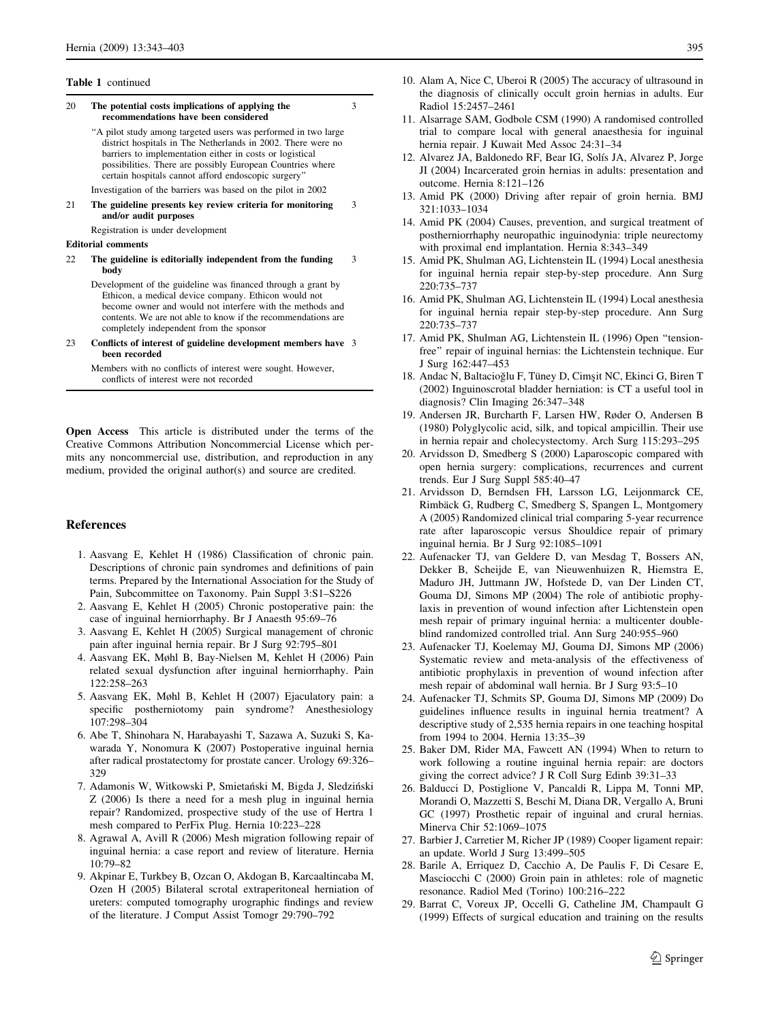#### <span id="page-52-0"></span>Table 1 continued

#### 20 The potential costs implications of applying the recommendations have been considered

''A pilot study among targeted users was performed in two large district hospitals in The Netherlands in 2002. There were no barriers to implementation either in costs or logistical possibilities. There are possibly European Countries where certain hospitals cannot afford endoscopic surgery'' Investigation of the barriers was based on the pilot in 2002

3

3

21 The guideline presents key review criteria for monitoring and/or audit purposes

Registration is under development

#### Editorial comments

22 The guideline is editorially independent from the funding body 3

Development of the guideline was financed through a grant by Ethicon, a medical device company. Ethicon would not become owner and would not interfere with the methods and contents. We are not able to know if the recommendations are completely independent from the sponsor

23 Conflicts of interest of guideline development members have 3 been recorded

Members with no conflicts of interest were sought. However, conflicts of interest were not recorded

Open Access This article is distributed under the terms of the Creative Commons Attribution Noncommercial License which permits any noncommercial use, distribution, and reproduction in any medium, provided the original author(s) and source are credited.

#### References

- 1. Aasvang E, Kehlet H (1986) Classification of chronic pain. Descriptions of chronic pain syndromes and definitions of pain terms. Prepared by the International Association for the Study of Pain, Subcommittee on Taxonomy. Pain Suppl 3:S1–S226
- 2. Aasvang E, Kehlet H (2005) Chronic postoperative pain: the case of inguinal herniorrhaphy. Br J Anaesth 95:69–76
- 3. Aasvang E, Kehlet H (2005) Surgical management of chronic pain after inguinal hernia repair. Br J Surg 92:795–801
- 4. Aasvang EK, Møhl B, Bay-Nielsen M, Kehlet H (2006) Pain related sexual dysfunction after inguinal herniorrhaphy. Pain 122:258–263
- 5. Aasvang EK, Møhl B, Kehlet H (2007) Ejaculatory pain: a specific postherniotomy pain syndrome? Anesthesiology 107:298–304
- 6. Abe T, Shinohara N, Harabayashi T, Sazawa A, Suzuki S, Kawarada Y, Nonomura K (2007) Postoperative inguinal hernia after radical prostatectomy for prostate cancer. Urology 69:326– 329
- 7. Adamonis W, Witkowski P, Smietański M, Bigda J, Sledziński Z (2006) Is there a need for a mesh plug in inguinal hernia repair? Randomized, prospective study of the use of Hertra 1 mesh compared to PerFix Plug. Hernia 10:223–228
- 8. Agrawal A, Avill R (2006) Mesh migration following repair of inguinal hernia: a case report and review of literature. Hernia  $10.79 - 82$
- 9. Akpinar E, Turkbey B, Ozcan O, Akdogan B, Karcaaltincaba M, Ozen H (2005) Bilateral scrotal extraperitoneal herniation of ureters: computed tomography urographic findings and review of the literature. J Comput Assist Tomogr 29:790–792
- 10. Alam A, Nice C, Uberoi R (2005) The accuracy of ultrasound in the diagnosis of clinically occult groin hernias in adults. Eur Radiol 15:2457–2461
- 11. Alsarrage SAM, Godbole CSM (1990) A randomised controlled trial to compare local with general anaesthesia for inguinal hernia repair. J Kuwait Med Assoc 24:31–34
- 12. Alvarez JA, Baldonedo RF, Bear IG, Solís JA, Alvarez P, Jorge JI (2004) Incarcerated groin hernias in adults: presentation and outcome. Hernia 8:121–126
- 13. Amid PK (2000) Driving after repair of groin hernia. BMJ 321:1033–1034
- 14. Amid PK (2004) Causes, prevention, and surgical treatment of postherniorrhaphy neuropathic inguinodynia: triple neurectomy with proximal end implantation. Hernia 8:343–349
- 15. Amid PK, Shulman AG, Lichtenstein IL (1994) Local anesthesia for inguinal hernia repair step-by-step procedure. Ann Surg 220:735–737
- 16. Amid PK, Shulman AG, Lichtenstein IL (1994) Local anesthesia for inguinal hernia repair step-by-step procedure. Ann Surg 220:735–737
- 17. Amid PK, Shulman AG, Lichtenstein IL (1996) Open ''tensionfree'' repair of inguinal hernias: the Lichtenstein technique. Eur J Surg 162:447–453
- 18. Andac N, Baltacioğlu F, Tüney D, Cimşit NC, Ekinci G, Biren T (2002) Inguinoscrotal bladder herniation: is CT a useful tool in diagnosis? Clin Imaging 26:347–348
- 19. Andersen JR, Burcharth F, Larsen HW, Røder O, Andersen B (1980) Polyglycolic acid, silk, and topical ampicillin. Their use in hernia repair and cholecystectomy. Arch Surg 115:293–295
- 20. Arvidsson D, Smedberg S (2000) Laparoscopic compared with open hernia surgery: complications, recurrences and current trends. Eur J Surg Suppl 585:40–47
- 21. Arvidsson D, Berndsen FH, Larsson LG, Leijonmarck CE, Rimbäck G, Rudberg C, Smedberg S, Spangen L, Montgomery A (2005) Randomized clinical trial comparing 5-year recurrence rate after laparoscopic versus Shouldice repair of primary inguinal hernia. Br J Surg 92:1085–1091
- 22. Aufenacker TJ, van Geldere D, van Mesdag T, Bossers AN, Dekker B, Scheijde E, van Nieuwenhuizen R, Hiemstra E, Maduro JH, Juttmann JW, Hofstede D, van Der Linden CT, Gouma DJ, Simons MP (2004) The role of antibiotic prophylaxis in prevention of wound infection after Lichtenstein open mesh repair of primary inguinal hernia: a multicenter doubleblind randomized controlled trial. Ann Surg 240:955–960
- 23. Aufenacker TJ, Koelemay MJ, Gouma DJ, Simons MP (2006) Systematic review and meta-analysis of the effectiveness of antibiotic prophylaxis in prevention of wound infection after mesh repair of abdominal wall hernia. Br J Surg 93:5–10
- 24. Aufenacker TJ, Schmits SP, Gouma DJ, Simons MP (2009) Do guidelines influence results in inguinal hernia treatment? A descriptive study of 2,535 hernia repairs in one teaching hospital from 1994 to 2004. Hernia 13:35–39
- 25. Baker DM, Rider MA, Fawcett AN (1994) When to return to work following a routine inguinal hernia repair: are doctors giving the correct advice? J R Coll Surg Edinb 39:31–33
- 26. Balducci D, Postiglione V, Pancaldi R, Lippa M, Tonni MP, Morandi O, Mazzetti S, Beschi M, Diana DR, Vergallo A, Bruni GC (1997) Prosthetic repair of inguinal and crural hernias. Minerva Chir 52:1069–1075
- 27. Barbier J, Carretier M, Richer JP (1989) Cooper ligament repair: an update. World J Surg 13:499–505
- 28. Barile A, Erriquez D, Cacchio A, De Paulis F, Di Cesare E, Masciocchi C (2000) Groin pain in athletes: role of magnetic resonance. Radiol Med (Torino) 100:216–222
- 29. Barrat C, Voreux JP, Occelli G, Catheline JM, Champault G (1999) Effects of surgical education and training on the results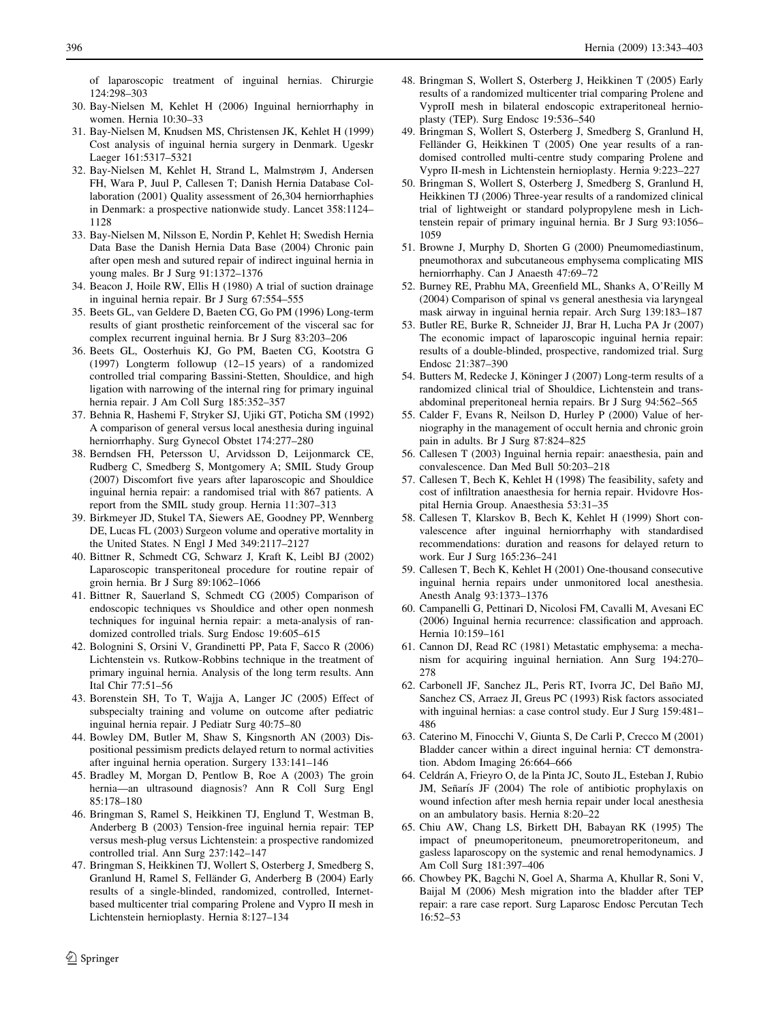<span id="page-53-0"></span>of laparoscopic treatment of inguinal hernias. Chirurgie 124:298–303

- 30. Bay-Nielsen M, Kehlet H (2006) Inguinal herniorrhaphy in women. Hernia 10:30–33
- 31. Bay-Nielsen M, Knudsen MS, Christensen JK, Kehlet H (1999) Cost analysis of inguinal hernia surgery in Denmark. Ugeskr Laeger 161:5317–5321
- 32. Bay-Nielsen M, Kehlet H, Strand L, Malmstrøm J, Andersen FH, Wara P, Juul P, Callesen T; Danish Hernia Database Collaboration (2001) Quality assessment of 26,304 herniorrhaphies in Denmark: a prospective nationwide study. Lancet 358:1124– 1128
- 33. Bay-Nielsen M, Nilsson E, Nordin P, Kehlet H; Swedish Hernia Data Base the Danish Hernia Data Base (2004) Chronic pain after open mesh and sutured repair of indirect inguinal hernia in young males. Br J Surg 91:1372–1376
- 34. Beacon J, Hoile RW, Ellis H (1980) A trial of suction drainage in inguinal hernia repair. Br J Surg 67:554–555
- 35. Beets GL, van Geldere D, Baeten CG, Go PM (1996) Long-term results of giant prosthetic reinforcement of the visceral sac for complex recurrent inguinal hernia. Br J Surg 83:203–206
- 36. Beets GL, Oosterhuis KJ, Go PM, Baeten CG, Kootstra G (1997) Longterm followup (12–15 years) of a randomized controlled trial comparing Bassini-Stetten, Shouldice, and high ligation with narrowing of the internal ring for primary inguinal hernia repair. J Am Coll Surg 185:352–357
- 37. Behnia R, Hashemi F, Stryker SJ, Ujiki GT, Poticha SM (1992) A comparison of general versus local anesthesia during inguinal herniorrhaphy. Surg Gynecol Obstet 174:277–280
- 38. Berndsen FH, Petersson U, Arvidsson D, Leijonmarck CE, Rudberg C, Smedberg S, Montgomery A; SMIL Study Group (2007) Discomfort five years after laparoscopic and Shouldice inguinal hernia repair: a randomised trial with 867 patients. A report from the SMIL study group. Hernia 11:307–313
- 39. Birkmeyer JD, Stukel TA, Siewers AE, Goodney PP, Wennberg DE, Lucas FL (2003) Surgeon volume and operative mortality in the United States. N Engl J Med 349:2117–2127
- 40. Bittner R, Schmedt CG, Schwarz J, Kraft K, Leibl BJ (2002) Laparoscopic transperitoneal procedure for routine repair of groin hernia. Br J Surg 89:1062–1066
- 41. Bittner R, Sauerland S, Schmedt CG (2005) Comparison of endoscopic techniques vs Shouldice and other open nonmesh techniques for inguinal hernia repair: a meta-analysis of randomized controlled trials. Surg Endosc 19:605–615
- 42. Bolognini S, Orsini V, Grandinetti PP, Pata F, Sacco R (2006) Lichtenstein vs. Rutkow-Robbins technique in the treatment of primary inguinal hernia. Analysis of the long term results. Ann Ital Chir 77:51–56
- 43. Borenstein SH, To T, Wajja A, Langer JC (2005) Effect of subspecialty training and volume on outcome after pediatric inguinal hernia repair. J Pediatr Surg 40:75–80
- 44. Bowley DM, Butler M, Shaw S, Kingsnorth AN (2003) Dispositional pessimism predicts delayed return to normal activities after inguinal hernia operation. Surgery 133:141–146
- 45. Bradley M, Morgan D, Pentlow B, Roe A (2003) The groin hernia—an ultrasound diagnosis? Ann R Coll Surg Engl 85:178–180
- 46. Bringman S, Ramel S, Heikkinen TJ, Englund T, Westman B, Anderberg B (2003) Tension-free inguinal hernia repair: TEP versus mesh-plug versus Lichtenstein: a prospective randomized controlled trial. Ann Surg 237:142–147
- 47. Bringman S, Heikkinen TJ, Wollert S, Osterberg J, Smedberg S, Granlund H, Ramel S, Felländer G, Anderberg B (2004) Early results of a single-blinded, randomized, controlled, Internetbased multicenter trial comparing Prolene and Vypro II mesh in Lichtenstein hernioplasty. Hernia 8:127–134
- 48. Bringman S, Wollert S, Osterberg J, Heikkinen T (2005) Early results of a randomized multicenter trial comparing Prolene and VyproII mesh in bilateral endoscopic extraperitoneal hernioplasty (TEP). Surg Endosc 19:536–540
- 49. Bringman S, Wollert S, Osterberg J, Smedberg S, Granlund H, Felländer G, Heikkinen T (2005) One year results of a randomised controlled multi-centre study comparing Prolene and Vypro II-mesh in Lichtenstein hernioplasty. Hernia 9:223–227
- 50. Bringman S, Wollert S, Osterberg J, Smedberg S, Granlund H, Heikkinen TJ (2006) Three-year results of a randomized clinical trial of lightweight or standard polypropylene mesh in Lichtenstein repair of primary inguinal hernia. Br J Surg 93:1056– 1059
- 51. Browne J, Murphy D, Shorten G (2000) Pneumomediastinum, pneumothorax and subcutaneous emphysema complicating MIS herniorrhaphy. Can J Anaesth 47:69–72
- 52. Burney RE, Prabhu MA, Greenfield ML, Shanks A, O'Reilly M (2004) Comparison of spinal vs general anesthesia via laryngeal mask airway in inguinal hernia repair. Arch Surg 139:183–187
- 53. Butler RE, Burke R, Schneider JJ, Brar H, Lucha PA Jr (2007) The economic impact of laparoscopic inguinal hernia repair: results of a double-blinded, prospective, randomized trial. Surg Endosc 21:387–390
- 54. Butters M, Redecke J, Köninger J (2007) Long-term results of a randomized clinical trial of Shouldice, Lichtenstein and transabdominal preperitoneal hernia repairs. Br J Surg 94:562–565
- 55. Calder F, Evans R, Neilson D, Hurley P (2000) Value of herniography in the management of occult hernia and chronic groin pain in adults. Br J Surg 87:824–825
- 56. Callesen T (2003) Inguinal hernia repair: anaesthesia, pain and convalescence. Dan Med Bull 50:203–218
- 57. Callesen T, Bech K, Kehlet H (1998) The feasibility, safety and cost of infiltration anaesthesia for hernia repair. Hvidovre Hospital Hernia Group. Anaesthesia 53:31–35
- 58. Callesen T, Klarskov B, Bech K, Kehlet H (1999) Short convalescence after inguinal herniorrhaphy with standardised recommendations: duration and reasons for delayed return to work. Eur J Surg 165:236–241
- 59. Callesen T, Bech K, Kehlet H (2001) One-thousand consecutive inguinal hernia repairs under unmonitored local anesthesia. Anesth Analg 93:1373–1376
- 60. Campanelli G, Pettinari D, Nicolosi FM, Cavalli M, Avesani EC (2006) Inguinal hernia recurrence: classification and approach. Hernia 10:159–161
- 61. Cannon DJ, Read RC (1981) Metastatic emphysema: a mechanism for acquiring inguinal herniation. Ann Surg 194:270– 278
- 62. Carbonell JF, Sanchez JL, Peris RT, Ivorra JC, Del Baño MJ, Sanchez CS, Arraez JI, Greus PC (1993) Risk factors associated with inguinal hernias: a case control study. Eur J Surg 159:481– 486
- 63. Caterino M, Finocchi V, Giunta S, De Carli P, Crecco M (2001) Bladder cancer within a direct inguinal hernia: CT demonstration. Abdom Imaging 26:664–666
- 64. Celdrán A, Frieyro O, de la Pinta JC, Souto JL, Esteban J, Rubio JM, Señarís JF (2004) The role of antibiotic prophylaxis on wound infection after mesh hernia repair under local anesthesia on an ambulatory basis. Hernia 8:20–22
- 65. Chiu AW, Chang LS, Birkett DH, Babayan RK (1995) The impact of pneumoperitoneum, pneumoretroperitoneum, and gasless laparoscopy on the systemic and renal hemodynamics. J Am Coll Surg 181:397–406
- 66. Chowbey PK, Bagchi N, Goel A, Sharma A, Khullar R, Soni V, Baijal M (2006) Mesh migration into the bladder after TEP repair: a rare case report. Surg Laparosc Endosc Percutan Tech 16:52–53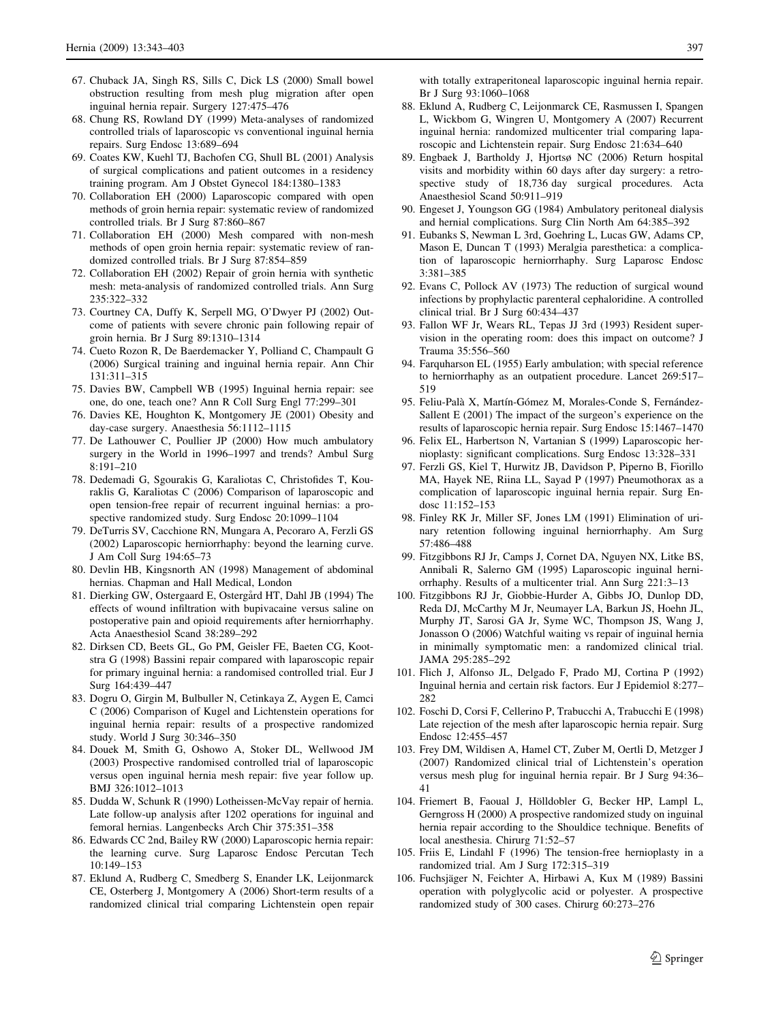- <span id="page-54-0"></span>67. Chuback JA, Singh RS, Sills C, Dick LS (2000) Small bowel obstruction resulting from mesh plug migration after open inguinal hernia repair. Surgery 127:475–476
- 68. Chung RS, Rowland DY (1999) Meta-analyses of randomized controlled trials of laparoscopic vs conventional inguinal hernia repairs. Surg Endosc 13:689–694
- 69. Coates KW, Kuehl TJ, Bachofen CG, Shull BL (2001) Analysis of surgical complications and patient outcomes in a residency training program. Am J Obstet Gynecol 184:1380–1383
- 70. Collaboration EH (2000) Laparoscopic compared with open methods of groin hernia repair: systematic review of randomized controlled trials. Br J Surg 87:860–867
- 71. Collaboration EH (2000) Mesh compared with non-mesh methods of open groin hernia repair: systematic review of randomized controlled trials. Br J Surg 87:854–859
- 72. Collaboration EH (2002) Repair of groin hernia with synthetic mesh: meta-analysis of randomized controlled trials. Ann Surg 235:322–332
- 73. Courtney CA, Duffy K, Serpell MG, O'Dwyer PJ (2002) Outcome of patients with severe chronic pain following repair of groin hernia. Br J Surg 89:1310–1314
- 74. Cueto Rozon R, De Baerdemacker Y, Polliand C, Champault G (2006) Surgical training and inguinal hernia repair. Ann Chir 131:311–315
- 75. Davies BW, Campbell WB (1995) Inguinal hernia repair: see one, do one, teach one? Ann R Coll Surg Engl 77:299–301
- 76. Davies KE, Houghton K, Montgomery JE (2001) Obesity and day-case surgery. Anaesthesia 56:1112–1115
- 77. De Lathouwer C, Poullier JP (2000) How much ambulatory surgery in the World in 1996–1997 and trends? Ambul Surg 8:191–210
- 78. Dedemadi G, Sgourakis G, Karaliotas C, Christofides T, Kouraklis G, Karaliotas C (2006) Comparison of laparoscopic and open tension-free repair of recurrent inguinal hernias: a prospective randomized study. Surg Endosc 20:1099–1104
- 79. DeTurris SV, Cacchione RN, Mungara A, Pecoraro A, Ferzli GS (2002) Laparoscopic herniorrhaphy: beyond the learning curve. J Am Coll Surg 194:65–73
- 80. Devlin HB, Kingsnorth AN (1998) Management of abdominal hernias. Chapman and Hall Medical, London
- 81. Dierking GW, Ostergaard E, Ostergård HT, Dahl JB (1994) The effects of wound infiltration with bupivacaine versus saline on postoperative pain and opioid requirements after herniorrhaphy. Acta Anaesthesiol Scand 38:289–292
- 82. Dirksen CD, Beets GL, Go PM, Geisler FE, Baeten CG, Kootstra G (1998) Bassini repair compared with laparoscopic repair for primary inguinal hernia: a randomised controlled trial. Eur J Surg 164:439–447
- 83. Dogru O, Girgin M, Bulbuller N, Cetinkaya Z, Aygen E, Camci C (2006) Comparison of Kugel and Lichtenstein operations for inguinal hernia repair: results of a prospective randomized study. World J Surg 30:346–350
- 84. Douek M, Smith G, Oshowo A, Stoker DL, Wellwood JM (2003) Prospective randomised controlled trial of laparoscopic versus open inguinal hernia mesh repair: five year follow up. BMJ 326:1012–1013
- 85. Dudda W, Schunk R (1990) Lotheissen-McVay repair of hernia. Late follow-up analysis after 1202 operations for inguinal and femoral hernias. Langenbecks Arch Chir 375:351–358
- 86. Edwards CC 2nd, Bailey RW (2000) Laparoscopic hernia repair: the learning curve. Surg Laparosc Endosc Percutan Tech 10:149–153
- 87. Eklund A, Rudberg C, Smedberg S, Enander LK, Leijonmarck CE, Osterberg J, Montgomery A (2006) Short-term results of a randomized clinical trial comparing Lichtenstein open repair

with totally extraperitoneal laparoscopic inguinal hernia repair. Br J Surg 93:1060–1068

- 88. Eklund A, Rudberg C, Leijonmarck CE, Rasmussen I, Spangen L, Wickbom G, Wingren U, Montgomery A (2007) Recurrent inguinal hernia: randomized multicenter trial comparing laparoscopic and Lichtenstein repair. Surg Endosc 21:634–640
- 89. Engbaek J, Bartholdy J, Hjortsø NC (2006) Return hospital visits and morbidity within 60 days after day surgery: a retrospective study of 18,736 day surgical procedures. Acta Anaesthesiol Scand 50:911–919
- 90. Engeset J, Youngson GG (1984) Ambulatory peritoneal dialysis and hernial complications. Surg Clin North Am 64:385–392
- 91. Eubanks S, Newman L 3rd, Goehring L, Lucas GW, Adams CP, Mason E, Duncan T (1993) Meralgia paresthetica: a complication of laparoscopic herniorrhaphy. Surg Laparosc Endosc 3:381–385
- 92. Evans C, Pollock AV (1973) The reduction of surgical wound infections by prophylactic parenteral cephaloridine. A controlled clinical trial. Br J Surg 60:434–437
- 93. Fallon WF Jr, Wears RL, Tepas JJ 3rd (1993) Resident supervision in the operating room: does this impact on outcome? J Trauma 35:556–560
- 94. Farquharson EL (1955) Early ambulation; with special reference to herniorrhaphy as an outpatient procedure. Lancet 269:517– 519
- 95. Feliu-Palà X, Martín-Gómez M, Morales-Conde S, Fernández-Sallent E (2001) The impact of the surgeon's experience on the results of laparoscopic hernia repair. Surg Endosc 15:1467–1470
- 96. Felix EL, Harbertson N, Vartanian S (1999) Laparoscopic hernioplasty: significant complications. Surg Endosc 13:328–331
- 97. Ferzli GS, Kiel T, Hurwitz JB, Davidson P, Piperno B, Fiorillo MA, Hayek NE, Riina LL, Sayad P (1997) Pneumothorax as a complication of laparoscopic inguinal hernia repair. Surg Endosc 11:152–153
- 98. Finley RK Jr, Miller SF, Jones LM (1991) Elimination of urinary retention following inguinal herniorrhaphy. Am Surg 57:486–488
- 99. Fitzgibbons RJ Jr, Camps J, Cornet DA, Nguyen NX, Litke BS, Annibali R, Salerno GM (1995) Laparoscopic inguinal herniorrhaphy. Results of a multicenter trial. Ann Surg 221:3–13
- 100. Fitzgibbons RJ Jr, Giobbie-Hurder A, Gibbs JO, Dunlop DD, Reda DJ, McCarthy M Jr, Neumayer LA, Barkun JS, Hoehn JL, Murphy JT, Sarosi GA Jr, Syme WC, Thompson JS, Wang J, Jonasson O (2006) Watchful waiting vs repair of inguinal hernia in minimally symptomatic men: a randomized clinical trial. JAMA 295:285–292
- 101. Flich J, Alfonso JL, Delgado F, Prado MJ, Cortina P (1992) Inguinal hernia and certain risk factors. Eur J Epidemiol 8:277– 282
- 102. Foschi D, Corsi F, Cellerino P, Trabucchi A, Trabucchi E (1998) Late rejection of the mesh after laparoscopic hernia repair. Surg Endosc 12:455–457
- 103. Frey DM, Wildisen A, Hamel CT, Zuber M, Oertli D, Metzger J (2007) Randomized clinical trial of Lichtenstein's operation versus mesh plug for inguinal hernia repair. Br J Surg 94:36– 41
- 104. Friemert B, Faoual J, Hölldobler G, Becker HP, Lampl L, Gerngross H (2000) A prospective randomized study on inguinal hernia repair according to the Shouldice technique. Benefits of local anesthesia. Chirurg 71:52–57
- 105. Friis E, Lindahl F (1996) The tension-free hernioplasty in a randomized trial. Am J Surg 172:315–319
- 106. Fuchsjäger N, Feichter A, Hirbawi A, Kux M (1989) Bassini operation with polyglycolic acid or polyester. A prospective randomized study of 300 cases. Chirurg 60:273–276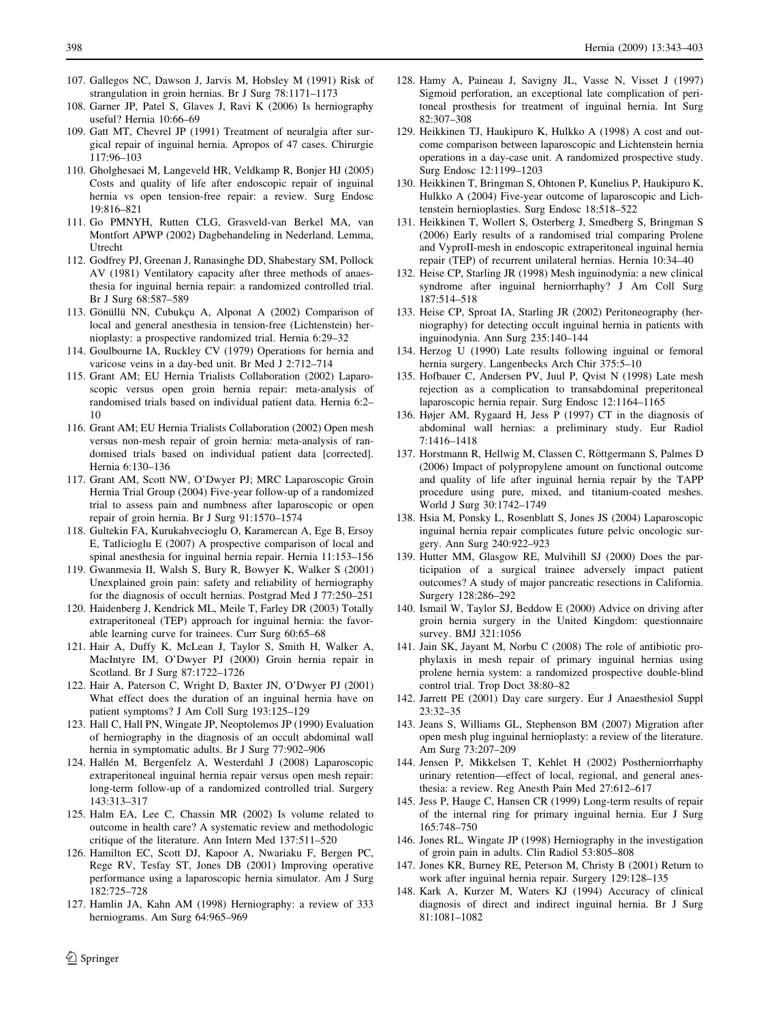- <span id="page-55-0"></span>107. Gallegos NC, Dawson J, Jarvis M, Hobsley M (1991) Risk of strangulation in groin hernias. Br J Surg 78:1171–1173
- 108. Garner JP, Patel S, Glaves J, Ravi K (2006) Is herniography useful? Hernia 10:66–69
- 109. Gatt MT, Chevrel JP (1991) Treatment of neuralgia after surgical repair of inguinal hernia. Apropos of 47 cases. Chirurgie 117:96–103
- 110. Gholghesaei M, Langeveld HR, Veldkamp R, Bonjer HJ (2005) Costs and quality of life after endoscopic repair of inguinal hernia vs open tension-free repair: a review. Surg Endosc 19:816–821
- 111. Go PMNYH, Rutten CLG, Grasveld-van Berkel MA, van Montfort APWP (2002) Dagbehandeling in Nederland. Lemma, Utrecht
- 112. Godfrey PJ, Greenan J, Ranasinghe DD, Shabestary SM, Pollock AV (1981) Ventilatory capacity after three methods of anaesthesia for inguinal hernia repair: a randomized controlled trial. Br J Surg 68:587–589
- 113. Gönüllü NN, Cubukçu A, Alponat A (2002) Comparison of local and general anesthesia in tension-free (Lichtenstein) hernioplasty: a prospective randomized trial. Hernia 6:29–32
- 114. Goulbourne IA, Ruckley CV (1979) Operations for hernia and varicose veins in a day-bed unit. Br Med J 2:712–714
- 115. Grant AM; EU Hernia Trialists Collaboration (2002) Laparoscopic versus open groin hernia repair: meta-analysis of randomised trials based on individual patient data. Hernia 6:2– 10
- 116. Grant AM; EU Hernia Trialists Collaboration (2002) Open mesh versus non-mesh repair of groin hernia: meta-analysis of randomised trials based on individual patient data [corrected]. Hernia 6:130–136
- 117. Grant AM, Scott NW, O'Dwyer PJ; MRC Laparoscopic Groin Hernia Trial Group (2004) Five-year follow-up of a randomized trial to assess pain and numbness after laparoscopic or open repair of groin hernia. Br J Surg 91:1570–1574
- 118. Gultekin FA, Kurukahvecioglu O, Karamercan A, Ege B, Ersoy E, Tatlicioglu E (2007) A prospective comparison of local and spinal anesthesia for inguinal hernia repair. Hernia 11:153–156
- 119. Gwanmesia II, Walsh S, Bury R, Bowyer K, Walker S (2001) Unexplained groin pain: safety and reliability of herniography for the diagnosis of occult hernias. Postgrad Med J 77:250–251
- 120. Haidenberg J, Kendrick ML, Meile T, Farley DR (2003) Totally extraperitoneal (TEP) approach for inguinal hernia: the favorable learning curve for trainees. Curr Surg 60:65–68
- 121. Hair A, Duffy K, McLean J, Taylor S, Smith H, Walker A, MacIntyre IM, O'Dwyer PJ (2000) Groin hernia repair in Scotland. Br J Surg 87:1722–1726
- 122. Hair A, Paterson C, Wright D, Baxter JN, O'Dwyer PJ (2001) What effect does the duration of an inguinal hernia have on patient symptoms? J Am Coll Surg 193:125–129
- 123. Hall C, Hall PN, Wingate JP, Neoptolemos JP (1990) Evaluation of herniography in the diagnosis of an occult abdominal wall hernia in symptomatic adults. Br J Surg 77:902–906
- 124. Hallén M, Bergenfelz A, Westerdahl J (2008) Laparoscopic extraperitoneal inguinal hernia repair versus open mesh repair: long-term follow-up of a randomized controlled trial. Surgery 143:313–317
- 125. Halm EA, Lee C, Chassin MR (2002) Is volume related to outcome in health care? A systematic review and methodologic critique of the literature. Ann Intern Med 137:511–520
- 126. Hamilton EC, Scott DJ, Kapoor A, Nwariaku F, Bergen PC, Rege RV, Tesfay ST, Jones DB (2001) Improving operative performance using a laparoscopic hernia simulator. Am J Surg 182:725–728
- 127. Hamlin JA, Kahn AM (1998) Herniography: a review of 333 herniograms. Am Surg 64:965–969
- 128. Hamy A, Paineau J, Savigny JL, Vasse N, Visset J (1997) Sigmoid perforation, an exceptional late complication of peritoneal prosthesis for treatment of inguinal hernia. Int Surg 82:307–308
- 129. Heikkinen TJ, Haukipuro K, Hulkko A (1998) A cost and outcome comparison between laparoscopic and Lichtenstein hernia operations in a day-case unit. A randomized prospective study. Surg Endosc 12:1199–1203
- 130. Heikkinen T, Bringman S, Ohtonen P, Kunelius P, Haukipuro K, Hulkko A (2004) Five-year outcome of laparoscopic and Lichtenstein hernioplasties. Surg Endosc 18:518–522
- 131. Heikkinen T, Wollert S, Osterberg J, Smedberg S, Bringman S (2006) Early results of a randomised trial comparing Prolene and VyproII-mesh in endoscopic extraperitoneal inguinal hernia repair (TEP) of recurrent unilateral hernias. Hernia 10:34–40
- 132. Heise CP, Starling JR (1998) Mesh inguinodynia: a new clinical syndrome after inguinal herniorrhaphy? J Am Coll Surg 187:514–518
- 133. Heise CP, Sproat IA, Starling JR (2002) Peritoneography (herniography) for detecting occult inguinal hernia in patients with inguinodynia. Ann Surg 235:140–144
- 134. Herzog U (1990) Late results following inguinal or femoral hernia surgery. Langenbecks Arch Chir 375:5–10
- 135. Hofbauer C, Andersen PV, Juul P, Qvist N (1998) Late mesh rejection as a complication to transabdominal preperitoneal laparoscopic hernia repair. Surg Endosc 12:1164–1165
- 136. Højer AM, Rygaard H, Jess P (1997) CT in the diagnosis of abdominal wall hernias: a preliminary study. Eur Radiol 7:1416–1418
- 137. Horstmann R, Hellwig M, Classen C, Röttgermann S, Palmes D (2006) Impact of polypropylene amount on functional outcome and quality of life after inguinal hernia repair by the TAPP procedure using pure, mixed, and titanium-coated meshes. World J Surg 30:1742–1749
- 138. Hsia M, Ponsky L, Rosenblatt S, Jones JS (2004) Laparoscopic inguinal hernia repair complicates future pelvic oncologic surgery. Ann Surg 240:922–923
- 139. Hutter MM, Glasgow RE, Mulvihill SJ (2000) Does the participation of a surgical trainee adversely impact patient outcomes? A study of major pancreatic resections in California. Surgery 128:286–292
- 140. Ismail W, Taylor SJ, Beddow E (2000) Advice on driving after groin hernia surgery in the United Kingdom: questionnaire survey. BMJ 321:1056
- 141. Jain SK, Jayant M, Norbu C (2008) The role of antibiotic prophylaxis in mesh repair of primary inguinal hernias using prolene hernia system: a randomized prospective double-blind control trial. Trop Doct 38:80–82
- 142. Jarrett PE (2001) Day care surgery. Eur J Anaesthesiol Suppl 23:32–35
- 143. Jeans S, Williams GL, Stephenson BM (2007) Migration after open mesh plug inguinal hernioplasty: a review of the literature. Am Surg 73:207–209
- 144. Jensen P, Mikkelsen T, Kehlet H (2002) Postherniorrhaphy urinary retention—effect of local, regional, and general anesthesia: a review. Reg Anesth Pain Med 27:612–617
- 145. Jess P, Hauge C, Hansen CR (1999) Long-term results of repair of the internal ring for primary inguinal hernia. Eur J Surg 165:748–750
- 146. Jones RL, Wingate JP (1998) Herniography in the investigation of groin pain in adults. Clin Radiol 53:805–808
- 147. Jones KR, Burney RE, Peterson M, Christy B (2001) Return to work after inguinal hernia repair. Surgery 129:128–135
- 148. Kark A, Kurzer M, Waters KJ (1994) Accuracy of clinical diagnosis of direct and indirect inguinal hernia. Br J Surg 81:1081–1082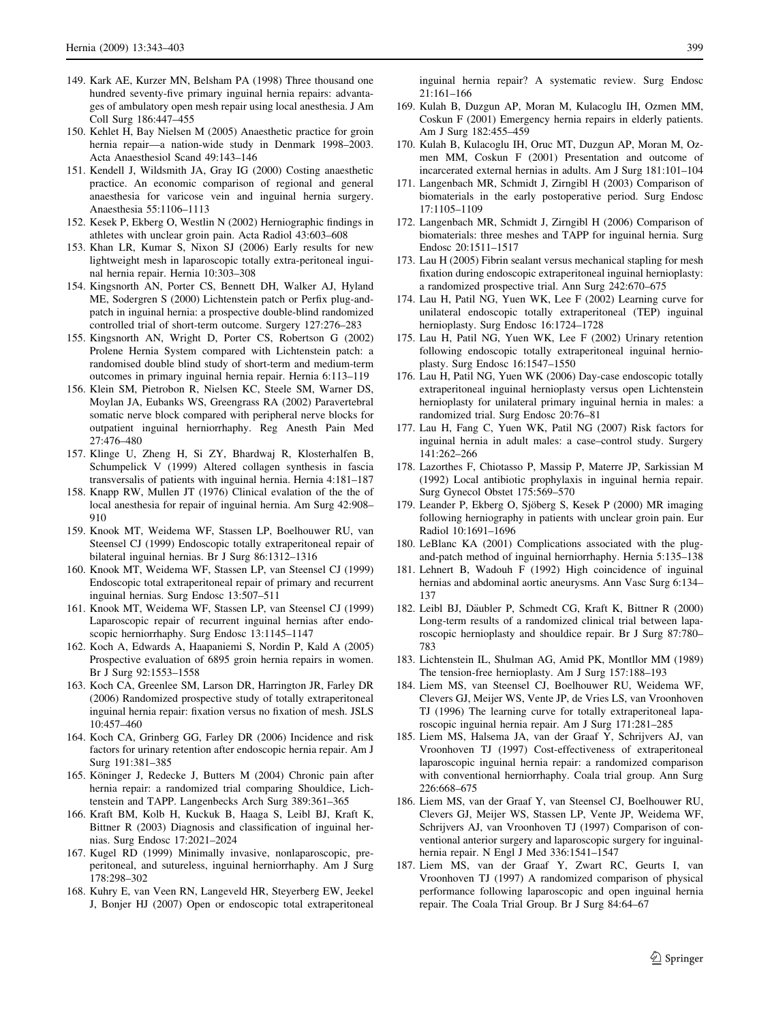- <span id="page-56-0"></span>149. Kark AE, Kurzer MN, Belsham PA (1998) Three thousand one hundred seventy-five primary inguinal hernia repairs: advantages of ambulatory open mesh repair using local anesthesia. J Am Coll Surg 186:447–455
- 150. Kehlet H, Bay Nielsen M (2005) Anaesthetic practice for groin hernia repair—a nation-wide study in Denmark 1998–2003. Acta Anaesthesiol Scand 49:143–146
- 151. Kendell J, Wildsmith JA, Gray IG (2000) Costing anaesthetic practice. An economic comparison of regional and general anaesthesia for varicose vein and inguinal hernia surgery. Anaesthesia 55:1106–1113
- 152. Kesek P, Ekberg O, Westlin N (2002) Herniographic findings in athletes with unclear groin pain. Acta Radiol 43:603–608
- 153. Khan LR, Kumar S, Nixon SJ (2006) Early results for new lightweight mesh in laparoscopic totally extra-peritoneal inguinal hernia repair. Hernia 10:303–308
- 154. Kingsnorth AN, Porter CS, Bennett DH, Walker AJ, Hyland ME, Sodergren S (2000) Lichtenstein patch or Perfix plug-andpatch in inguinal hernia: a prospective double-blind randomized controlled trial of short-term outcome. Surgery 127:276–283
- 155. Kingsnorth AN, Wright D, Porter CS, Robertson G (2002) Prolene Hernia System compared with Lichtenstein patch: a randomised double blind study of short-term and medium-term outcomes in primary inguinal hernia repair. Hernia 6:113–119
- 156. Klein SM, Pietrobon R, Nielsen KC, Steele SM, Warner DS, Moylan JA, Eubanks WS, Greengrass RA (2002) Paravertebral somatic nerve block compared with peripheral nerve blocks for outpatient inguinal herniorrhaphy. Reg Anesth Pain Med 27:476–480
- 157. Klinge U, Zheng H, Si ZY, Bhardwaj R, Klosterhalfen B, Schumpelick V (1999) Altered collagen synthesis in fascia transversalis of patients with inguinal hernia. Hernia 4:181–187
- 158. Knapp RW, Mullen JT (1976) Clinical evalation of the the of local anesthesia for repair of inguinal hernia. Am Surg 42:908– 910
- 159. Knook MT, Weidema WF, Stassen LP, Boelhouwer RU, van Steensel CJ (1999) Endoscopic totally extraperitoneal repair of bilateral inguinal hernias. Br J Surg 86:1312–1316
- 160. Knook MT, Weidema WF, Stassen LP, van Steensel CJ (1999) Endoscopic total extraperitoneal repair of primary and recurrent inguinal hernias. Surg Endosc 13:507–511
- 161. Knook MT, Weidema WF, Stassen LP, van Steensel CJ (1999) Laparoscopic repair of recurrent inguinal hernias after endoscopic herniorrhaphy. Surg Endosc 13:1145–1147
- 162. Koch A, Edwards A, Haapaniemi S, Nordin P, Kald A (2005) Prospective evaluation of 6895 groin hernia repairs in women. Br J Surg 92:1553–1558
- 163. Koch CA, Greenlee SM, Larson DR, Harrington JR, Farley DR (2006) Randomized prospective study of totally extraperitoneal inguinal hernia repair: fixation versus no fixation of mesh. JSLS 10:457–460
- 164. Koch CA, Grinberg GG, Farley DR (2006) Incidence and risk factors for urinary retention after endoscopic hernia repair. Am J Surg 191:381–385
- 165. Köninger J, Redecke J, Butters M (2004) Chronic pain after hernia repair: a randomized trial comparing Shouldice, Lichtenstein and TAPP. Langenbecks Arch Surg 389:361–365
- 166. Kraft BM, Kolb H, Kuckuk B, Haaga S, Leibl BJ, Kraft K, Bittner R (2003) Diagnosis and classification of inguinal hernias. Surg Endosc 17:2021–2024
- 167. Kugel RD (1999) Minimally invasive, nonlaparoscopic, preperitoneal, and sutureless, inguinal herniorrhaphy. Am J Surg 178:298–302
- 168. Kuhry E, van Veen RN, Langeveld HR, Steyerberg EW, Jeekel J, Bonjer HJ (2007) Open or endoscopic total extraperitoneal

inguinal hernia repair? A systematic review. Surg Endosc 21:161–166

- 169. Kulah B, Duzgun AP, Moran M, Kulacoglu IH, Ozmen MM, Coskun F (2001) Emergency hernia repairs in elderly patients. Am J Surg 182:455–459
- 170. Kulah B, Kulacoglu IH, Oruc MT, Duzgun AP, Moran M, Ozmen MM, Coskun F (2001) Presentation and outcome of incarcerated external hernias in adults. Am J Surg 181:101–104
- 171. Langenbach MR, Schmidt J, Zirngibl H (2003) Comparison of biomaterials in the early postoperative period. Surg Endosc 17:1105–1109
- 172. Langenbach MR, Schmidt J, Zirngibl H (2006) Comparison of biomaterials: three meshes and TAPP for inguinal hernia. Surg Endosc 20:1511–1517
- 173. Lau H (2005) Fibrin sealant versus mechanical stapling for mesh fixation during endoscopic extraperitoneal inguinal hernioplasty: a randomized prospective trial. Ann Surg 242:670–675
- 174. Lau H, Patil NG, Yuen WK, Lee F (2002) Learning curve for unilateral endoscopic totally extraperitoneal (TEP) inguinal hernioplasty. Surg Endosc 16:1724–1728
- 175. Lau H, Patil NG, Yuen WK, Lee F (2002) Urinary retention following endoscopic totally extraperitoneal inguinal hernioplasty. Surg Endosc 16:1547–1550
- 176. Lau H, Patil NG, Yuen WK (2006) Day-case endoscopic totally extraperitoneal inguinal hernioplasty versus open Lichtenstein hernioplasty for unilateral primary inguinal hernia in males: a randomized trial. Surg Endosc 20:76–81
- 177. Lau H, Fang C, Yuen WK, Patil NG (2007) Risk factors for inguinal hernia in adult males: a case–control study. Surgery 141:262–266
- 178. Lazorthes F, Chiotasso P, Massip P, Materre JP, Sarkissian M (1992) Local antibiotic prophylaxis in inguinal hernia repair. Surg Gynecol Obstet 175:569–570
- 179. Leander P, Ekberg O, Sjöberg S, Kesek P (2000) MR imaging following herniography in patients with unclear groin pain. Eur Radiol 10:1691–1696
- 180. LeBlanc KA (2001) Complications associated with the plugand-patch method of inguinal herniorrhaphy. Hernia 5:135–138
- 181. Lehnert B, Wadouh F (1992) High coincidence of inguinal hernias and abdominal aortic aneurysms. Ann Vasc Surg 6:134– 137
- 182. Leibl BJ, Däubler P, Schmedt CG, Kraft K, Bittner R (2000) Long-term results of a randomized clinical trial between laparoscopic hernioplasty and shouldice repair. Br J Surg 87:780– 783
- 183. Lichtenstein IL, Shulman AG, Amid PK, Montllor MM (1989) The tension-free hernioplasty. Am J Surg 157:188–193
- 184. Liem MS, van Steensel CJ, Boelhouwer RU, Weidema WF, Clevers GJ, Meijer WS, Vente JP, de Vries LS, van Vroonhoven TJ (1996) The learning curve for totally extraperitoneal laparoscopic inguinal hernia repair. Am J Surg 171:281–285
- 185. Liem MS, Halsema JA, van der Graaf Y, Schrijvers AJ, van Vroonhoven TJ (1997) Cost-effectiveness of extraperitoneal laparoscopic inguinal hernia repair: a randomized comparison with conventional herniorrhaphy. Coala trial group. Ann Surg 226:668–675
- 186. Liem MS, van der Graaf Y, van Steensel CJ, Boelhouwer RU, Clevers GJ, Meijer WS, Stassen LP, Vente JP, Weidema WF, Schrijvers AJ, van Vroonhoven TJ (1997) Comparison of conventional anterior surgery and laparoscopic surgery for inguinalhernia repair. N Engl J Med 336:1541–1547
- 187. Liem MS, van der Graaf Y, Zwart RC, Geurts I, van Vroonhoven TJ (1997) A randomized comparison of physical performance following laparoscopic and open inguinal hernia repair. The Coala Trial Group. Br J Surg 84:64–67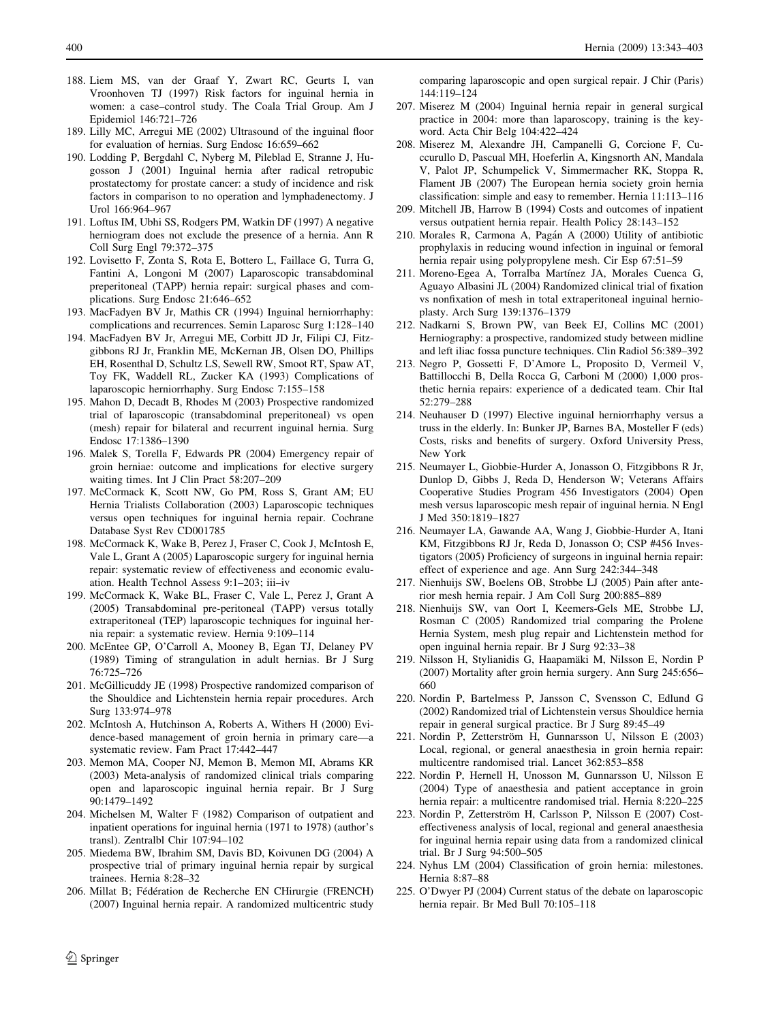- <span id="page-57-0"></span>188. Liem MS, van der Graaf Y, Zwart RC, Geurts I, van Vroonhoven TJ (1997) Risk factors for inguinal hernia in women: a case–control study. The Coala Trial Group. Am J Epidemiol 146:721–726
- 189. Lilly MC, Arregui ME (2002) Ultrasound of the inguinal floor for evaluation of hernias. Surg Endosc 16:659–662
- 190. Lodding P, Bergdahl C, Nyberg M, Pileblad E, Stranne J, Hugosson J (2001) Inguinal hernia after radical retropubic prostatectomy for prostate cancer: a study of incidence and risk factors in comparison to no operation and lymphadenectomy. J Urol 166:964–967
- 191. Loftus IM, Ubhi SS, Rodgers PM, Watkin DF (1997) A negative herniogram does not exclude the presence of a hernia. Ann R Coll Surg Engl 79:372–375
- 192. Lovisetto F, Zonta S, Rota E, Bottero L, Faillace G, Turra G, Fantini A, Longoni M (2007) Laparoscopic transabdominal preperitoneal (TAPP) hernia repair: surgical phases and complications. Surg Endosc 21:646–652
- 193. MacFadyen BV Jr, Mathis CR (1994) Inguinal herniorrhaphy: complications and recurrences. Semin Laparosc Surg 1:128–140
- 194. MacFadyen BV Jr, Arregui ME, Corbitt JD Jr, Filipi CJ, Fitzgibbons RJ Jr, Franklin ME, McKernan JB, Olsen DO, Phillips EH, Rosenthal D, Schultz LS, Sewell RW, Smoot RT, Spaw AT, Toy FK, Waddell RL, Zucker KA (1993) Complications of laparoscopic herniorrhaphy. Surg Endosc 7:155–158
- 195. Mahon D, Decadt B, Rhodes M (2003) Prospective randomized trial of laparoscopic (transabdominal preperitoneal) vs open (mesh) repair for bilateral and recurrent inguinal hernia. Surg Endosc 17:1386–1390
- 196. Malek S, Torella F, Edwards PR (2004) Emergency repair of groin herniae: outcome and implications for elective surgery waiting times. Int J Clin Pract 58:207–209
- 197. McCormack K, Scott NW, Go PM, Ross S, Grant AM; EU Hernia Trialists Collaboration (2003) Laparoscopic techniques versus open techniques for inguinal hernia repair. Cochrane Database Syst Rev CD001785
- 198. McCormack K, Wake B, Perez J, Fraser C, Cook J, McIntosh E, Vale L, Grant A (2005) Laparoscopic surgery for inguinal hernia repair: systematic review of effectiveness and economic evaluation. Health Technol Assess 9:1–203; iii–iv
- 199. McCormack K, Wake BL, Fraser C, Vale L, Perez J, Grant A (2005) Transabdominal pre-peritoneal (TAPP) versus totally extraperitoneal (TEP) laparoscopic techniques for inguinal hernia repair: a systematic review. Hernia 9:109–114
- 200. McEntee GP, O'Carroll A, Mooney B, Egan TJ, Delaney PV (1989) Timing of strangulation in adult hernias. Br J Surg 76:725–726
- 201. McGillicuddy JE (1998) Prospective randomized comparison of the Shouldice and Lichtenstein hernia repair procedures. Arch Surg 133:974–978
- 202. McIntosh A, Hutchinson A, Roberts A, Withers H (2000) Evidence-based management of groin hernia in primary care—a systematic review. Fam Pract 17:442–447
- 203. Memon MA, Cooper NJ, Memon B, Memon MI, Abrams KR (2003) Meta-analysis of randomized clinical trials comparing open and laparoscopic inguinal hernia repair. Br J Surg 90:1479–1492
- 204. Michelsen M, Walter F (1982) Comparison of outpatient and inpatient operations for inguinal hernia (1971 to 1978) (author's transl). Zentralbl Chir 107:94–102
- 205. Miedema BW, Ibrahim SM, Davis BD, Koivunen DG (2004) A prospective trial of primary inguinal hernia repair by surgical trainees. Hernia 8:28–32
- 206. Millat B; Fédération de Recherche EN CHirurgie (FRENCH) (2007) Inguinal hernia repair. A randomized multicentric study

comparing laparoscopic and open surgical repair. J Chir (Paris) 144:119–124

- 207. Miserez M (2004) Inguinal hernia repair in general surgical practice in 2004: more than laparoscopy, training is the keyword. Acta Chir Belg 104:422–424
- 208. Miserez M, Alexandre JH, Campanelli G, Corcione F, Cuccurullo D, Pascual MH, Hoeferlin A, Kingsnorth AN, Mandala V, Palot JP, Schumpelick V, Simmermacher RK, Stoppa R, Flament JB (2007) The European hernia society groin hernia classification: simple and easy to remember. Hernia 11:113–116
- 209. Mitchell JB, Harrow B (1994) Costs and outcomes of inpatient versus outpatient hernia repair. Health Policy 28:143–152
- 210. Morales R, Carmona A, Pagán A (2000) Utility of antibiotic prophylaxis in reducing wound infection in inguinal or femoral hernia repair using polypropylene mesh. Cir Esp 67:51–59
- 211. Moreno-Egea A, Torralba Martínez JA, Morales Cuenca G, Aguayo Albasini JL (2004) Randomized clinical trial of fixation vs nonfixation of mesh in total extraperitoneal inguinal hernioplasty. Arch Surg 139:1376–1379
- 212. Nadkarni S, Brown PW, van Beek EJ, Collins MC (2001) Herniography: a prospective, randomized study between midline and left iliac fossa puncture techniques. Clin Radiol 56:389–392
- 213. Negro P, Gossetti F, D'Amore L, Proposito D, Vermeil V, Battillocchi B, Della Rocca G, Carboni M (2000) 1,000 prosthetic hernia repairs: experience of a dedicated team. Chir Ital 52:279–288
- 214. Neuhauser D (1997) Elective inguinal herniorrhaphy versus a truss in the elderly. In: Bunker JP, Barnes BA, Mosteller F (eds) Costs, risks and benefits of surgery. Oxford University Press, New York
- 215. Neumayer L, Giobbie-Hurder A, Jonasson O, Fitzgibbons R Jr, Dunlop D, Gibbs J, Reda D, Henderson W; Veterans Affairs Cooperative Studies Program 456 Investigators (2004) Open mesh versus laparoscopic mesh repair of inguinal hernia. N Engl J Med 350:1819–1827
- 216. Neumayer LA, Gawande AA, Wang J, Giobbie-Hurder A, Itani KM, Fitzgibbons RJ Jr, Reda D, Jonasson O; CSP #456 Investigators (2005) Proficiency of surgeons in inguinal hernia repair: effect of experience and age. Ann Surg 242:344–348
- 217. Nienhuijs SW, Boelens OB, Strobbe LJ (2005) Pain after anterior mesh hernia repair. J Am Coll Surg 200:885–889
- 218. Nienhuijs SW, van Oort I, Keemers-Gels ME, Strobbe LJ, Rosman C (2005) Randomized trial comparing the Prolene Hernia System, mesh plug repair and Lichtenstein method for open inguinal hernia repair. Br J Surg 92:33–38
- 219. Nilsson H, Stylianidis G, Haapamäki M, Nilsson E, Nordin P (2007) Mortality after groin hernia surgery. Ann Surg 245:656– 660
- 220. Nordin P, Bartelmess P, Jansson C, Svensson C, Edlund G (2002) Randomized trial of Lichtenstein versus Shouldice hernia repair in general surgical practice. Br J Surg 89:45–49
- 221. Nordin P, Zetterström H, Gunnarsson U, Nilsson E (2003) Local, regional, or general anaesthesia in groin hernia repair: multicentre randomised trial. Lancet 362:853–858
- 222. Nordin P, Hernell H, Unosson M, Gunnarsson U, Nilsson E (2004) Type of anaesthesia and patient acceptance in groin hernia repair: a multicentre randomised trial. Hernia 8:220–225
- 223. Nordin P, Zetterström H, Carlsson P, Nilsson E (2007) Costeffectiveness analysis of local, regional and general anaesthesia for inguinal hernia repair using data from a randomized clinical trial. Br J Surg 94:500–505
- 224. Nyhus LM (2004) Classification of groin hernia: milestones. Hernia 8:87–88
- 225. O'Dwyer PJ (2004) Current status of the debate on laparoscopic hernia repair. Br Med Bull 70:105–118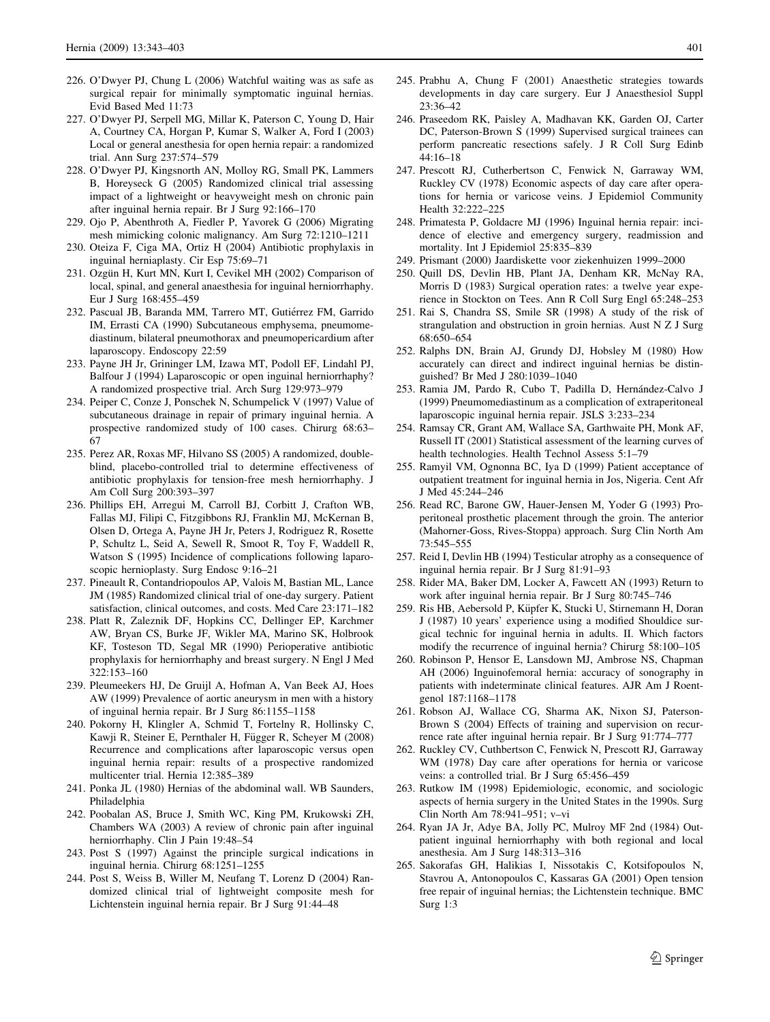- <span id="page-58-0"></span>226. O'Dwyer PJ, Chung L (2006) Watchful waiting was as safe as surgical repair for minimally symptomatic inguinal hernias. Evid Based Med 11:73
- 227. O'Dwyer PJ, Serpell MG, Millar K, Paterson C, Young D, Hair A, Courtney CA, Horgan P, Kumar S, Walker A, Ford I (2003) Local or general anesthesia for open hernia repair: a randomized trial. Ann Surg 237:574–579
- 228. O'Dwyer PJ, Kingsnorth AN, Molloy RG, Small PK, Lammers B, Horeyseck G (2005) Randomized clinical trial assessing impact of a lightweight or heavyweight mesh on chronic pain after inguinal hernia repair. Br J Surg 92:166–170
- 229. Ojo P, Abenthroth A, Fiedler P, Yavorek G (2006) Migrating mesh mimicking colonic malignancy. Am Surg 72:1210–1211
- 230. Oteiza F, Ciga MA, Ortiz H (2004) Antibiotic prophylaxis in inguinal herniaplasty. Cir Esp 75:69–71
- 231. Ozgün H, Kurt MN, Kurt I, Cevikel MH (2002) Comparison of local, spinal, and general anaesthesia for inguinal herniorrhaphy. Eur J Surg 168:455–459
- 232. Pascual JB, Baranda MM, Tarrero MT, Gutiérrez FM, Garrido IM, Errasti CA (1990) Subcutaneous emphysema, pneumomediastinum, bilateral pneumothorax and pneumopericardium after laparoscopy. Endoscopy 22:59
- 233. Payne JH Jr, Grininger LM, Izawa MT, Podoll EF, Lindahl PJ, Balfour J (1994) Laparoscopic or open inguinal herniorrhaphy? A randomized prospective trial. Arch Surg 129:973–979
- 234. Peiper C, Conze J, Ponschek N, Schumpelick V (1997) Value of subcutaneous drainage in repair of primary inguinal hernia. A prospective randomized study of 100 cases. Chirurg 68:63– 67
- 235. Perez AR, Roxas MF, Hilvano SS (2005) A randomized, doubleblind, placebo-controlled trial to determine effectiveness of antibiotic prophylaxis for tension-free mesh herniorrhaphy. J Am Coll Surg 200:393–397
- 236. Phillips EH, Arregui M, Carroll BJ, Corbitt J, Crafton WB, Fallas MJ, Filipi C, Fitzgibbons RJ, Franklin MJ, McKernan B, Olsen D, Ortega A, Payne JH Jr, Peters J, Rodriguez R, Rosette P, Schultz L, Seid A, Sewell R, Smoot R, Toy F, Waddell R, Watson S (1995) Incidence of complications following laparoscopic hernioplasty. Surg Endosc 9:16–21
- 237. Pineault R, Contandriopoulos AP, Valois M, Bastian ML, Lance JM (1985) Randomized clinical trial of one-day surgery. Patient satisfaction, clinical outcomes, and costs. Med Care 23:171–182
- 238. Platt R, Zaleznik DF, Hopkins CC, Dellinger EP, Karchmer AW, Bryan CS, Burke JF, Wikler MA, Marino SK, Holbrook KF, Tosteson TD, Segal MR (1990) Perioperative antibiotic prophylaxis for herniorrhaphy and breast surgery. N Engl J Med 322:153–160
- 239. Pleumeekers HJ, De Gruijl A, Hofman A, Van Beek AJ, Hoes AW (1999) Prevalence of aortic aneurysm in men with a history of inguinal hernia repair. Br J Surg 86:1155–1158
- 240. Pokorny H, Klingler A, Schmid T, Fortelny R, Hollinsky C, Kawji R, Steiner E, Pernthaler H, Függer R, Scheyer M (2008) Recurrence and complications after laparoscopic versus open inguinal hernia repair: results of a prospective randomized multicenter trial. Hernia 12:385–389
- 241. Ponka JL (1980) Hernias of the abdominal wall. WB Saunders, Philadelphia
- 242. Poobalan AS, Bruce J, Smith WC, King PM, Krukowski ZH, Chambers WA (2003) A review of chronic pain after inguinal herniorrhaphy. Clin J Pain 19:48–54
- 243. Post S (1997) Against the principle surgical indications in inguinal hernia. Chirurg 68:1251–1255
- 244. Post S, Weiss B, Willer M, Neufang T, Lorenz D (2004) Randomized clinical trial of lightweight composite mesh for Lichtenstein inguinal hernia repair. Br J Surg 91:44–48
- 245. Prabhu A, Chung F (2001) Anaesthetic strategies towards developments in day care surgery. Eur J Anaesthesiol Suppl 23:36–42
- 246. Praseedom RK, Paisley A, Madhavan KK, Garden OJ, Carter DC, Paterson-Brown S (1999) Supervised surgical trainees can perform pancreatic resections safely. J R Coll Surg Edinb 44:16–18
- 247. Prescott RJ, Cutherbertson C, Fenwick N, Garraway WM, Ruckley CV (1978) Economic aspects of day care after operations for hernia or varicose veins. J Epidemiol Community Health 32:222–225
- 248. Primatesta P, Goldacre MJ (1996) Inguinal hernia repair: incidence of elective and emergency surgery, readmission and mortality. Int J Epidemiol 25:835–839
- 249. Prismant (2000) Jaardiskette voor ziekenhuizen 1999–2000
- 250. Quill DS, Devlin HB, Plant JA, Denham KR, McNay RA, Morris D (1983) Surgical operation rates: a twelve year experience in Stockton on Tees. Ann R Coll Surg Engl 65:248–253
- 251. Rai S, Chandra SS, Smile SR (1998) A study of the risk of strangulation and obstruction in groin hernias. Aust N Z J Surg 68:650–654
- 252. Ralphs DN, Brain AJ, Grundy DJ, Hobsley M (1980) How accurately can direct and indirect inguinal hernias be distinguished? Br Med J 280:1039–1040
- 253. Ramia JM, Pardo R, Cubo T, Padilla D, Hernández-Calvo J (1999) Pneumomediastinum as a complication of extraperitoneal laparoscopic inguinal hernia repair. JSLS 3:233–234
- 254. Ramsay CR, Grant AM, Wallace SA, Garthwaite PH, Monk AF, Russell IT (2001) Statistical assessment of the learning curves of health technologies. Health Technol Assess 5:1–79
- 255. Ramyil VM, Ognonna BC, Iya D (1999) Patient acceptance of outpatient treatment for inguinal hernia in Jos, Nigeria. Cent Afr J Med 45:244–246
- 256. Read RC, Barone GW, Hauer-Jensen M, Yoder G (1993) Properitoneal prosthetic placement through the groin. The anterior (Mahorner-Goss, Rives-Stoppa) approach. Surg Clin North Am 73:545–555
- 257. Reid I, Devlin HB (1994) Testicular atrophy as a consequence of inguinal hernia repair. Br J Surg 81:91–93
- 258. Rider MA, Baker DM, Locker A, Fawcett AN (1993) Return to work after inguinal hernia repair. Br J Surg 80:745–746
- 259. Ris HB, Aebersold P, Küpfer K, Stucki U, Stirnemann H, Doran J (1987) 10 years' experience using a modified Shouldice surgical technic for inguinal hernia in adults. II. Which factors modify the recurrence of inguinal hernia? Chirurg 58:100–105
- 260. Robinson P, Hensor E, Lansdown MJ, Ambrose NS, Chapman AH (2006) Inguinofemoral hernia: accuracy of sonography in patients with indeterminate clinical features. AJR Am J Roentgenol 187:1168–1178
- 261. Robson AJ, Wallace CG, Sharma AK, Nixon SJ, Paterson-Brown S (2004) Effects of training and supervision on recurrence rate after inguinal hernia repair. Br J Surg 91:774–777
- 262. Ruckley CV, Cuthbertson C, Fenwick N, Prescott RJ, Garraway WM (1978) Day care after operations for hernia or varicose veins: a controlled trial. Br J Surg 65:456–459
- 263. Rutkow IM (1998) Epidemiologic, economic, and sociologic aspects of hernia surgery in the United States in the 1990s. Surg Clin North Am 78:941–951; v–vi
- 264. Ryan JA Jr, Adye BA, Jolly PC, Mulroy MF 2nd (1984) Outpatient inguinal herniorrhaphy with both regional and local anesthesia. Am J Surg 148:313–316
- 265. Sakorafas GH, Halikias I, Nissotakis C, Kotsifopoulos N, Stavrou A, Antonopoulos C, Kassaras GA (2001) Open tension free repair of inguinal hernias; the Lichtenstein technique. BMC Surg 1:3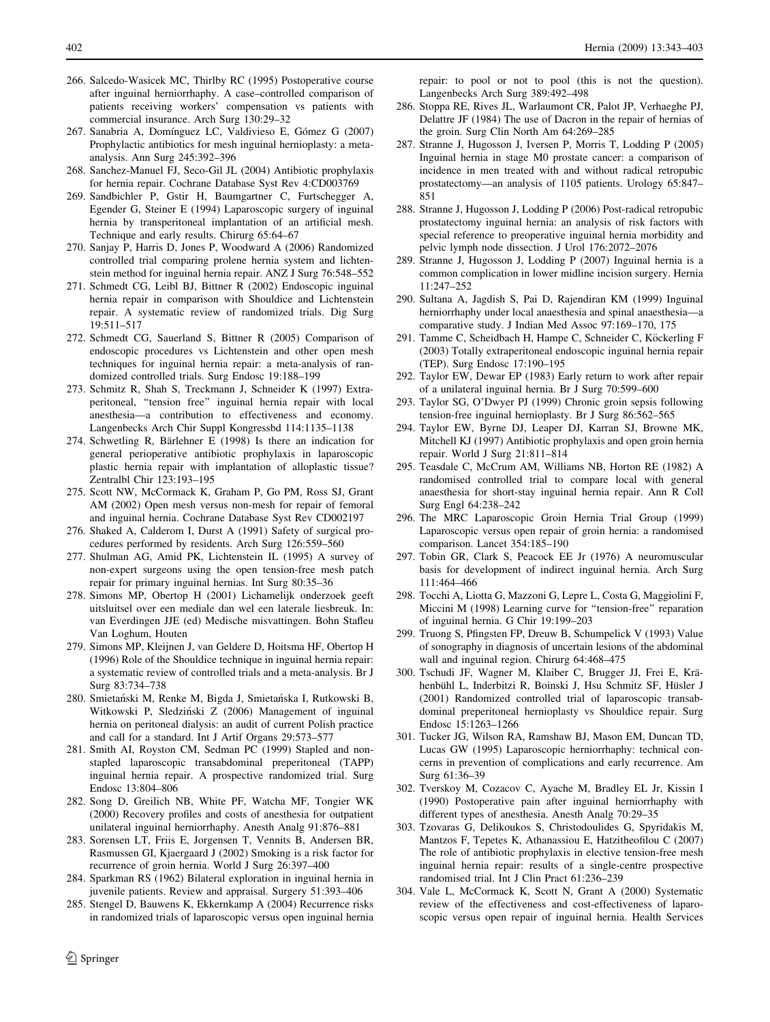- <span id="page-59-0"></span>266. Salcedo-Wasicek MC, Thirlby RC (1995) Postoperative course after inguinal herniorrhaphy. A case–controlled comparison of patients receiving workers' compensation vs patients with commercial insurance. Arch Surg 130:29–32
- 267. Sanabria A, Domínguez LC, Valdivieso E, Gómez G (2007) Prophylactic antibiotics for mesh inguinal hernioplasty: a metaanalysis. Ann Surg 245:392–396
- 268. Sanchez-Manuel FJ, Seco-Gil JL (2004) Antibiotic prophylaxis for hernia repair. Cochrane Database Syst Rev 4:CD003769
- 269. Sandbichler P, Gstir H, Baumgartner C, Furtschegger A, Egender G, Steiner E (1994) Laparoscopic surgery of inguinal hernia by transperitoneal implantation of an artificial mesh. Technique and early results. Chirurg 65:64–67
- 270. Sanjay P, Harris D, Jones P, Woodward A (2006) Randomized controlled trial comparing prolene hernia system and lichtenstein method for inguinal hernia repair. ANZ J Surg 76:548–552
- 271. Schmedt CG, Leibl BJ, Bittner R (2002) Endoscopic inguinal hernia repair in comparison with Shouldice and Lichtenstein repair. A systematic review of randomized trials. Dig Surg 19:511–517
- 272. Schmedt CG, Sauerland S, Bittner R (2005) Comparison of endoscopic procedures vs Lichtenstein and other open mesh techniques for inguinal hernia repair: a meta-analysis of randomized controlled trials. Surg Endosc 19:188–199
- 273. Schmitz R, Shah S, Treckmann J, Schneider K (1997) Extraperitoneal, "tension free" inguinal hernia repair with local anesthesia—a contribution to effectiveness and economy. Langenbecks Arch Chir Suppl Kongressbd 114:1135–1138
- 274. Schwetling R, Bärlehner E (1998) Is there an indication for general perioperative antibiotic prophylaxis in laparoscopic plastic hernia repair with implantation of alloplastic tissue? Zentralbl Chir 123:193–195
- 275. Scott NW, McCormack K, Graham P, Go PM, Ross SJ, Grant AM (2002) Open mesh versus non-mesh for repair of femoral and inguinal hernia. Cochrane Database Syst Rev CD002197
- 276. Shaked A, Calderom I, Durst A (1991) Safety of surgical procedures performed by residents. Arch Surg 126:559–560
- 277. Shulman AG, Amid PK, Lichtenstein IL (1995) A survey of non-expert surgeons using the open tension-free mesh patch repair for primary inguinal hernias. Int Surg 80:35–36
- 278. Simons MP, Obertop H (2001) Lichamelijk onderzoek geeft uitsluitsel over een mediale dan wel een laterale liesbreuk. In: van Everdingen JJE (ed) Medische misvattingen. Bohn Stafleu Van Loghum, Houten
- 279. Simons MP, Kleijnen J, van Geldere D, Hoitsma HF, Obertop H (1996) Role of the Shouldice technique in inguinal hernia repair: a systematic review of controlled trials and a meta-analysis. Br J Surg 83:734–738
- 280. Smietański M, Renke M, Bigda J, Smietańska I, Rutkowski B, Witkowski P, Sledziński Z (2006) Management of inguinal hernia on peritoneal dialysis: an audit of current Polish practice and call for a standard. Int J Artif Organs 29:573–577
- 281. Smith AI, Royston CM, Sedman PC (1999) Stapled and nonstapled laparoscopic transabdominal preperitoneal (TAPP) inguinal hernia repair. A prospective randomized trial. Surg Endosc 13:804–806
- 282. Song D, Greilich NB, White PF, Watcha MF, Tongier WK (2000) Recovery profiles and costs of anesthesia for outpatient unilateral inguinal herniorrhaphy. Anesth Analg 91:876–881
- 283. Sorensen LT, Friis E, Jorgensen T, Vennits B, Andersen BR, Rasmussen GI, Kjaergaard J (2002) Smoking is a risk factor for recurrence of groin hernia. World J Surg 26:397–400
- 284. Sparkman RS (1962) Bilateral exploration in inguinal hernia in juvenile patients. Review and appraisal. Surgery 51:393–406
- 285. Stengel D, Bauwens K, Ekkernkamp A (2004) Recurrence risks in randomized trials of laparoscopic versus open inguinal hernia

 $\textcircled{2}$  Springer

repair: to pool or not to pool (this is not the question). Langenbecks Arch Surg 389:492–498

- 286. Stoppa RE, Rives JL, Warlaumont CR, Palot JP, Verhaeghe PJ, Delattre JF (1984) The use of Dacron in the repair of hernias of the groin. Surg Clin North Am 64:269–285
- 287. Stranne J, Hugosson J, Iversen P, Morris T, Lodding P (2005) Inguinal hernia in stage M0 prostate cancer: a comparison of incidence in men treated with and without radical retropubic prostatectomy—an analysis of 1105 patients. Urology 65:847– 851
- 288. Stranne J, Hugosson J, Lodding P (2006) Post-radical retropubic prostatectomy inguinal hernia: an analysis of risk factors with special reference to preoperative inguinal hernia morbidity and pelvic lymph node dissection. J Urol 176:2072–2076
- 289. Stranne J, Hugosson J, Lodding P (2007) Inguinal hernia is a common complication in lower midline incision surgery. Hernia 11:247–252
- 290. Sultana A, Jagdish S, Pai D, Rajendiran KM (1999) Inguinal herniorrhaphy under local anaesthesia and spinal anaesthesiacomparative study. J Indian Med Assoc 97:169–170, 175
- 291. Tamme C, Scheidbach H, Hampe C, Schneider C, Köckerling F (2003) Totally extraperitoneal endoscopic inguinal hernia repair (TEP). Surg Endosc 17:190–195
- 292. Taylor EW, Dewar EP (1983) Early return to work after repair of a unilateral inguinal hernia. Br J Surg 70:599–600
- 293. Taylor SG, O'Dwyer PJ (1999) Chronic groin sepsis following tension-free inguinal hernioplasty. Br J Surg 86:562–565
- 294. Taylor EW, Byrne DJ, Leaper DJ, Karran SJ, Browne MK, Mitchell KJ (1997) Antibiotic prophylaxis and open groin hernia repair. World J Surg 21:811–814
- 295. Teasdale C, McCrum AM, Williams NB, Horton RE (1982) A randomised controlled trial to compare local with general anaesthesia for short-stay inguinal hernia repair. Ann R Coll Surg Engl 64:238–242
- 296. The MRC Laparoscopic Groin Hernia Trial Group (1999) Laparoscopic versus open repair of groin hernia: a randomised comparison. Lancet 354:185–190
- 297. Tobin GR, Clark S, Peacock EE Jr (1976) A neuromuscular basis for development of indirect inguinal hernia. Arch Surg 111:464–466
- 298. Tocchi A, Liotta G, Mazzoni G, Lepre L, Costa G, Maggiolini F, Miccini M (1998) Learning curve for ''tension-free'' reparation of inguinal hernia. G Chir 19:199–203
- 299. Truong S, Pfingsten FP, Dreuw B, Schumpelick V (1993) Value of sonography in diagnosis of uncertain lesions of the abdominal wall and inguinal region. Chirurg 64:468–475
- 300. Tschudi JF, Wagner M, Klaiber C, Brugger JJ, Frei E, Krähenbühl L, Inderbitzi R, Boinski J, Hsu Schmitz SF, Hüsler J (2001) Randomized controlled trial of laparoscopic transabdominal preperitoneal hernioplasty vs Shouldice repair. Surg Endosc 15:1263–1266
- 301. Tucker JG, Wilson RA, Ramshaw BJ, Mason EM, Duncan TD, Lucas GW (1995) Laparoscopic herniorrhaphy: technical concerns in prevention of complications and early recurrence. Am Surg 61:36–39
- 302. Tverskoy M, Cozacov C, Ayache M, Bradley EL Jr, Kissin I (1990) Postoperative pain after inguinal herniorrhaphy with different types of anesthesia. Anesth Analg 70:29–35
- 303. Tzovaras G, Delikoukos S, Christodoulides G, Spyridakis M, Mantzos F, Tepetes K, Athanassiou E, Hatzitheofilou C (2007) The role of antibiotic prophylaxis in elective tension-free mesh inguinal hernia repair: results of a single-centre prospective randomised trial. Int J Clin Pract 61:236–239
- 304. Vale L, McCormack K, Scott N, Grant A (2000) Systematic review of the effectiveness and cost-effectiveness of laparoscopic versus open repair of inguinal hernia. Health Services